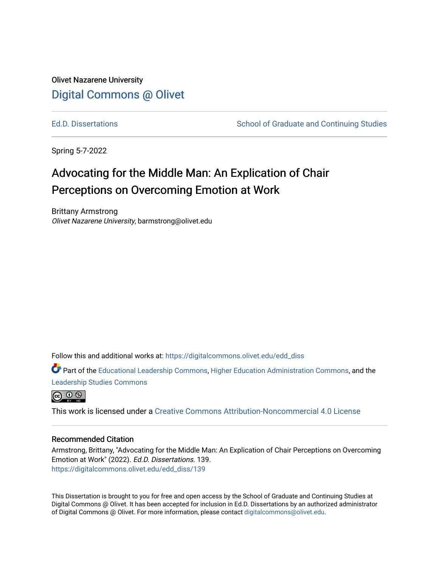## Olivet Nazarene University [Digital Commons @ Olivet](https://digitalcommons.olivet.edu/)

[Ed.D. Dissertations](https://digitalcommons.olivet.edu/edd_diss) The School of Graduate and Continuing Studies

Spring 5-7-2022

# Advocating for the Middle Man: An Explication of Chair Perceptions on Overcoming Emotion at Work

Brittany Armstrong Olivet Nazarene University, barmstrong@olivet.edu

Follow this and additional works at: [https://digitalcommons.olivet.edu/edd\\_diss](https://digitalcommons.olivet.edu/edd_diss?utm_source=digitalcommons.olivet.edu%2Fedd_diss%2F139&utm_medium=PDF&utm_campaign=PDFCoverPages) 

Part of the [Educational Leadership Commons,](https://network.bepress.com/hgg/discipline/1230?utm_source=digitalcommons.olivet.edu%2Fedd_diss%2F139&utm_medium=PDF&utm_campaign=PDFCoverPages) [Higher Education Administration Commons,](https://network.bepress.com/hgg/discipline/791?utm_source=digitalcommons.olivet.edu%2Fedd_diss%2F139&utm_medium=PDF&utm_campaign=PDFCoverPages) and the [Leadership Studies Commons](https://network.bepress.com/hgg/discipline/1250?utm_source=digitalcommons.olivet.edu%2Fedd_diss%2F139&utm_medium=PDF&utm_campaign=PDFCoverPages)



This work is licensed under a [Creative Commons Attribution-Noncommercial 4.0 License](https://creativecommons.org/licenses/by-nc/4.0/)

### Recommended Citation

Armstrong, Brittany, "Advocating for the Middle Man: An Explication of Chair Perceptions on Overcoming Emotion at Work" (2022). Ed.D. Dissertations. 139. [https://digitalcommons.olivet.edu/edd\\_diss/139](https://digitalcommons.olivet.edu/edd_diss/139?utm_source=digitalcommons.olivet.edu%2Fedd_diss%2F139&utm_medium=PDF&utm_campaign=PDFCoverPages) 

This Dissertation is brought to you for free and open access by the School of Graduate and Continuing Studies at Digital Commons @ Olivet. It has been accepted for inclusion in Ed.D. Dissertations by an authorized administrator of Digital Commons @ Olivet. For more information, please contact [digitalcommons@olivet.edu.](mailto:digitalcommons@olivet.edu)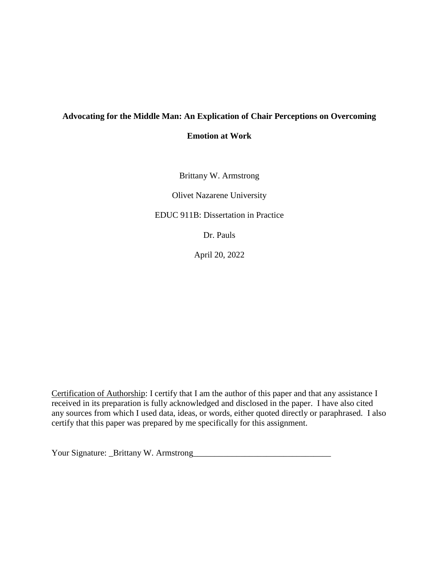## **Advocating for the Middle Man: An Explication of Chair Perceptions on Overcoming**

**Emotion at Work**

Brittany W. Armstrong

Olivet Nazarene University

EDUC 911B: Dissertation in Practice

Dr. Pauls

April 20, 2022

Certification of Authorship: I certify that I am the author of this paper and that any assistance I received in its preparation is fully acknowledged and disclosed in the paper. I have also cited any sources from which I used data, ideas, or words, either quoted directly or paraphrased. I also certify that this paper was prepared by me specifically for this assignment.

Your Signature: \_Brittany W. Armstrong\_\_\_\_\_\_\_\_\_\_\_\_\_\_\_\_\_\_\_\_\_\_\_\_\_\_\_\_\_\_\_\_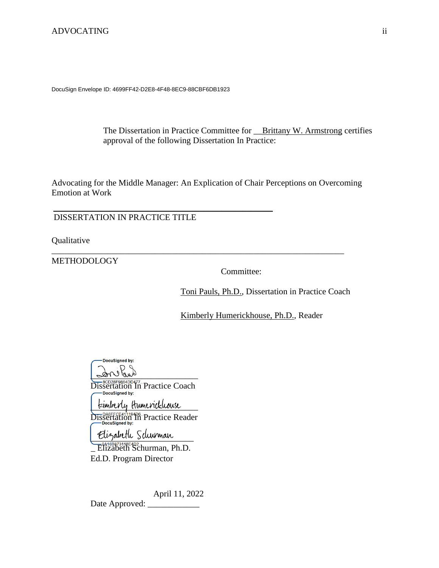DocuSign Envelope ID: 4699FF42-D2E8-4F48-8EC9-88CBF6DB1923

The Dissertation in Practice Committee for **\_\_Brittany W. Armstrong certifies** approval of the following Dissertation In Practice:

Advocating for the Middle Manager: An Explication of Chair Perceptions on Overcoming Emotion at Work

\_\_\_\_\_\_\_\_\_\_\_\_\_\_\_\_\_\_\_\_\_\_\_\_\_\_\_\_\_\_\_\_\_\_\_\_\_\_\_\_\_\_\_\_\_\_\_\_\_\_\_\_\_\_\_\_\_\_\_\_\_\_\_\_\_\_\_\_

DISSERTATION IN PRACTICE TITLE

 $\_$  , and the set of the set of the set of the set of the set of the set of the set of the set of the set of the set of the set of the set of the set of the set of the set of the set of the set of the set of the set of th

Qualitative

**METHODOLOGY** 

Committee:

Toni Pauls, Ph.D., Dissertation in Practice Coach

Kimberly Humerickhouse, Ph.D., Reader

DocuSianed by:  $\int d^2x \, dx$ 

Dissertation In Practice Coach

tainberly Humerickhouse Dissertation In Practice Reader

Elizabeth Schurman

 $E$ <sup>0416B873118E4D2</sup>, Elizabeth Schurman, Ph.D. Ed.D. Program Director

April 11, 2022 Date Approved: \_\_\_\_\_\_\_\_\_\_\_\_\_\_\_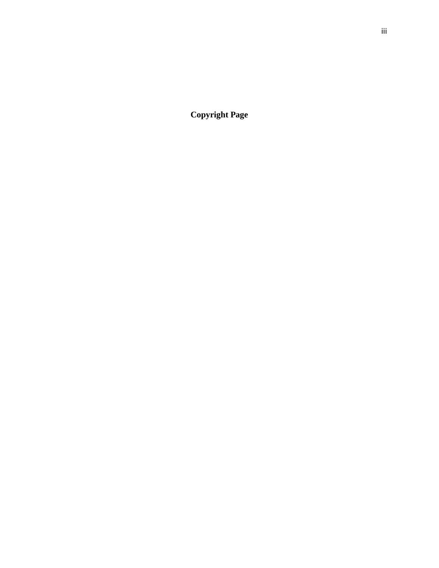**Copyright Page**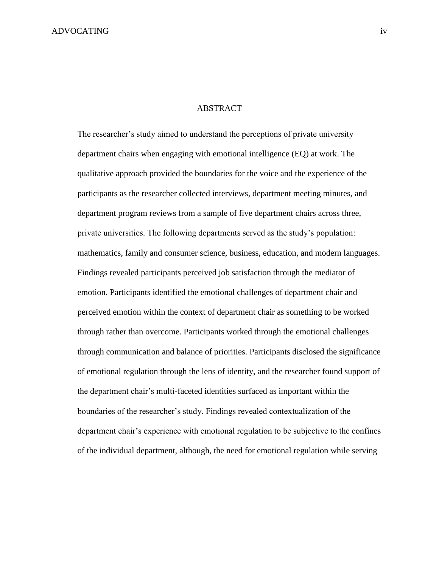### ABSTRACT

The researcher's study aimed to understand the perceptions of private university department chairs when engaging with emotional intelligence (EQ) at work. The qualitative approach provided the boundaries for the voice and the experience of the participants as the researcher collected interviews, department meeting minutes, and department program reviews from a sample of five department chairs across three, private universities. The following departments served as the study's population: mathematics, family and consumer science, business, education, and modern languages. Findings revealed participants perceived job satisfaction through the mediator of emotion. Participants identified the emotional challenges of department chair and perceived emotion within the context of department chair as something to be worked through rather than overcome. Participants worked through the emotional challenges through communication and balance of priorities. Participants disclosed the significance of emotional regulation through the lens of identity, and the researcher found support of the department chair's multi-faceted identities surfaced as important within the boundaries of the researcher's study. Findings revealed contextualization of the department chair's experience with emotional regulation to be subjective to the confines of the individual department, although, the need for emotional regulation while serving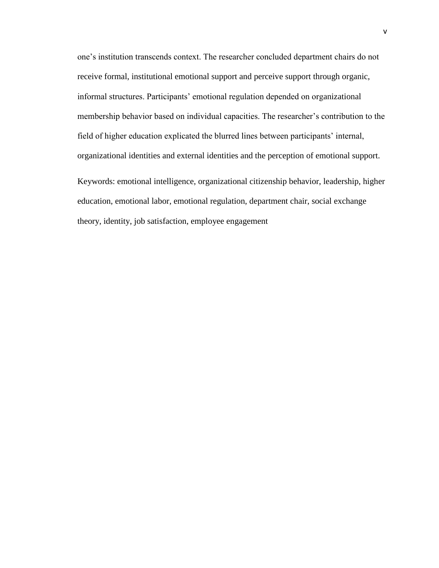one's institution transcends context. The researcher concluded department chairs do not receive formal, institutional emotional support and perceive support through organic, informal structures. Participants' emotional regulation depended on organizational membership behavior based on individual capacities. The researcher's contribution to the field of higher education explicated the blurred lines between participants' internal, organizational identities and external identities and the perception of emotional support.

Keywords: emotional intelligence, organizational citizenship behavior, leadership, higher education, emotional labor, emotional regulation, department chair, social exchange theory, identity, job satisfaction, employee engagement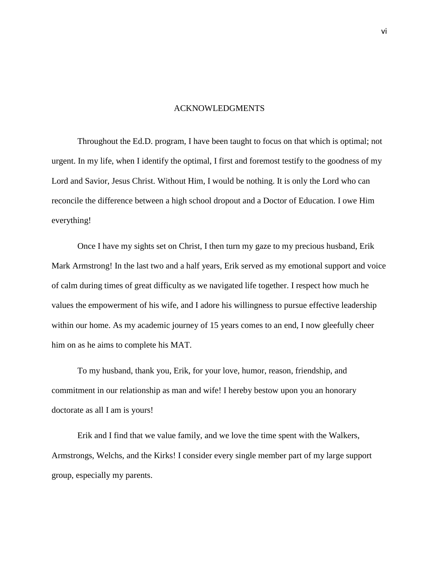### ACKNOWLEDGMENTS

Throughout the Ed.D. program, I have been taught to focus on that which is optimal; not urgent. In my life, when I identify the optimal, I first and foremost testify to the goodness of my Lord and Savior, Jesus Christ. Without Him, I would be nothing. It is only the Lord who can reconcile the difference between a high school dropout and a Doctor of Education. I owe Him everything!

Once I have my sights set on Christ, I then turn my gaze to my precious husband, Erik Mark Armstrong! In the last two and a half years, Erik served as my emotional support and voice of calm during times of great difficulty as we navigated life together. I respect how much he values the empowerment of his wife, and I adore his willingness to pursue effective leadership within our home. As my academic journey of 15 years comes to an end, I now gleefully cheer him on as he aims to complete his MAT.

To my husband, thank you, Erik, for your love, humor, reason, friendship, and commitment in our relationship as man and wife! I hereby bestow upon you an honorary doctorate as all I am is yours!

Erik and I find that we value family, and we love the time spent with the Walkers, Armstrongs, Welchs, and the Kirks! I consider every single member part of my large support group, especially my parents.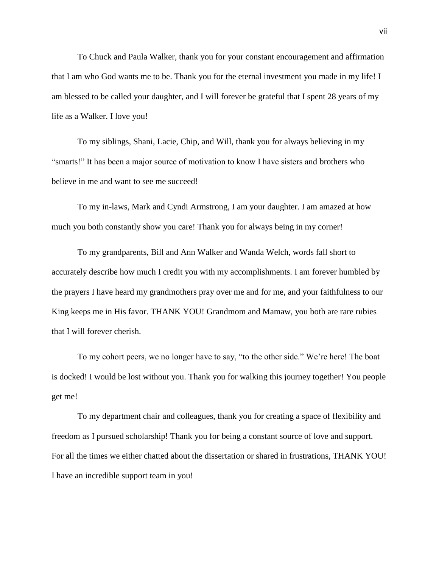To Chuck and Paula Walker, thank you for your constant encouragement and affirmation that I am who God wants me to be. Thank you for the eternal investment you made in my life! I am blessed to be called your daughter, and I will forever be grateful that I spent 28 years of my life as a Walker. I love you!

To my siblings, Shani, Lacie, Chip, and Will, thank you for always believing in my "smarts!" It has been a major source of motivation to know I have sisters and brothers who believe in me and want to see me succeed!

To my in-laws, Mark and Cyndi Armstrong, I am your daughter. I am amazed at how much you both constantly show you care! Thank you for always being in my corner!

To my grandparents, Bill and Ann Walker and Wanda Welch, words fall short to accurately describe how much I credit you with my accomplishments. I am forever humbled by the prayers I have heard my grandmothers pray over me and for me, and your faithfulness to our King keeps me in His favor. THANK YOU! Grandmom and Mamaw, you both are rare rubies that I will forever cherish.

To my cohort peers, we no longer have to say, "to the other side." We're here! The boat is docked! I would be lost without you. Thank you for walking this journey together! You people get me!

To my department chair and colleagues, thank you for creating a space of flexibility and freedom as I pursued scholarship! Thank you for being a constant source of love and support. For all the times we either chatted about the dissertation or shared in frustrations, THANK YOU! I have an incredible support team in you!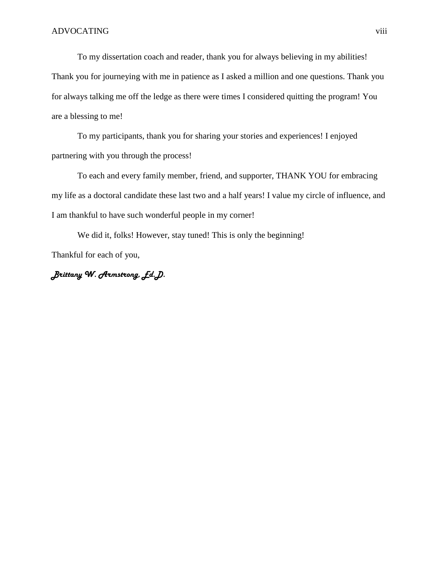To my dissertation coach and reader, thank you for always believing in my abilities! Thank you for journeying with me in patience as I asked a million and one questions. Thank you for always talking me off the ledge as there were times I considered quitting the program! You are a blessing to me!

To my participants, thank you for sharing your stories and experiences! I enjoyed partnering with you through the process!

To each and every family member, friend, and supporter, THANK YOU for embracing my life as a doctoral candidate these last two and a half years! I value my circle of influence, and I am thankful to have such wonderful people in my corner!

We did it, folks! However, stay tuned! This is only the beginning! Thankful for each of you,

*Brittany W. Armstrong, Ed.D.*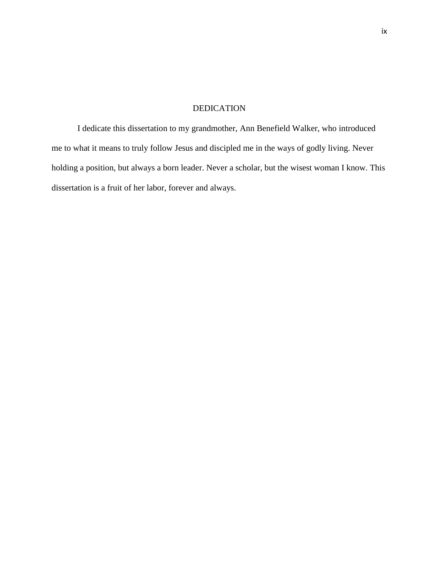### DEDICATION

I dedicate this dissertation to my grandmother, Ann Benefield Walker, who introduced me to what it means to truly follow Jesus and discipled me in the ways of godly living. Never holding a position, but always a born leader. Never a scholar, but the wisest woman I know. This dissertation is a fruit of her labor, forever and always.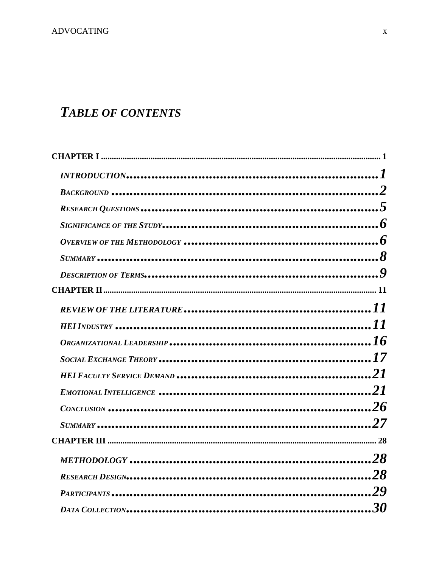# **TABLE OF CONTENTS**

| HEI FACULTY SERVICE DEMAND …………………………………………………………………21 |  |
|--------------------------------------------------------|--|
|                                                        |  |
|                                                        |  |
|                                                        |  |
|                                                        |  |
|                                                        |  |
|                                                        |  |
|                                                        |  |
|                                                        |  |
|                                                        |  |
|                                                        |  |
|                                                        |  |
|                                                        |  |
|                                                        |  |
|                                                        |  |
|                                                        |  |
|                                                        |  |
|                                                        |  |
|                                                        |  |
|                                                        |  |
|                                                        |  |
|                                                        |  |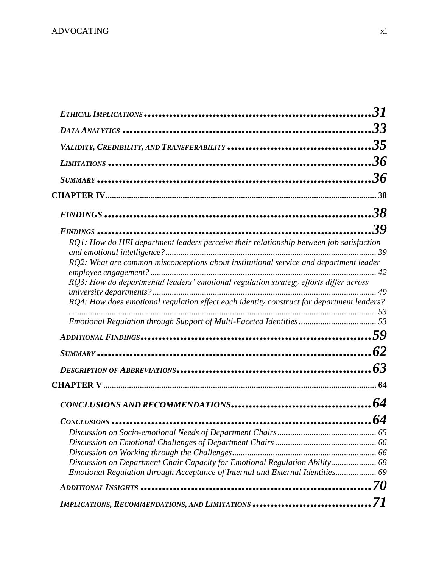| RQ1: How do HEI department leaders perceive their relationship between job satisfaction<br>RQ2: What are common misconceptions about institutional service and department leader<br>RQ3: How do departmental leaders' emotional regulation strategy efforts differ across<br>RQ4: How does emotional regulation effect each identity construct for department leaders? |  |
|------------------------------------------------------------------------------------------------------------------------------------------------------------------------------------------------------------------------------------------------------------------------------------------------------------------------------------------------------------------------|--|
|                                                                                                                                                                                                                                                                                                                                                                        |  |
|                                                                                                                                                                                                                                                                                                                                                                        |  |
|                                                                                                                                                                                                                                                                                                                                                                        |  |
|                                                                                                                                                                                                                                                                                                                                                                        |  |
|                                                                                                                                                                                                                                                                                                                                                                        |  |
|                                                                                                                                                                                                                                                                                                                                                                        |  |
|                                                                                                                                                                                                                                                                                                                                                                        |  |
|                                                                                                                                                                                                                                                                                                                                                                        |  |
|                                                                                                                                                                                                                                                                                                                                                                        |  |
|                                                                                                                                                                                                                                                                                                                                                                        |  |
| Discussion on Department Chair Capacity for Emotional Regulation Ability 68                                                                                                                                                                                                                                                                                            |  |
| Emotional Regulation through Acceptance of Internal and External Identities 69                                                                                                                                                                                                                                                                                         |  |
|                                                                                                                                                                                                                                                                                                                                                                        |  |
| IMPLICATIONS, RECOMMENDATIONS, AND LIMITATIONS                                                                                                                                                                                                                                                                                                                         |  |
|                                                                                                                                                                                                                                                                                                                                                                        |  |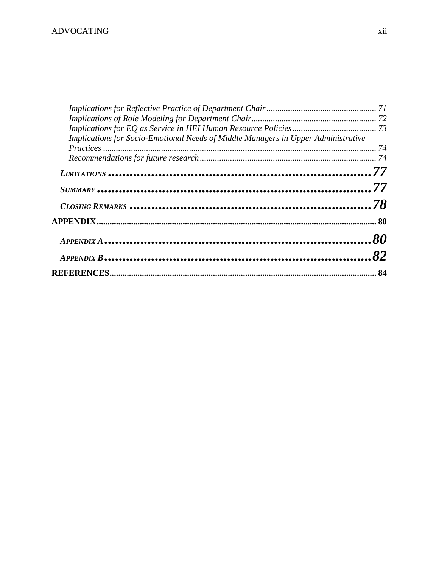| Implications for Socio-Emotional Needs of Middle Managers in Upper Administrative<br>LIMITATIONS …………………………………………………………………………77<br>$\frac{C\text{LOSING REMARKS}}{78}$ |  |
|------------------------------------------------------------------------------------------------------------------------------------------------------------------------|--|
|                                                                                                                                                                        |  |
|                                                                                                                                                                        |  |
|                                                                                                                                                                        |  |
|                                                                                                                                                                        |  |
|                                                                                                                                                                        |  |
|                                                                                                                                                                        |  |
|                                                                                                                                                                        |  |
|                                                                                                                                                                        |  |
|                                                                                                                                                                        |  |
|                                                                                                                                                                        |  |
|                                                                                                                                                                        |  |
|                                                                                                                                                                        |  |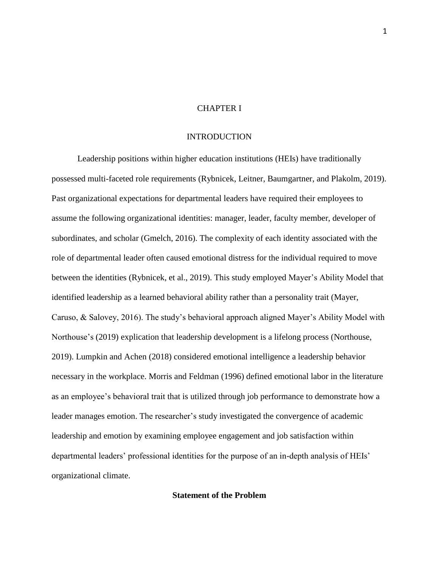### CHAPTER I

### INTRODUCTION

<span id="page-13-1"></span><span id="page-13-0"></span>Leadership positions within higher education institutions (HEIs) have traditionally possessed multi-faceted role requirements (Rybnicek, Leitner, Baumgartner, and Plakolm, 2019). Past organizational expectations for departmental leaders have required their employees to assume the following organizational identities: manager, leader, faculty member, developer of subordinates, and scholar (Gmelch, 2016). The complexity of each identity associated with the role of departmental leader often caused emotional distress for the individual required to move between the identities (Rybnicek, et al., 2019). This study employed Mayer's Ability Model that identified leadership as a learned behavioral ability rather than a personality trait (Mayer, Caruso, & Salovey, 2016). The study's behavioral approach aligned Mayer's Ability Model with Northouse's (2019) explication that leadership development is a lifelong process (Northouse, 2019). Lumpkin and Achen (2018) considered emotional intelligence a leadership behavior necessary in the workplace. Morris and Feldman (1996) defined emotional labor in the literature as an employee's behavioral trait that is utilized through job performance to demonstrate how a leader manages emotion. The researcher's study investigated the convergence of academic leadership and emotion by examining employee engagement and job satisfaction within departmental leaders' professional identities for the purpose of an in-depth analysis of HEIs' organizational climate.

### **Statement of the Problem**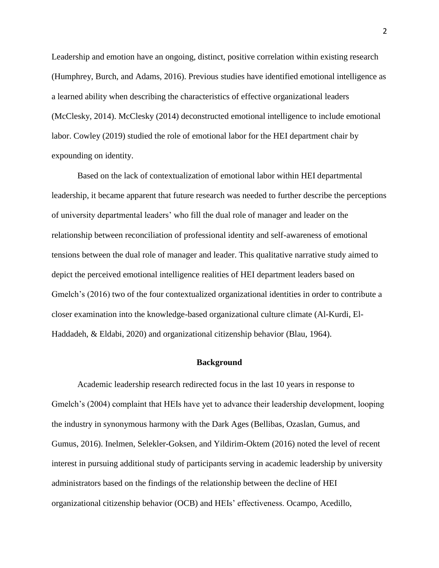Leadership and emotion have an ongoing, distinct, positive correlation within existing research (Humphrey, Burch, and Adams, 2016). Previous studies have identified emotional intelligence as a learned ability when describing the characteristics of effective organizational leaders (McClesky, 2014). McClesky (2014) deconstructed emotional intelligence to include emotional labor. Cowley (2019) studied the role of emotional labor for the HEI department chair by expounding on identity.

Based on the lack of contextualization of emotional labor within HEI departmental leadership, it became apparent that future research was needed to further describe the perceptions of university departmental leaders' who fill the dual role of manager and leader on the relationship between reconciliation of professional identity and self-awareness of emotional tensions between the dual role of manager and leader. This qualitative narrative study aimed to depict the perceived emotional intelligence realities of HEI department leaders based on Gmelch's (2016) two of the four contextualized organizational identities in order to contribute a closer examination into the knowledge-based organizational culture climate (Al-Kurdi, El-Haddadeh, & Eldabi, 2020) and organizational citizenship behavior (Blau, 1964).

### **Background**

<span id="page-14-0"></span>Academic leadership research redirected focus in the last 10 years in response to Gmelch's (2004) complaint that HEIs have yet to advance their leadership development, looping the industry in synonymous harmony with the Dark Ages (Bellibas, Ozaslan, Gumus, and Gumus, 2016). Inelmen, Selekler-Goksen, and Yildirim-Oktem (2016) noted the level of recent interest in pursuing additional study of participants serving in academic leadership by university administrators based on the findings of the relationship between the decline of HEI organizational citizenship behavior (OCB) and HEIs' effectiveness. Ocampo, Acedillo,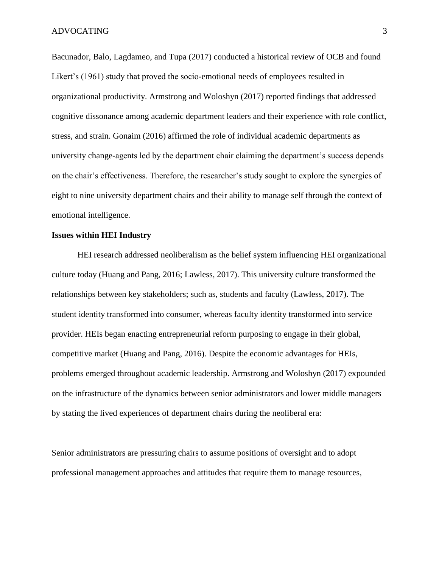Bacunador, Balo, Lagdameo, and Tupa (2017) conducted a historical review of OCB and found Likert's (1961) study that proved the socio-emotional needs of employees resulted in organizational productivity. Armstrong and Woloshyn (2017) reported findings that addressed cognitive dissonance among academic department leaders and their experience with role conflict, stress, and strain. Gonaim (2016) affirmed the role of individual academic departments as university change-agents led by the department chair claiming the department's success depends on the chair's effectiveness. Therefore, the researcher's study sought to explore the synergies of eight to nine university department chairs and their ability to manage self through the context of emotional intelligence.

### **Issues within HEI Industry**

HEI research addressed neoliberalism as the belief system influencing HEI organizational culture today (Huang and Pang, 2016; Lawless, 2017). This university culture transformed the relationships between key stakeholders; such as, students and faculty (Lawless, 2017). The student identity transformed into consumer, whereas faculty identity transformed into service provider. HEIs began enacting entrepreneurial reform purposing to engage in their global, competitive market (Huang and Pang, 2016). Despite the economic advantages for HEIs, problems emerged throughout academic leadership. Armstrong and Woloshyn (2017) expounded on the infrastructure of the dynamics between senior administrators and lower middle managers by stating the lived experiences of department chairs during the neoliberal era:

Senior administrators are pressuring chairs to assume positions of oversight and to adopt professional management approaches and attitudes that require them to manage resources,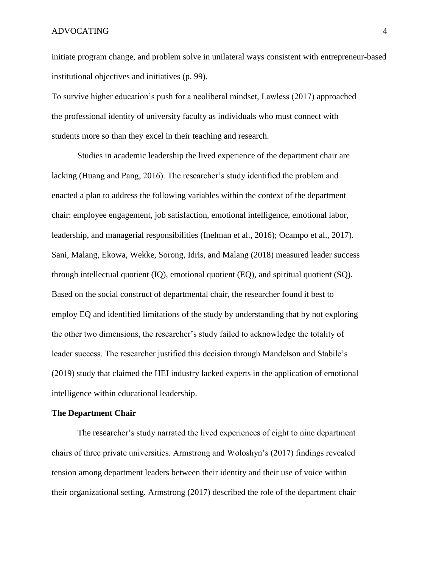initiate program change, and problem solve in unilateral ways consistent with entrepreneur-based institutional objectives and initiatives (p. 99).

To survive higher education's push for a neoliberal mindset, Lawless (2017) approached the professional identity of university faculty as individuals who must connect with students more so than they excel in their teaching and research.

Studies in academic leadership the lived experience of the department chair are lacking (Huang and Pang, 2016). The researcher's study identified the problem and enacted a plan to address the following variables within the context of the department chair: employee engagement, job satisfaction, emotional intelligence, emotional labor, leadership, and managerial responsibilities (Inelman et al., 2016); Ocampo et al., 2017). Sani, Malang, Ekowa, Wekke, Sorong, Idris, and Malang (2018) measured leader success through intellectual quotient (IQ), emotional quotient (EQ), and spiritual quotient (SQ). Based on the social construct of departmental chair, the researcher found it best to employ EQ and identified limitations of the study by understanding that by not exploring the other two dimensions, the researcher's study failed to acknowledge the totality of leader success. The researcher justified this decision through Mandelson and Stabile's (2019) study that claimed the HEI industry lacked experts in the application of emotional intelligence within educational leadership.

#### **The Department Chair**

The researcher's study narrated the lived experiences of eight to nine department chairs of three private universities. Armstrong and Woloshyn's (2017) findings revealed tension among department leaders between their identity and their use of voice within their organizational setting. Armstrong (2017) described the role of the department chair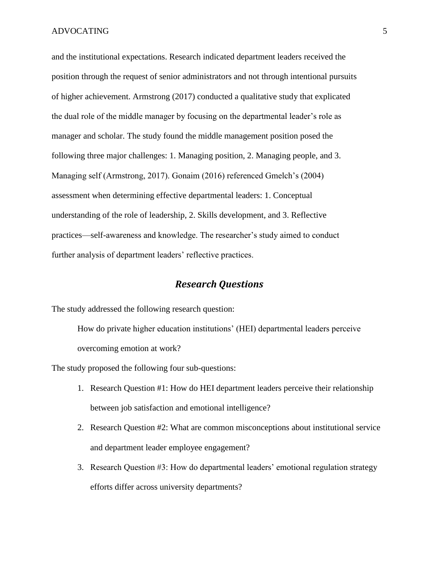and the institutional expectations. Research indicated department leaders received the position through the request of senior administrators and not through intentional pursuits of higher achievement. Armstrong (2017) conducted a qualitative study that explicated the dual role of the middle manager by focusing on the departmental leader's role as manager and scholar. The study found the middle management position posed the following three major challenges: 1. Managing position, 2. Managing people, and 3. Managing self (Armstrong, 2017). Gonaim (2016) referenced Gmelch's (2004) assessment when determining effective departmental leaders: 1. Conceptual understanding of the role of leadership, 2. Skills development, and 3. Reflective practices—self-awareness and knowledge. The researcher's study aimed to conduct further analysis of department leaders' reflective practices.

### *Research Questions*

<span id="page-17-0"></span>The study addressed the following research question:

How do private higher education institutions' (HEI) departmental leaders perceive overcoming emotion at work?

The study proposed the following four sub-questions:

- 1. Research Question #1: How do HEI department leaders perceive their relationship between job satisfaction and emotional intelligence?
- 2. Research Question #2: What are common misconceptions about institutional service and department leader employee engagement?
- 3. Research Question #3: How do departmental leaders' emotional regulation strategy efforts differ across university departments?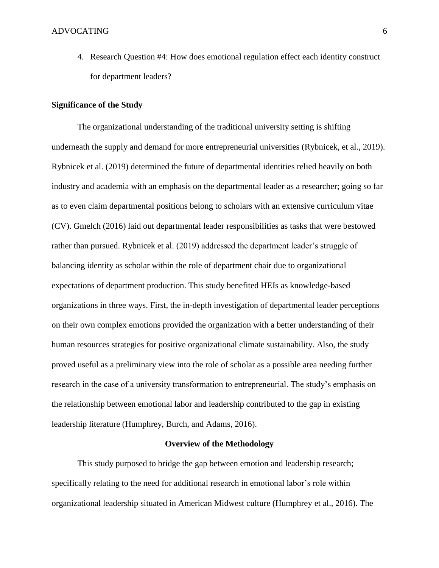4. Research Question #4: How does emotional regulation effect each identity construct for department leaders?

### <span id="page-18-0"></span>**Significance of the Study**

The organizational understanding of the traditional university setting is shifting underneath the supply and demand for more entrepreneurial universities (Rybnicek, et al., 2019). Rybnicek et al. (2019) determined the future of departmental identities relied heavily on both industry and academia with an emphasis on the departmental leader as a researcher; going so far as to even claim departmental positions belong to scholars with an extensive curriculum vitae (CV). Gmelch (2016) laid out departmental leader responsibilities as tasks that were bestowed rather than pursued. Rybnicek et al. (2019) addressed the department leader's struggle of balancing identity as scholar within the role of department chair due to organizational expectations of department production. This study benefited HEIs as knowledge-based organizations in three ways. First, the in-depth investigation of departmental leader perceptions on their own complex emotions provided the organization with a better understanding of their human resources strategies for positive organizational climate sustainability. Also, the study proved useful as a preliminary view into the role of scholar as a possible area needing further research in the case of a university transformation to entrepreneurial. The study's emphasis on the relationship between emotional labor and leadership contributed to the gap in existing leadership literature (Humphrey, Burch, and Adams, 2016).

### <span id="page-18-1"></span>**Overview of the Methodology**

This study purposed to bridge the gap between emotion and leadership research; specifically relating to the need for additional research in emotional labor's role within organizational leadership situated in American Midwest culture (Humphrey et al., 2016). The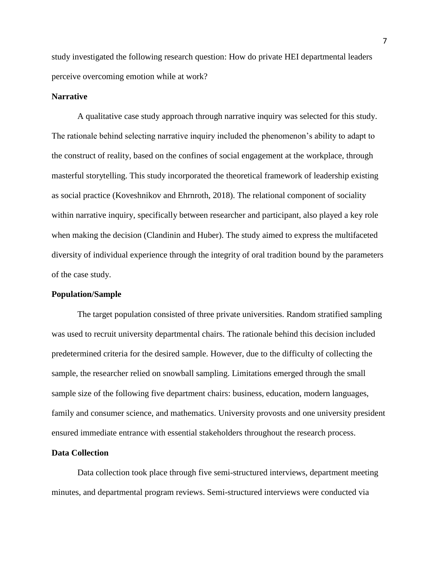study investigated the following research question: How do private HEI departmental leaders perceive overcoming emotion while at work?

### **Narrative**

A qualitative case study approach through narrative inquiry was selected for this study. The rationale behind selecting narrative inquiry included the phenomenon's ability to adapt to the construct of reality, based on the confines of social engagement at the workplace, through masterful storytelling. This study incorporated the theoretical framework of leadership existing as social practice (Koveshnikov and Ehrnroth, 2018). The relational component of sociality within narrative inquiry, specifically between researcher and participant, also played a key role when making the decision (Clandinin and Huber). The study aimed to express the multifaceted diversity of individual experience through the integrity of oral tradition bound by the parameters of the case study.

### **Population/Sample**

The target population consisted of three private universities. Random stratified sampling was used to recruit university departmental chairs. The rationale behind this decision included predetermined criteria for the desired sample. However, due to the difficulty of collecting the sample, the researcher relied on snowball sampling. Limitations emerged through the small sample size of the following five department chairs: business, education, modern languages, family and consumer science, and mathematics. University provosts and one university president ensured immediate entrance with essential stakeholders throughout the research process.

### **Data Collection**

Data collection took place through five semi-structured interviews, department meeting minutes, and departmental program reviews. Semi-structured interviews were conducted via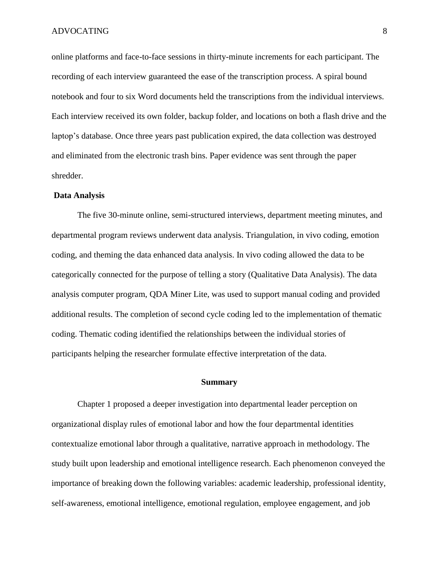online platforms and face-to-face sessions in thirty-minute increments for each participant. The recording of each interview guaranteed the ease of the transcription process. A spiral bound notebook and four to six Word documents held the transcriptions from the individual interviews. Each interview received its own folder, backup folder, and locations on both a flash drive and the laptop's database. Once three years past publication expired, the data collection was destroyed and eliminated from the electronic trash bins. Paper evidence was sent through the paper shredder.

### **Data Analysis**

The five 30-minute online, semi-structured interviews, department meeting minutes, and departmental program reviews underwent data analysis. Triangulation, in vivo coding, emotion coding, and theming the data enhanced data analysis. In vivo coding allowed the data to be categorically connected for the purpose of telling a story (Qualitative Data Analysis). The data analysis computer program, QDA Miner Lite, was used to support manual coding and provided additional results. The completion of second cycle coding led to the implementation of thematic coding. Thematic coding identified the relationships between the individual stories of participants helping the researcher formulate effective interpretation of the data.

### **Summary**

<span id="page-20-0"></span>Chapter 1 proposed a deeper investigation into departmental leader perception on organizational display rules of emotional labor and how the four departmental identities contextualize emotional labor through a qualitative, narrative approach in methodology. The study built upon leadership and emotional intelligence research. Each phenomenon conveyed the importance of breaking down the following variables: academic leadership, professional identity, self-awareness, emotional intelligence, emotional regulation, employee engagement, and job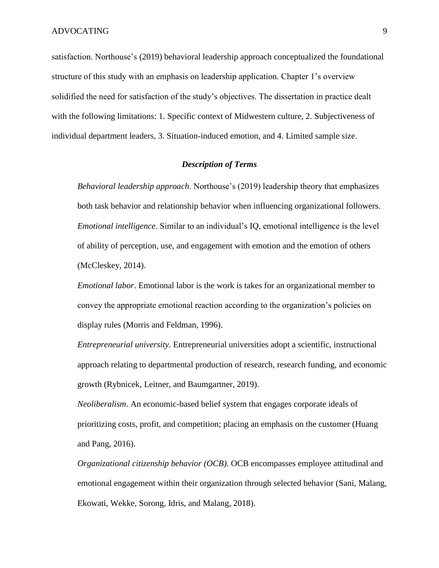satisfaction. Northouse's (2019) behavioral leadership approach conceptualized the foundational structure of this study with an emphasis on leadership application. Chapter 1's overview solidified the need for satisfaction of the study's objectives. The dissertation in practice dealt with the following limitations: 1. Specific context of Midwestern culture, 2. Subjectiveness of individual department leaders, 3. Situation-induced emotion, and 4. Limited sample size.

### *Description of Terms*

<span id="page-21-0"></span>*Behavioral leadership approach*. Northouse's (2019) leadership theory that emphasizes both task behavior and relationship behavior when influencing organizational followers. *Emotional intelligence*. Similar to an individual's IQ, emotional intelligence is the level of ability of perception, use, and engagement with emotion and the emotion of others (McCleskey, 2014).

*Emotional labor*. Emotional labor is the work is takes for an organizational member to convey the appropriate emotional reaction according to the organization's policies on display rules (Morris and Feldman, 1996).

*Entrepreneurial university*. Entrepreneurial universities adopt a scientific, instructional approach relating to departmental production of research, research funding, and economic growth (Rybnicek, Leitner, and Baumgartner, 2019).

*Neoliberalism*. An economic-based belief system that engages corporate ideals of prioritizing costs, profit, and competition; placing an emphasis on the customer (Huang and Pang, 2016).

*Organizational citizenship behavior (OCB)*. OCB encompasses employee attitudinal and emotional engagement within their organization through selected behavior (Sani, Malang, Ekowati, Wekke, Sorong, Idris, and Malang, 2018).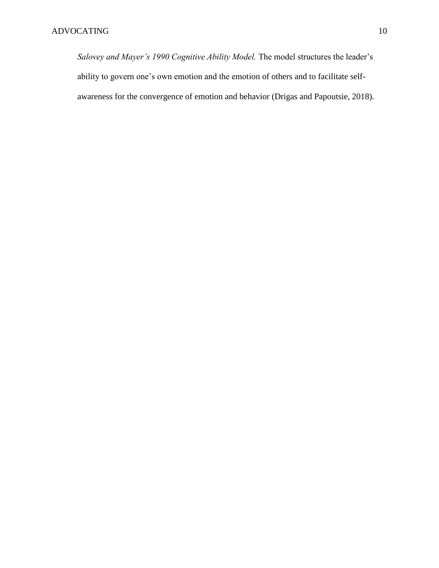<span id="page-22-0"></span>*Salovey and Mayer's 1990 Cognitive Ability Model.* The model structures the leader's ability to govern one's own emotion and the emotion of others and to facilitate selfawareness for the convergence of emotion and behavior (Drigas and Papoutsie, 2018).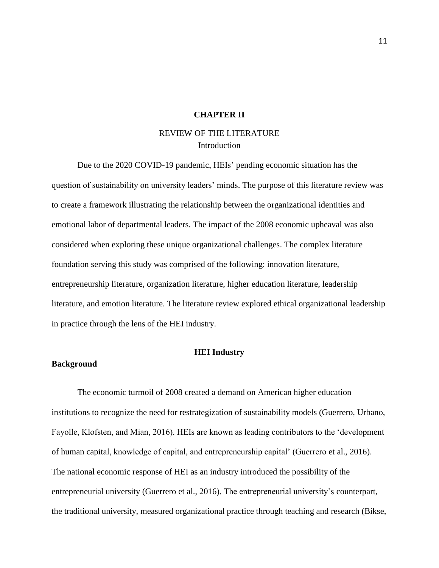### **CHAPTER II**

### REVIEW OF THE LITERATURE Introduction

<span id="page-23-0"></span>Due to the 2020 COVID-19 pandemic, HEIs' pending economic situation has the question of sustainability on university leaders' minds. The purpose of this literature review was to create a framework illustrating the relationship between the organizational identities and emotional labor of departmental leaders. The impact of the 2008 economic upheaval was also considered when exploring these unique organizational challenges. The complex literature foundation serving this study was comprised of the following: innovation literature, entrepreneurship literature, organization literature, higher education literature, leadership literature, and emotion literature. The literature review explored ethical organizational leadership in practice through the lens of the HEI industry.

### **HEI Industry**

### <span id="page-23-1"></span>**Background**

The economic turmoil of 2008 created a demand on American higher education institutions to recognize the need for restrategization of sustainability models (Guerrero, Urbano, Fayolle, Klofsten, and Mian, 2016). HEIs are known as leading contributors to the 'development of human capital, knowledge of capital, and entrepreneurship capital' (Guerrero et al., 2016). The national economic response of HEI as an industry introduced the possibility of the entrepreneurial university (Guerrero et al., 2016). The entrepreneurial university's counterpart, the traditional university, measured organizational practice through teaching and research (Bikse,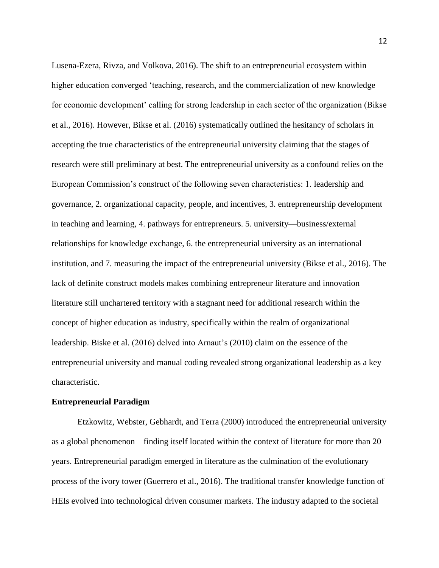Lusena-Ezera, Rivza, and Volkova, 2016). The shift to an entrepreneurial ecosystem within higher education converged 'teaching, research, and the commercialization of new knowledge for economic development' calling for strong leadership in each sector of the organization (Bikse et al., 2016). However, Bikse et al. (2016) systematically outlined the hesitancy of scholars in accepting the true characteristics of the entrepreneurial university claiming that the stages of research were still preliminary at best. The entrepreneurial university as a confound relies on the European Commission's construct of the following seven characteristics: 1. leadership and governance, 2. organizational capacity, people, and incentives, 3. entrepreneurship development in teaching and learning, 4. pathways for entrepreneurs. 5. university—business/external relationships for knowledge exchange, 6. the entrepreneurial university as an international institution, and 7. measuring the impact of the entrepreneurial university (Bikse et al., 2016). The lack of definite construct models makes combining entrepreneur literature and innovation literature still unchartered territory with a stagnant need for additional research within the concept of higher education as industry, specifically within the realm of organizational leadership. Biske et al. (2016) delved into Arnaut's (2010) claim on the essence of the entrepreneurial university and manual coding revealed strong organizational leadership as a key characteristic.

### **Entrepreneurial Paradigm**

Etzkowitz, Webster, Gebhardt, and Terra (2000) introduced the entrepreneurial university as a global phenomenon—finding itself located within the context of literature for more than 20 years. Entrepreneurial paradigm emerged in literature as the culmination of the evolutionary process of the ivory tower (Guerrero et al., 2016). The traditional transfer knowledge function of HEIs evolved into technological driven consumer markets. The industry adapted to the societal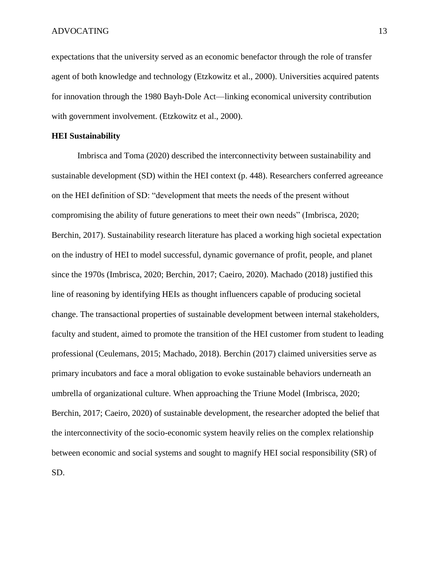expectations that the university served as an economic benefactor through the role of transfer agent of both knowledge and technology (Etzkowitz et al., 2000). Universities acquired patents for innovation through the 1980 Bayh-Dole Act—linking economical university contribution with government involvement. (Etzkowitz et al., 2000).

### **HEI Sustainability**

Imbrisca and Toma (2020) described the interconnectivity between sustainability and sustainable development (SD) within the HEI context (p. 448). Researchers conferred agreeance on the HEI definition of SD: "development that meets the needs of the present without compromising the ability of future generations to meet their own needs" (Imbrisca, 2020; Berchin, 2017). Sustainability research literature has placed a working high societal expectation on the industry of HEI to model successful, dynamic governance of profit, people, and planet since the 1970s (Imbrisca, 2020; Berchin, 2017; Caeiro, 2020). Machado (2018) justified this line of reasoning by identifying HEIs as thought influencers capable of producing societal change. The transactional properties of sustainable development between internal stakeholders, faculty and student, aimed to promote the transition of the HEI customer from student to leading professional (Ceulemans, 2015; Machado, 2018). Berchin (2017) claimed universities serve as primary incubators and face a moral obligation to evoke sustainable behaviors underneath an umbrella of organizational culture. When approaching the Triune Model (Imbrisca, 2020; Berchin, 2017; Caeiro, 2020) of sustainable development, the researcher adopted the belief that the interconnectivity of the socio-economic system heavily relies on the complex relationship between economic and social systems and sought to magnify HEI social responsibility (SR) of SD.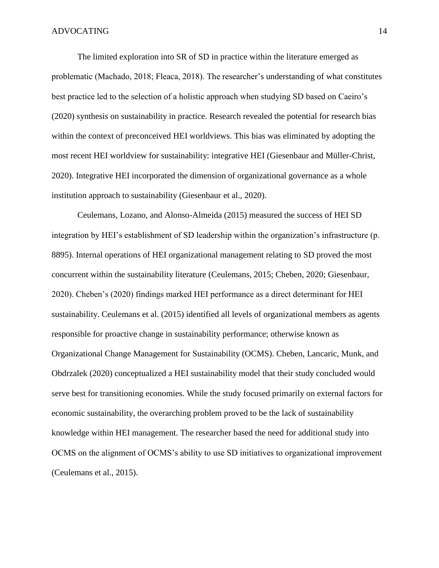The limited exploration into SR of SD in practice within the literature emerged as problematic (Machado, 2018; Fleaca, 2018). The researcher's understanding of what constitutes best practice led to the selection of a holistic approach when studying SD based on Caeiro's (2020) synthesis on sustainability in practice. Research revealed the potential for research bias within the context of preconceived HEI worldviews. This bias was eliminated by adopting the most recent HEI worldview for sustainability: integrative HEI (Giesenbaur and Müller-Christ, 2020). Integrative HEI incorporated the dimension of organizational governance as a whole institution approach to sustainability (Giesenbaur et al., 2020).

Ceulemans, Lozano, and Alonso-Almeida (2015) measured the success of HEI SD integration by HEI's establishment of SD leadership within the organization's infrastructure (p. 8895). Internal operations of HEI organizational management relating to SD proved the most concurrent within the sustainability literature (Ceulemans, 2015; Cheben, 2020; Giesenbaur, 2020). Cheben's (2020) findings marked HEI performance as a direct determinant for HEI sustainability. Ceulemans et al. (2015) identified all levels of organizational members as agents responsible for proactive change in sustainability performance; otherwise known as Organizational Change Management for Sustainability (OCMS). Cheben, Lancaric, Munk, and Obdrzalek (2020) conceptualized a HEI sustainability model that their study concluded would serve best for transitioning economies. While the study focused primarily on external factors for economic sustainability, the overarching problem proved to be the lack of sustainability knowledge within HEI management. The researcher based the need for additional study into OCMS on the alignment of OCMS's ability to use SD initiatives to organizational improvement (Ceulemans et al., 2015).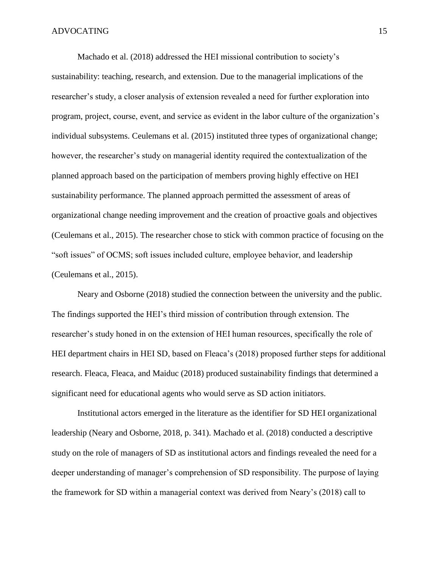Machado et al. (2018) addressed the HEI missional contribution to society's sustainability: teaching, research, and extension. Due to the managerial implications of the researcher's study, a closer analysis of extension revealed a need for further exploration into program, project, course, event, and service as evident in the labor culture of the organization's individual subsystems. Ceulemans et al. (2015) instituted three types of organizational change; however, the researcher's study on managerial identity required the contextualization of the planned approach based on the participation of members proving highly effective on HEI sustainability performance. The planned approach permitted the assessment of areas of organizational change needing improvement and the creation of proactive goals and objectives (Ceulemans et al., 2015). The researcher chose to stick with common practice of focusing on the "soft issues" of OCMS; soft issues included culture, employee behavior, and leadership (Ceulemans et al., 2015).

Neary and Osborne (2018) studied the connection between the university and the public. The findings supported the HEI's third mission of contribution through extension. The researcher's study honed in on the extension of HEI human resources, specifically the role of HEI department chairs in HEI SD, based on Fleaca's (2018) proposed further steps for additional research. Fleaca, Fleaca, and Maiduc (2018) produced sustainability findings that determined a significant need for educational agents who would serve as SD action initiators.

Institutional actors emerged in the literature as the identifier for SD HEI organizational leadership (Neary and Osborne, 2018, p. 341). Machado et al. (2018) conducted a descriptive study on the role of managers of SD as institutional actors and findings revealed the need for a deeper understanding of manager's comprehension of SD responsibility. The purpose of laying the framework for SD within a managerial context was derived from Neary's (2018) call to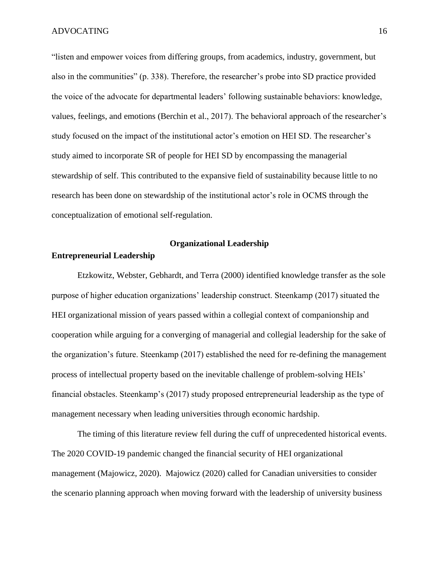"listen and empower voices from differing groups, from academics, industry, government, but also in the communities" (p. 338). Therefore, the researcher's probe into SD practice provided the voice of the advocate for departmental leaders' following sustainable behaviors: knowledge, values, feelings, and emotions (Berchin et al., 2017). The behavioral approach of the researcher's study focused on the impact of the institutional actor's emotion on HEI SD. The researcher's study aimed to incorporate SR of people for HEI SD by encompassing the managerial stewardship of self. This contributed to the expansive field of sustainability because little to no research has been done on stewardship of the institutional actor's role in OCMS through the conceptualization of emotional self-regulation.

### **Organizational Leadership**

### <span id="page-28-0"></span>**Entrepreneurial Leadership**

Etzkowitz, Webster, Gebhardt, and Terra (2000) identified knowledge transfer as the sole purpose of higher education organizations' leadership construct. Steenkamp (2017) situated the HEI organizational mission of years passed within a collegial context of companionship and cooperation while arguing for a converging of managerial and collegial leadership for the sake of the organization's future. Steenkamp (2017) established the need for re-defining the management process of intellectual property based on the inevitable challenge of problem-solving HEIs' financial obstacles. Steenkamp's (2017) study proposed entrepreneurial leadership as the type of management necessary when leading universities through economic hardship.

The timing of this literature review fell during the cuff of unprecedented historical events. The 2020 COVID-19 pandemic changed the financial security of HEI organizational management (Majowicz, 2020). Majowicz (2020) called for Canadian universities to consider the scenario planning approach when moving forward with the leadership of university business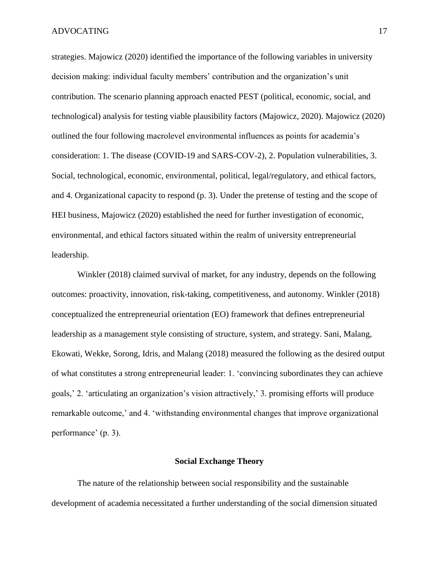strategies. Majowicz (2020) identified the importance of the following variables in university decision making: individual faculty members' contribution and the organization's unit contribution. The scenario planning approach enacted PEST (political, economic, social, and technological) analysis for testing viable plausibility factors (Majowicz, 2020). Majowicz (2020) outlined the four following macrolevel environmental influences as points for academia's consideration: 1. The disease (COVID-19 and SARS-COV-2), 2. Population vulnerabilities, 3. Social, technological, economic, environmental, political, legal/regulatory, and ethical factors, and 4. Organizational capacity to respond (p. 3). Under the pretense of testing and the scope of HEI business, Majowicz (2020) established the need for further investigation of economic, environmental, and ethical factors situated within the realm of university entrepreneurial leadership.

Winkler (2018) claimed survival of market, for any industry, depends on the following outcomes: proactivity, innovation, risk-taking, competitiveness, and autonomy. Winkler (2018) conceptualized the entrepreneurial orientation (EO) framework that defines entrepreneurial leadership as a management style consisting of structure, system, and strategy. Sani, Malang, Ekowati, Wekke, Sorong, Idris, and Malang (2018) measured the following as the desired output of what constitutes a strong entrepreneurial leader: 1. 'convincing subordinates they can achieve goals,' 2. 'articulating an organization's vision attractively,' 3. promising efforts will produce remarkable outcome,' and 4. 'withstanding environmental changes that improve organizational performance' (p. 3).

### **Social Exchange Theory**

<span id="page-29-0"></span>The nature of the relationship between social responsibility and the sustainable development of academia necessitated a further understanding of the social dimension situated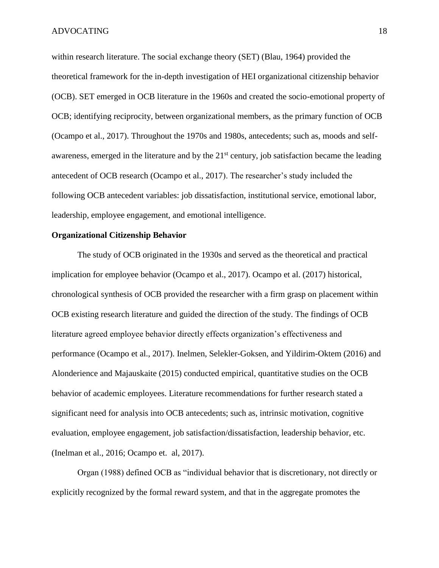within research literature. The social exchange theory (SET) (Blau, 1964) provided the theoretical framework for the in-depth investigation of HEI organizational citizenship behavior (OCB). SET emerged in OCB literature in the 1960s and created the socio-emotional property of OCB; identifying reciprocity, between organizational members, as the primary function of OCB (Ocampo et al., 2017). Throughout the 1970s and 1980s, antecedents; such as, moods and selfawareness, emerged in the literature and by the 21<sup>st</sup> century, job satisfaction became the leading antecedent of OCB research (Ocampo et al., 2017). The researcher's study included the following OCB antecedent variables: job dissatisfaction, institutional service, emotional labor, leadership, employee engagement, and emotional intelligence.

### **Organizational Citizenship Behavior**

The study of OCB originated in the 1930s and served as the theoretical and practical implication for employee behavior (Ocampo et al., 2017). Ocampo et al. (2017) historical, chronological synthesis of OCB provided the researcher with a firm grasp on placement within OCB existing research literature and guided the direction of the study. The findings of OCB literature agreed employee behavior directly effects organization's effectiveness and performance (Ocampo et al., 2017). Inelmen, Selekler-Goksen, and Yildirim-Oktem (2016) and Alonderience and Majauskaite (2015) conducted empirical, quantitative studies on the OCB behavior of academic employees. Literature recommendations for further research stated a significant need for analysis into OCB antecedents; such as, intrinsic motivation, cognitive evaluation, employee engagement, job satisfaction/dissatisfaction, leadership behavior, etc. (Inelman et al., 2016; Ocampo et. al, 2017).

Organ (1988) defined OCB as "individual behavior that is discretionary, not directly or explicitly recognized by the formal reward system, and that in the aggregate promotes the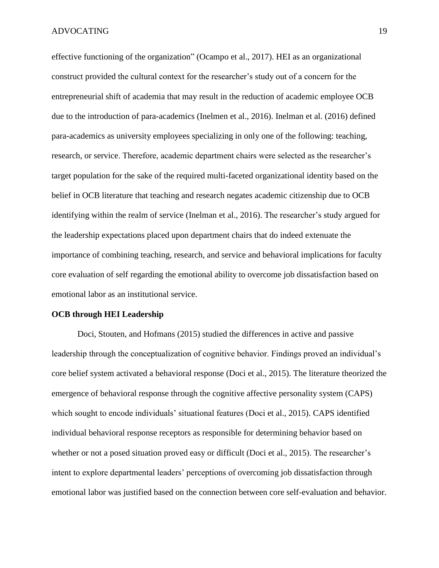effective functioning of the organization" (Ocampo et al., 2017). HEI as an organizational construct provided the cultural context for the researcher's study out of a concern for the entrepreneurial shift of academia that may result in the reduction of academic employee OCB due to the introduction of para-academics (Inelmen et al., 2016). Inelman et al. (2016) defined para-academics as university employees specializing in only one of the following: teaching, research, or service. Therefore, academic department chairs were selected as the researcher's target population for the sake of the required multi-faceted organizational identity based on the belief in OCB literature that teaching and research negates academic citizenship due to OCB identifying within the realm of service (Inelman et al., 2016). The researcher's study argued for the leadership expectations placed upon department chairs that do indeed extenuate the importance of combining teaching, research, and service and behavioral implications for faculty core evaluation of self regarding the emotional ability to overcome job dissatisfaction based on emotional labor as an institutional service.

### **OCB through HEI Leadership**

Doci, Stouten, and Hofmans (2015) studied the differences in active and passive leadership through the conceptualization of cognitive behavior. Findings proved an individual's core belief system activated a behavioral response (Doci et al., 2015). The literature theorized the emergence of behavioral response through the cognitive affective personality system (CAPS) which sought to encode individuals' situational features (Doci et al., 2015). CAPS identified individual behavioral response receptors as responsible for determining behavior based on whether or not a posed situation proved easy or difficult (Doci et al., 2015). The researcher's intent to explore departmental leaders' perceptions of overcoming job dissatisfaction through emotional labor was justified based on the connection between core self-evaluation and behavior.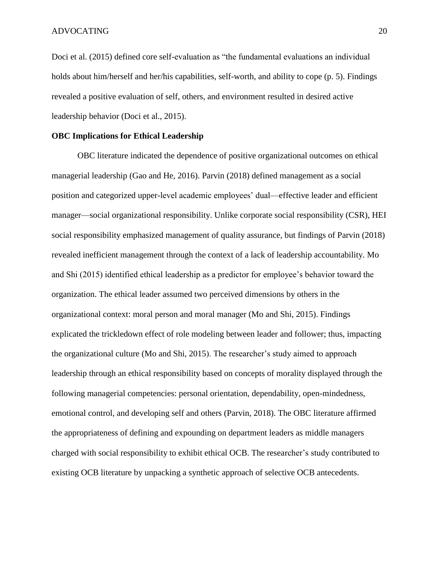Doci et al. (2015) defined core self-evaluation as "the fundamental evaluations an individual holds about him/herself and her/his capabilities, self-worth, and ability to cope (p. 5). Findings revealed a positive evaluation of self, others, and environment resulted in desired active leadership behavior (Doci et al., 2015).

#### **OBC Implications for Ethical Leadership**

OBC literature indicated the dependence of positive organizational outcomes on ethical managerial leadership (Gao and He, 2016). Parvin (2018) defined management as a social position and categorized upper-level academic employees' dual—effective leader and efficient manager—social organizational responsibility. Unlike corporate social responsibility (CSR), HEI social responsibility emphasized management of quality assurance, but findings of Parvin (2018) revealed inefficient management through the context of a lack of leadership accountability. Mo and Shi (2015) identified ethical leadership as a predictor for employee's behavior toward the organization. The ethical leader assumed two perceived dimensions by others in the organizational context: moral person and moral manager (Mo and Shi, 2015). Findings explicated the trickledown effect of role modeling between leader and follower; thus, impacting the organizational culture (Mo and Shi, 2015). The researcher's study aimed to approach leadership through an ethical responsibility based on concepts of morality displayed through the following managerial competencies: personal orientation, dependability, open-mindedness, emotional control, and developing self and others (Parvin, 2018). The OBC literature affirmed the appropriateness of defining and expounding on department leaders as middle managers charged with social responsibility to exhibit ethical OCB. The researcher's study contributed to existing OCB literature by unpacking a synthetic approach of selective OCB antecedents.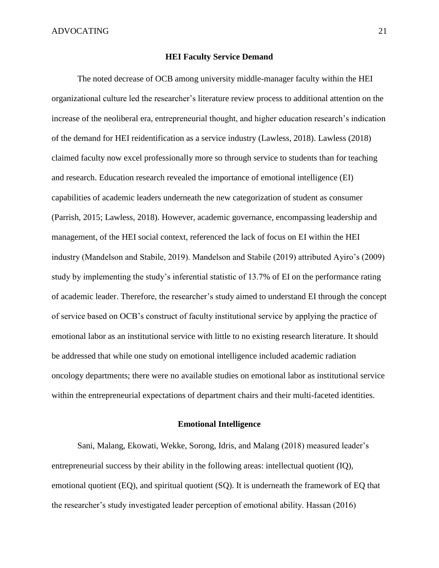### **HEI Faculty Service Demand**

<span id="page-33-0"></span>The noted decrease of OCB among university middle-manager faculty within the HEI organizational culture led the researcher's literature review process to additional attention on the increase of the neoliberal era, entrepreneurial thought, and higher education research's indication of the demand for HEI reidentification as a service industry (Lawless, 2018). Lawless (2018) claimed faculty now excel professionally more so through service to students than for teaching and research. Education research revealed the importance of emotional intelligence (EI) capabilities of academic leaders underneath the new categorization of student as consumer (Parrish, 2015; Lawless, 2018). However, academic governance, encompassing leadership and management, of the HEI social context, referenced the lack of focus on EI within the HEI industry (Mandelson and Stabile, 2019). Mandelson and Stabile (2019) attributed Ayiro's (2009) study by implementing the study's inferential statistic of 13.7% of EI on the performance rating of academic leader. Therefore, the researcher's study aimed to understand EI through the concept of service based on OCB's construct of faculty institutional service by applying the practice of emotional labor as an institutional service with little to no existing research literature. It should be addressed that while one study on emotional intelligence included academic radiation oncology departments; there were no available studies on emotional labor as institutional service within the entrepreneurial expectations of department chairs and their multi-faceted identities.

### **Emotional Intelligence**

<span id="page-33-1"></span>Sani, Malang, Ekowati, Wekke, Sorong, Idris, and Malang (2018) measured leader's entrepreneurial success by their ability in the following areas: intellectual quotient (IQ), emotional quotient (EQ), and spiritual quotient (SQ). It is underneath the framework of EQ that the researcher's study investigated leader perception of emotional ability. Hassan (2016)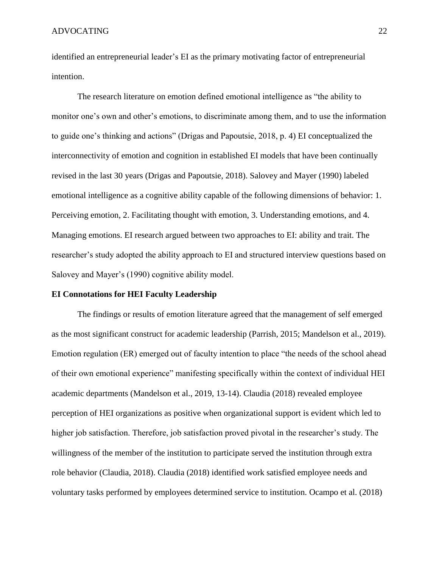identified an entrepreneurial leader's EI as the primary motivating factor of entrepreneurial intention.

The research literature on emotion defined emotional intelligence as "the ability to monitor one's own and other's emotions, to discriminate among them, and to use the information to guide one's thinking and actions" (Drigas and Papoutsie, 2018, p. 4) EI conceptualized the interconnectivity of emotion and cognition in established EI models that have been continually revised in the last 30 years (Drigas and Papoutsie, 2018). Salovey and Mayer (1990) labeled emotional intelligence as a cognitive ability capable of the following dimensions of behavior: 1. Perceiving emotion, 2. Facilitating thought with emotion, 3. Understanding emotions, and 4. Managing emotions. EI research argued between two approaches to EI: ability and trait. The researcher's study adopted the ability approach to EI and structured interview questions based on Salovey and Mayer's (1990) cognitive ability model.

### **EI Connotations for HEI Faculty Leadership**

The findings or results of emotion literature agreed that the management of self emerged as the most significant construct for academic leadership (Parrish, 2015; Mandelson et al., 2019). Emotion regulation (ER) emerged out of faculty intention to place "the needs of the school ahead of their own emotional experience" manifesting specifically within the context of individual HEI academic departments (Mandelson et al., 2019, 13-14). Claudia (2018) revealed employee perception of HEI organizations as positive when organizational support is evident which led to higher job satisfaction. Therefore, job satisfaction proved pivotal in the researcher's study. The willingness of the member of the institution to participate served the institution through extra role behavior (Claudia, 2018). Claudia (2018) identified work satisfied employee needs and voluntary tasks performed by employees determined service to institution. Ocampo et al. (2018)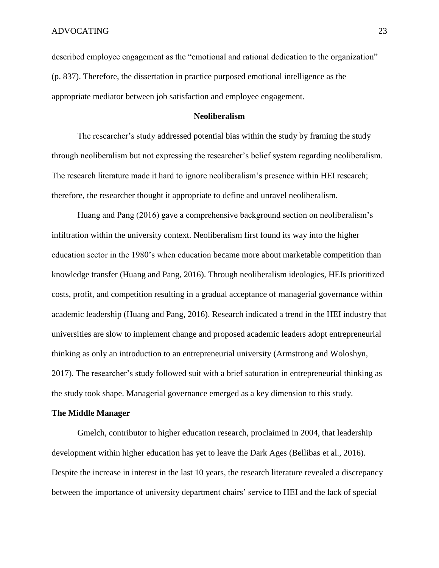described employee engagement as the "emotional and rational dedication to the organization" (p. 837). Therefore, the dissertation in practice purposed emotional intelligence as the appropriate mediator between job satisfaction and employee engagement.

### **Neoliberalism**

The researcher's study addressed potential bias within the study by framing the study through neoliberalism but not expressing the researcher's belief system regarding neoliberalism. The research literature made it hard to ignore neoliberalism's presence within HEI research; therefore, the researcher thought it appropriate to define and unravel neoliberalism.

Huang and Pang (2016) gave a comprehensive background section on neoliberalism's infiltration within the university context. Neoliberalism first found its way into the higher education sector in the 1980's when education became more about marketable competition than knowledge transfer (Huang and Pang, 2016). Through neoliberalism ideologies, HEIs prioritized costs, profit, and competition resulting in a gradual acceptance of managerial governance within academic leadership (Huang and Pang, 2016). Research indicated a trend in the HEI industry that universities are slow to implement change and proposed academic leaders adopt entrepreneurial thinking as only an introduction to an entrepreneurial university (Armstrong and Woloshyn, 2017). The researcher's study followed suit with a brief saturation in entrepreneurial thinking as the study took shape. Managerial governance emerged as a key dimension to this study.

#### **The Middle Manager**

Gmelch, contributor to higher education research, proclaimed in 2004, that leadership development within higher education has yet to leave the Dark Ages (Bellibas et al., 2016). Despite the increase in interest in the last 10 years, the research literature revealed a discrepancy between the importance of university department chairs' service to HEI and the lack of special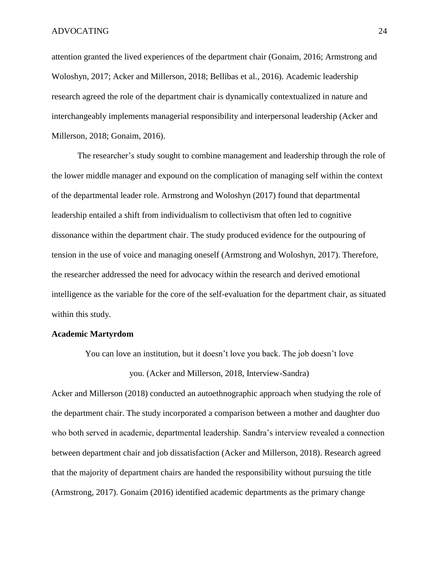attention granted the lived experiences of the department chair (Gonaim, 2016; Armstrong and Woloshyn, 2017; Acker and Millerson, 2018; Bellibas et al., 2016). Academic leadership research agreed the role of the department chair is dynamically contextualized in nature and interchangeably implements managerial responsibility and interpersonal leadership (Acker and Millerson, 2018; Gonaim, 2016).

The researcher's study sought to combine management and leadership through the role of the lower middle manager and expound on the complication of managing self within the context of the departmental leader role. Armstrong and Woloshyn (2017) found that departmental leadership entailed a shift from individualism to collectivism that often led to cognitive dissonance within the department chair. The study produced evidence for the outpouring of tension in the use of voice and managing oneself (Armstrong and Woloshyn, 2017). Therefore, the researcher addressed the need for advocacy within the research and derived emotional intelligence as the variable for the core of the self-evaluation for the department chair, as situated within this study.

#### **Academic Martyrdom**

You can love an institution, but it doesn't love you back. The job doesn't love

you. (Acker and Millerson, 2018, Interview-Sandra)

Acker and Millerson (2018) conducted an autoethnographic approach when studying the role of the department chair. The study incorporated a comparison between a mother and daughter duo who both served in academic, departmental leadership. Sandra's interview revealed a connection between department chair and job dissatisfaction (Acker and Millerson, 2018). Research agreed that the majority of department chairs are handed the responsibility without pursuing the title (Armstrong, 2017). Gonaim (2016) identified academic departments as the primary change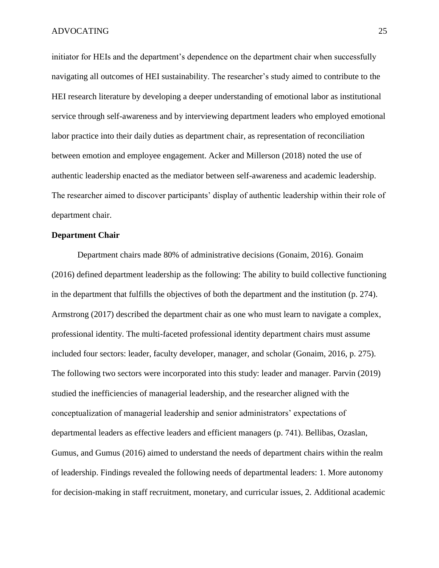initiator for HEIs and the department's dependence on the department chair when successfully navigating all outcomes of HEI sustainability. The researcher's study aimed to contribute to the HEI research literature by developing a deeper understanding of emotional labor as institutional service through self-awareness and by interviewing department leaders who employed emotional labor practice into their daily duties as department chair, as representation of reconciliation between emotion and employee engagement. Acker and Millerson (2018) noted the use of authentic leadership enacted as the mediator between self-awareness and academic leadership. The researcher aimed to discover participants' display of authentic leadership within their role of department chair.

#### **Department Chair**

Department chairs made 80% of administrative decisions (Gonaim, 2016). Gonaim (2016) defined department leadership as the following: The ability to build collective functioning in the department that fulfills the objectives of both the department and the institution (p. 274). Armstrong (2017) described the department chair as one who must learn to navigate a complex, professional identity. The multi-faceted professional identity department chairs must assume included four sectors: leader, faculty developer, manager, and scholar (Gonaim, 2016, p. 275). The following two sectors were incorporated into this study: leader and manager. Parvin (2019) studied the inefficiencies of managerial leadership, and the researcher aligned with the conceptualization of managerial leadership and senior administrators' expectations of departmental leaders as effective leaders and efficient managers (p. 741). Bellibas, Ozaslan, Gumus, and Gumus (2016) aimed to understand the needs of department chairs within the realm of leadership. Findings revealed the following needs of departmental leaders: 1. More autonomy for decision-making in staff recruitment, monetary, and curricular issues, 2. Additional academic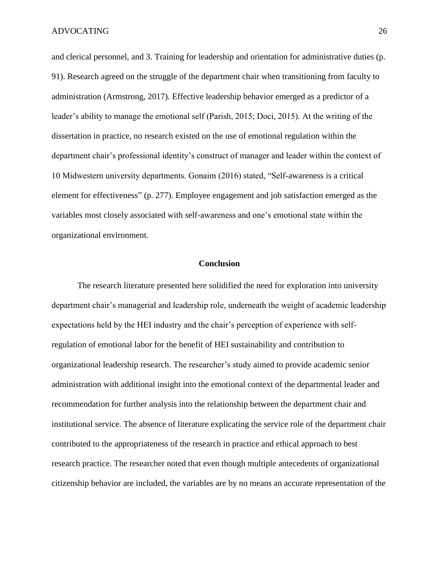and clerical personnel, and 3. Training for leadership and orientation for administrative duties (p. 91). Research agreed on the struggle of the department chair when transitioning from faculty to administration (Armstrong, 2017). Effective leadership behavior emerged as a predictor of a leader's ability to manage the emotional self (Parish, 2015; Doci, 2015). At the writing of the dissertation in practice, no research existed on the use of emotional regulation within the department chair's professional identity's construct of manager and leader within the context of 10 Midwestern university departments. Gonaim (2016) stated, "Self-awareness is a critical element for effectiveness" (p. 277). Employee engagement and job satisfaction emerged as the variables most closely associated with self-awareness and one's emotional state within the organizational environment.

#### **Conclusion**

The research literature presented here solidified the need for exploration into university department chair's managerial and leadership role, underneath the weight of academic leadership expectations held by the HEI industry and the chair's perception of experience with selfregulation of emotional labor for the benefit of HEI sustainability and contribution to organizational leadership research. The researcher's study aimed to provide academic senior administration with additional insight into the emotional context of the departmental leader and recommendation for further analysis into the relationship between the department chair and institutional service. The absence of literature explicating the service role of the department chair contributed to the appropriateness of the research in practice and ethical approach to best research practice. The researcher noted that even though multiple antecedents of organizational citizenship behavior are included, the variables are by no means an accurate representation of the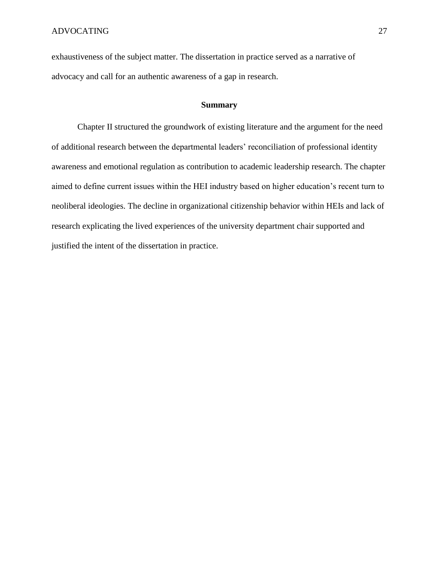exhaustiveness of the subject matter. The dissertation in practice served as a narrative of advocacy and call for an authentic awareness of a gap in research.

#### **Summary**

Chapter II structured the groundwork of existing literature and the argument for the need of additional research between the departmental leaders' reconciliation of professional identity awareness and emotional regulation as contribution to academic leadership research. The chapter aimed to define current issues within the HEI industry based on higher education's recent turn to neoliberal ideologies. The decline in organizational citizenship behavior within HEIs and lack of research explicating the lived experiences of the university department chair supported and justified the intent of the dissertation in practice.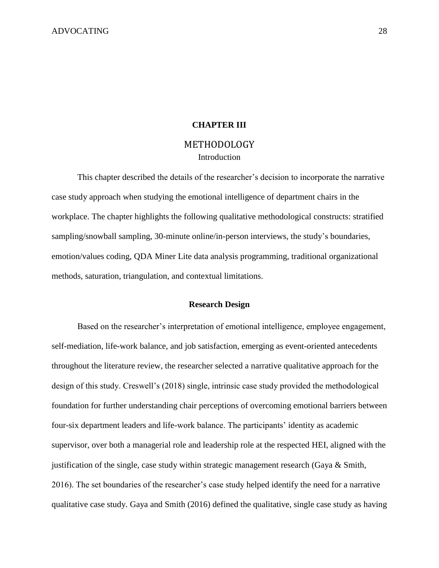### **CHAPTER III**

# METHODOLOGY Introduction

This chapter described the details of the researcher's decision to incorporate the narrative case study approach when studying the emotional intelligence of department chairs in the workplace. The chapter highlights the following qualitative methodological constructs: stratified sampling/snowball sampling, 30-minute online/in-person interviews, the study's boundaries, emotion/values coding, QDA Miner Lite data analysis programming, traditional organizational methods, saturation, triangulation, and contextual limitations.

#### **Research Design**

Based on the researcher's interpretation of emotional intelligence, employee engagement, self-mediation, life-work balance, and job satisfaction, emerging as event-oriented antecedents throughout the literature review, the researcher selected a narrative qualitative approach for the design of this study. Creswell's (2018) single, intrinsic case study provided the methodological foundation for further understanding chair perceptions of overcoming emotional barriers between four-six department leaders and life-work balance. The participants' identity as academic supervisor, over both a managerial role and leadership role at the respected HEI, aligned with the justification of the single, case study within strategic management research (Gaya & Smith, 2016). The set boundaries of the researcher's case study helped identify the need for a narrative qualitative case study. Gaya and Smith (2016) defined the qualitative, single case study as having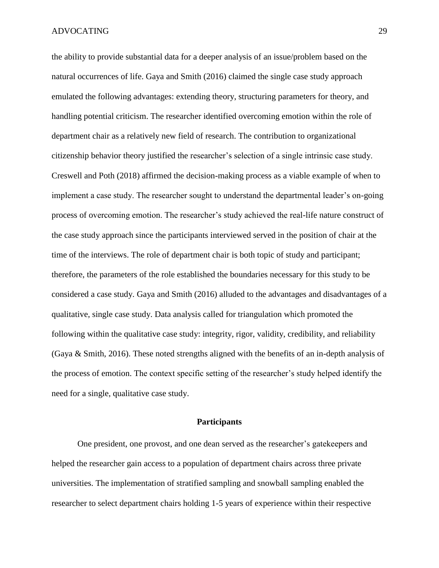the ability to provide substantial data for a deeper analysis of an issue/problem based on the natural occurrences of life. Gaya and Smith (2016) claimed the single case study approach emulated the following advantages: extending theory, structuring parameters for theory, and handling potential criticism. The researcher identified overcoming emotion within the role of department chair as a relatively new field of research. The contribution to organizational citizenship behavior theory justified the researcher's selection of a single intrinsic case study. Creswell and Poth (2018) affirmed the decision-making process as a viable example of when to implement a case study. The researcher sought to understand the departmental leader's on-going process of overcoming emotion. The researcher's study achieved the real-life nature construct of the case study approach since the participants interviewed served in the position of chair at the time of the interviews. The role of department chair is both topic of study and participant; therefore, the parameters of the role established the boundaries necessary for this study to be considered a case study. Gaya and Smith (2016) alluded to the advantages and disadvantages of a qualitative, single case study. Data analysis called for triangulation which promoted the following within the qualitative case study: integrity, rigor, validity, credibility, and reliability (Gaya & Smith, 2016). These noted strengths aligned with the benefits of an in-depth analysis of the process of emotion. The context specific setting of the researcher's study helped identify the need for a single, qualitative case study.

### **Participants**

One president, one provost, and one dean served as the researcher's gatekeepers and helped the researcher gain access to a population of department chairs across three private universities. The implementation of stratified sampling and snowball sampling enabled the researcher to select department chairs holding 1-5 years of experience within their respective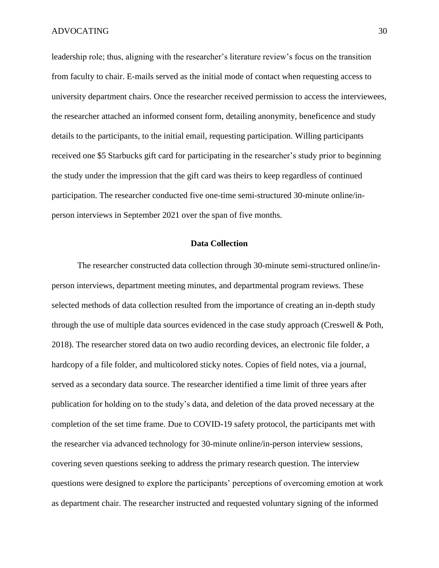leadership role; thus, aligning with the researcher's literature review's focus on the transition from faculty to chair. E-mails served as the initial mode of contact when requesting access to university department chairs. Once the researcher received permission to access the interviewees, the researcher attached an informed consent form, detailing anonymity, beneficence and study details to the participants, to the initial email, requesting participation. Willing participants received one \$5 Starbucks gift card for participating in the researcher's study prior to beginning the study under the impression that the gift card was theirs to keep regardless of continued participation. The researcher conducted five one-time semi-structured 30-minute online/inperson interviews in September 2021 over the span of five months.

#### **Data Collection**

The researcher constructed data collection through 30-minute semi-structured online/inperson interviews, department meeting minutes, and departmental program reviews. These selected methods of data collection resulted from the importance of creating an in-depth study through the use of multiple data sources evidenced in the case study approach (Creswell & Poth, 2018). The researcher stored data on two audio recording devices, an electronic file folder, a hardcopy of a file folder, and multicolored sticky notes. Copies of field notes, via a journal, served as a secondary data source. The researcher identified a time limit of three years after publication for holding on to the study's data, and deletion of the data proved necessary at the completion of the set time frame. Due to COVID-19 safety protocol, the participants met with the researcher via advanced technology for 30-minute online/in-person interview sessions, covering seven questions seeking to address the primary research question. The interview questions were designed to explore the participants' perceptions of overcoming emotion at work as department chair. The researcher instructed and requested voluntary signing of the informed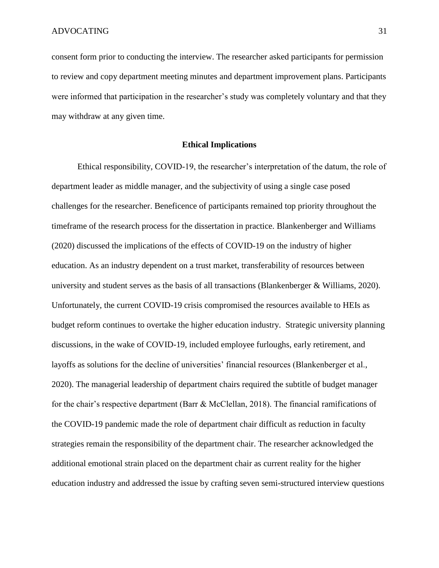consent form prior to conducting the interview. The researcher asked participants for permission to review and copy department meeting minutes and department improvement plans. Participants were informed that participation in the researcher's study was completely voluntary and that they may withdraw at any given time.

#### **Ethical Implications**

Ethical responsibility, COVID-19, the researcher's interpretation of the datum, the role of department leader as middle manager, and the subjectivity of using a single case posed challenges for the researcher. Beneficence of participants remained top priority throughout the timeframe of the research process for the dissertation in practice. Blankenberger and Williams (2020) discussed the implications of the effects of COVID-19 on the industry of higher education. As an industry dependent on a trust market, transferability of resources between university and student serves as the basis of all transactions (Blankenberger & Williams, 2020). Unfortunately, the current COVID-19 crisis compromised the resources available to HEIs as budget reform continues to overtake the higher education industry. Strategic university planning discussions, in the wake of COVID-19, included employee furloughs, early retirement, and layoffs as solutions for the decline of universities' financial resources (Blankenberger et al., 2020). The managerial leadership of department chairs required the subtitle of budget manager for the chair's respective department (Barr & McClellan, 2018). The financial ramifications of the COVID-19 pandemic made the role of department chair difficult as reduction in faculty strategies remain the responsibility of the department chair. The researcher acknowledged the additional emotional strain placed on the department chair as current reality for the higher education industry and addressed the issue by crafting seven semi-structured interview questions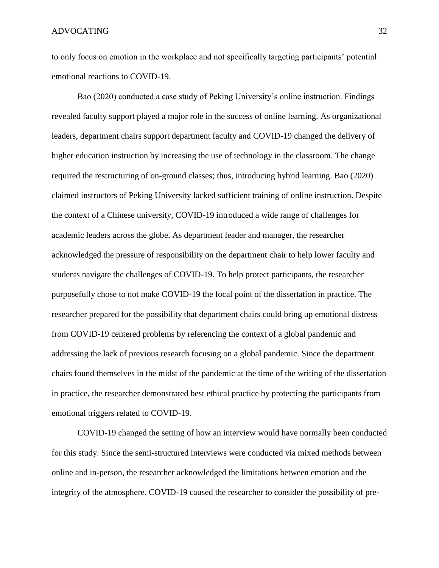to only focus on emotion in the workplace and not specifically targeting participants' potential emotional reactions to COVID-19.

Bao (2020) conducted a case study of Peking University's online instruction. Findings revealed faculty support played a major role in the success of online learning. As organizational leaders, department chairs support department faculty and COVID-19 changed the delivery of higher education instruction by increasing the use of technology in the classroom. The change required the restructuring of on-ground classes; thus, introducing hybrid learning. Bao (2020) claimed instructors of Peking University lacked sufficient training of online instruction. Despite the context of a Chinese university, COVID-19 introduced a wide range of challenges for academic leaders across the globe. As department leader and manager, the researcher acknowledged the pressure of responsibility on the department chair to help lower faculty and students navigate the challenges of COVID-19. To help protect participants, the researcher purposefully chose to not make COVID-19 the focal point of the dissertation in practice. The researcher prepared for the possibility that department chairs could bring up emotional distress from COVID-19 centered problems by referencing the context of a global pandemic and addressing the lack of previous research focusing on a global pandemic. Since the department chairs found themselves in the midst of the pandemic at the time of the writing of the dissertation in practice, the researcher demonstrated best ethical practice by protecting the participants from emotional triggers related to COVID-19.

COVID-19 changed the setting of how an interview would have normally been conducted for this study. Since the semi-structured interviews were conducted via mixed methods between online and in-person, the researcher acknowledged the limitations between emotion and the integrity of the atmosphere. COVID-19 caused the researcher to consider the possibility of pre-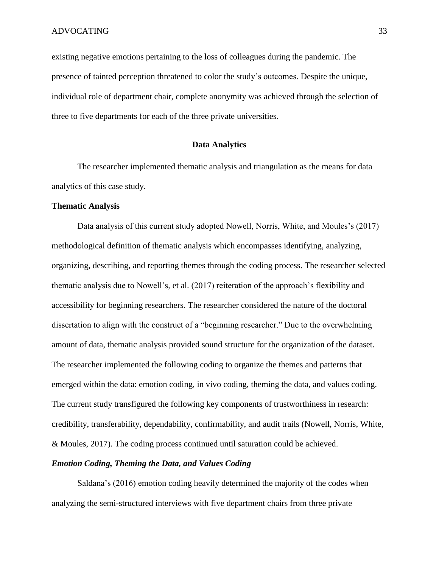existing negative emotions pertaining to the loss of colleagues during the pandemic. The presence of tainted perception threatened to color the study's outcomes. Despite the unique, individual role of department chair, complete anonymity was achieved through the selection of three to five departments for each of the three private universities.

#### **Data Analytics**

The researcher implemented thematic analysis and triangulation as the means for data analytics of this case study.

#### **Thematic Analysis**

Data analysis of this current study adopted Nowell, Norris, White, and Moules's (2017) methodological definition of thematic analysis which encompasses identifying, analyzing, organizing, describing, and reporting themes through the coding process. The researcher selected thematic analysis due to Nowell's, et al. (2017) reiteration of the approach's flexibility and accessibility for beginning researchers. The researcher considered the nature of the doctoral dissertation to align with the construct of a "beginning researcher." Due to the overwhelming amount of data, thematic analysis provided sound structure for the organization of the dataset. The researcher implemented the following coding to organize the themes and patterns that emerged within the data: emotion coding, in vivo coding, theming the data, and values coding. The current study transfigured the following key components of trustworthiness in research: credibility, transferability, dependability, confirmability, and audit trails (Nowell, Norris, White, & Moules, 2017). The coding process continued until saturation could be achieved.

## *Emotion Coding, Theming the Data, and Values Coding*

Saldana's (2016) emotion coding heavily determined the majority of the codes when analyzing the semi-structured interviews with five department chairs from three private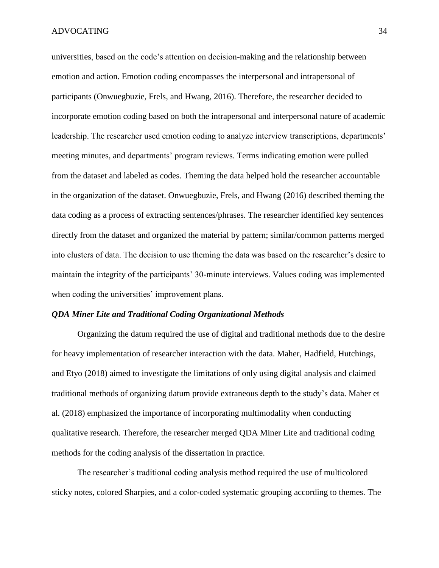universities, based on the code's attention on decision-making and the relationship between emotion and action. Emotion coding encompasses the interpersonal and intrapersonal of participants (Onwuegbuzie, Frels, and Hwang, 2016). Therefore, the researcher decided to incorporate emotion coding based on both the intrapersonal and interpersonal nature of academic leadership. The researcher used emotion coding to analyze interview transcriptions, departments' meeting minutes, and departments' program reviews. Terms indicating emotion were pulled from the dataset and labeled as codes. Theming the data helped hold the researcher accountable in the organization of the dataset. Onwuegbuzie, Frels, and Hwang (2016) described theming the data coding as a process of extracting sentences/phrases. The researcher identified key sentences directly from the dataset and organized the material by pattern; similar/common patterns merged into clusters of data. The decision to use theming the data was based on the researcher's desire to maintain the integrity of the participants' 30-minute interviews. Values coding was implemented when coding the universities' improvement plans.

### *QDA Miner Lite and Traditional Coding Organizational Methods*

Organizing the datum required the use of digital and traditional methods due to the desire for heavy implementation of researcher interaction with the data. Maher, Hadfield, Hutchings, and Etyo (2018) aimed to investigate the limitations of only using digital analysis and claimed traditional methods of organizing datum provide extraneous depth to the study's data. Maher et al. (2018) emphasized the importance of incorporating multimodality when conducting qualitative research. Therefore, the researcher merged QDA Miner Lite and traditional coding methods for the coding analysis of the dissertation in practice.

The researcher's traditional coding analysis method required the use of multicolored sticky notes, colored Sharpies, and a color-coded systematic grouping according to themes. The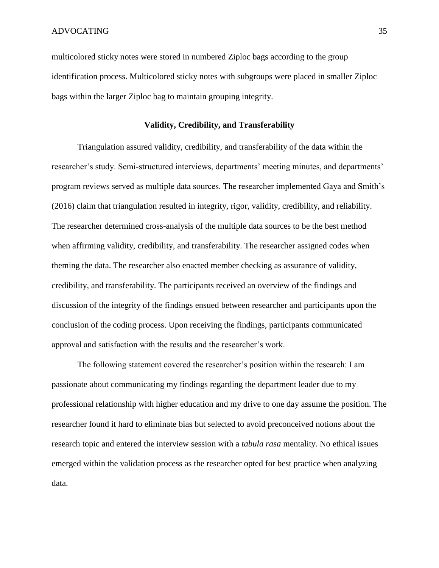multicolored sticky notes were stored in numbered Ziploc bags according to the group identification process. Multicolored sticky notes with subgroups were placed in smaller Ziploc bags within the larger Ziploc bag to maintain grouping integrity.

## **Validity, Credibility, and Transferability**

Triangulation assured validity, credibility, and transferability of the data within the researcher's study. Semi-structured interviews, departments' meeting minutes, and departments' program reviews served as multiple data sources. The researcher implemented Gaya and Smith's (2016) claim that triangulation resulted in integrity, rigor, validity, credibility, and reliability. The researcher determined cross-analysis of the multiple data sources to be the best method when affirming validity, credibility, and transferability. The researcher assigned codes when theming the data. The researcher also enacted member checking as assurance of validity, credibility, and transferability. The participants received an overview of the findings and discussion of the integrity of the findings ensued between researcher and participants upon the conclusion of the coding process. Upon receiving the findings, participants communicated approval and satisfaction with the results and the researcher's work.

The following statement covered the researcher's position within the research: I am passionate about communicating my findings regarding the department leader due to my professional relationship with higher education and my drive to one day assume the position. The researcher found it hard to eliminate bias but selected to avoid preconceived notions about the research topic and entered the interview session with a *tabula rasa* mentality. No ethical issues emerged within the validation process as the researcher opted for best practice when analyzing data.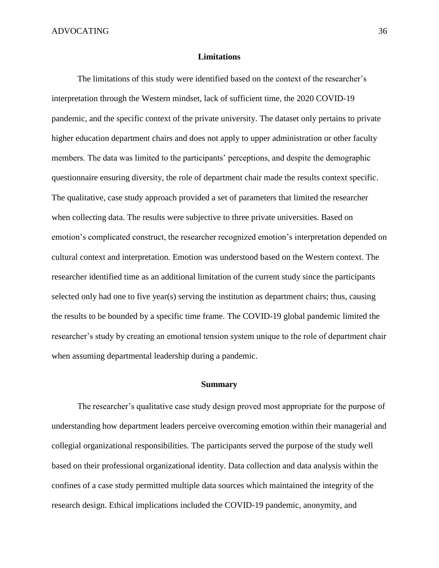#### **Limitations**

The limitations of this study were identified based on the context of the researcher's interpretation through the Western mindset, lack of sufficient time, the 2020 COVID-19 pandemic, and the specific context of the private university. The dataset only pertains to private higher education department chairs and does not apply to upper administration or other faculty members. The data was limited to the participants' perceptions, and despite the demographic questionnaire ensuring diversity, the role of department chair made the results context specific. The qualitative, case study approach provided a set of parameters that limited the researcher when collecting data. The results were subjective to three private universities. Based on emotion's complicated construct, the researcher recognized emotion's interpretation depended on cultural context and interpretation. Emotion was understood based on the Western context. The researcher identified time as an additional limitation of the current study since the participants selected only had one to five year(s) serving the institution as department chairs; thus, causing the results to be bounded by a specific time frame. The COVID-19 global pandemic limited the researcher's study by creating an emotional tension system unique to the role of department chair when assuming departmental leadership during a pandemic.

#### **Summary**

The researcher's qualitative case study design proved most appropriate for the purpose of understanding how department leaders perceive overcoming emotion within their managerial and collegial organizational responsibilities. The participants served the purpose of the study well based on their professional organizational identity. Data collection and data analysis within the confines of a case study permitted multiple data sources which maintained the integrity of the research design. Ethical implications included the COVID-19 pandemic, anonymity, and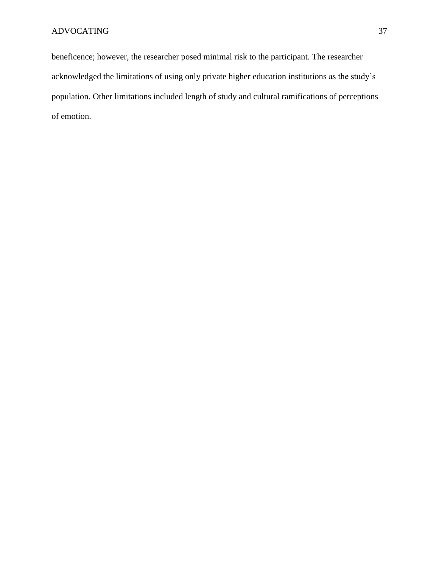beneficence; however, the researcher posed minimal risk to the participant. The researcher acknowledged the limitations of using only private higher education institutions as the study's population. Other limitations included length of study and cultural ramifications of perceptions of emotion.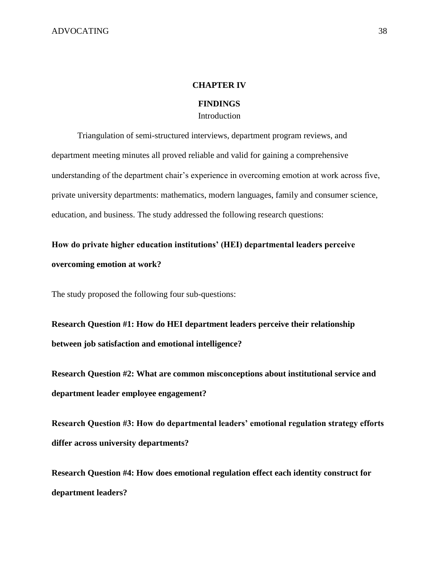#### **CHAPTER IV**

### **FINDINGS**

# Introduction

Triangulation of semi-structured interviews, department program reviews, and department meeting minutes all proved reliable and valid for gaining a comprehensive understanding of the department chair's experience in overcoming emotion at work across five, private university departments: mathematics, modern languages, family and consumer science, education, and business. The study addressed the following research questions:

**How do private higher education institutions' (HEI) departmental leaders perceive overcoming emotion at work?**

The study proposed the following four sub-questions:

**Research Question #1: How do HEI department leaders perceive their relationship between job satisfaction and emotional intelligence?**

**Research Question #2: What are common misconceptions about institutional service and department leader employee engagement?**

**Research Question #3: How do departmental leaders' emotional regulation strategy efforts differ across university departments?**

**Research Question #4: How does emotional regulation effect each identity construct for department leaders?**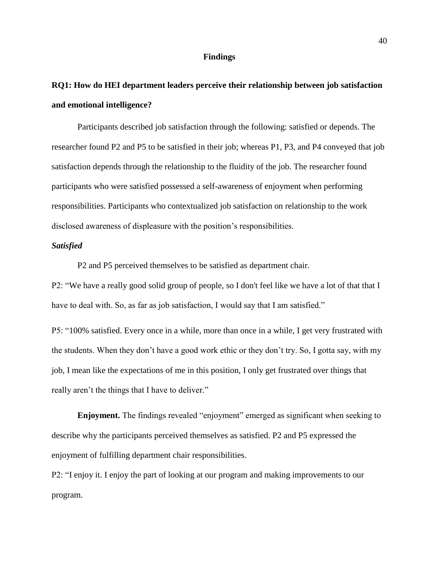#### **Findings**

# **RQ1: How do HEI department leaders perceive their relationship between job satisfaction and emotional intelligence?**

Participants described job satisfaction through the following: satisfied or depends. The researcher found P2 and P5 to be satisfied in their job; whereas P1, P3, and P4 conveyed that job satisfaction depends through the relationship to the fluidity of the job. The researcher found participants who were satisfied possessed a self-awareness of enjoyment when performing responsibilities. Participants who contextualized job satisfaction on relationship to the work disclosed awareness of displeasure with the position's responsibilities.

#### *Satisfied*

P2 and P5 perceived themselves to be satisfied as department chair.

P2: "We have a really good solid group of people, so I don't feel like we have a lot of that that I have to deal with. So, as far as job satisfaction, I would say that I am satisfied."

P5: "100% satisfied. Every once in a while, more than once in a while, I get very frustrated with the students. When they don't have a good work ethic or they don't try. So, I gotta say, with my job, I mean like the expectations of me in this position, I only get frustrated over things that really aren't the things that I have to deliver."

**Enjoyment.** The findings revealed "enjoyment" emerged as significant when seeking to describe why the participants perceived themselves as satisfied. P2 and P5 expressed the enjoyment of fulfilling department chair responsibilities.

P2: "I enjoy it. I enjoy the part of looking at our program and making improvements to our program.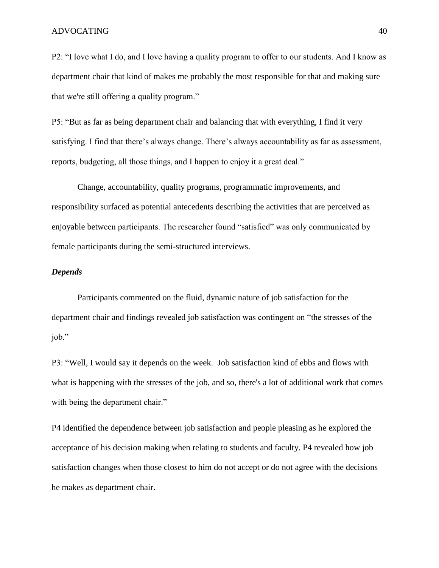P2: "I love what I do, and I love having a quality program to offer to our students. And I know as department chair that kind of makes me probably the most responsible for that and making sure that we're still offering a quality program."

P5: "But as far as being department chair and balancing that with everything, I find it very satisfying. I find that there's always change. There's always accountability as far as assessment, reports, budgeting, all those things, and I happen to enjoy it a great deal."

Change, accountability, quality programs, programmatic improvements, and responsibility surfaced as potential antecedents describing the activities that are perceived as enjoyable between participants. The researcher found "satisfied" was only communicated by female participants during the semi-structured interviews.

### *Depends*

Participants commented on the fluid, dynamic nature of job satisfaction for the department chair and findings revealed job satisfaction was contingent on "the stresses of the job."

P3: "Well, I would say it depends on the week. Job satisfaction kind of ebbs and flows with what is happening with the stresses of the job, and so, there's a lot of additional work that comes with being the department chair."

P4 identified the dependence between job satisfaction and people pleasing as he explored the acceptance of his decision making when relating to students and faculty. P4 revealed how job satisfaction changes when those closest to him do not accept or do not agree with the decisions he makes as department chair.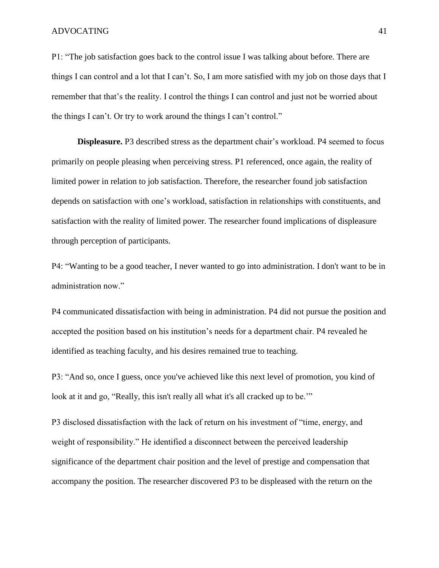P1: "The job satisfaction goes back to the control issue I was talking about before. There are things I can control and a lot that I can't. So, I am more satisfied with my job on those days that I remember that that's the reality. I control the things I can control and just not be worried about the things I can't. Or try to work around the things I can't control."

**Displeasure.** P3 described stress as the department chair's workload. P4 seemed to focus primarily on people pleasing when perceiving stress. P1 referenced, once again, the reality of limited power in relation to job satisfaction. Therefore, the researcher found job satisfaction depends on satisfaction with one's workload, satisfaction in relationships with constituents, and satisfaction with the reality of limited power. The researcher found implications of displeasure through perception of participants.

P4: "Wanting to be a good teacher, I never wanted to go into administration. I don't want to be in administration now."

P4 communicated dissatisfaction with being in administration. P4 did not pursue the position and accepted the position based on his institution's needs for a department chair. P4 revealed he identified as teaching faculty, and his desires remained true to teaching.

P3: "And so, once I guess, once you've achieved like this next level of promotion, you kind of look at it and go, "Really, this isn't really all what it's all cracked up to be.'"

P3 disclosed dissatisfaction with the lack of return on his investment of "time, energy, and weight of responsibility." He identified a disconnect between the perceived leadership significance of the department chair position and the level of prestige and compensation that accompany the position. The researcher discovered P3 to be displeased with the return on the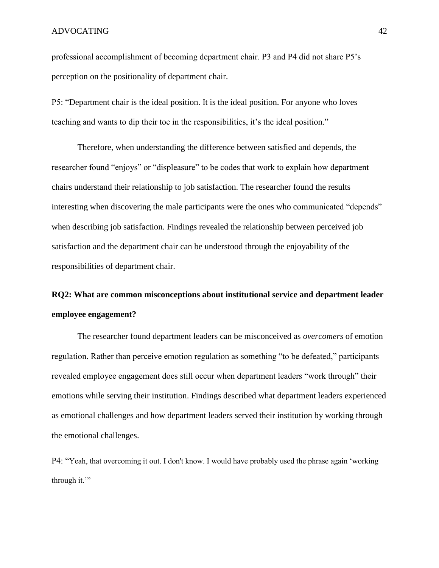professional accomplishment of becoming department chair. P3 and P4 did not share P5's perception on the positionality of department chair.

P5: "Department chair is the ideal position. It is the ideal position. For anyone who loves teaching and wants to dip their toe in the responsibilities, it's the ideal position."

Therefore, when understanding the difference between satisfied and depends, the researcher found "enjoys" or "displeasure" to be codes that work to explain how department chairs understand their relationship to job satisfaction. The researcher found the results interesting when discovering the male participants were the ones who communicated "depends" when describing job satisfaction. Findings revealed the relationship between perceived job satisfaction and the department chair can be understood through the enjoyability of the responsibilities of department chair.

# **RQ2: What are common misconceptions about institutional service and department leader employee engagement?**

The researcher found department leaders can be misconceived as *overcomers* of emotion regulation. Rather than perceive emotion regulation as something "to be defeated," participants revealed employee engagement does still occur when department leaders "work through" their emotions while serving their institution. Findings described what department leaders experienced as emotional challenges and how department leaders served their institution by working through the emotional challenges.

P4: "Yeah, that overcoming it out. I don't know. I would have probably used the phrase again 'working through it."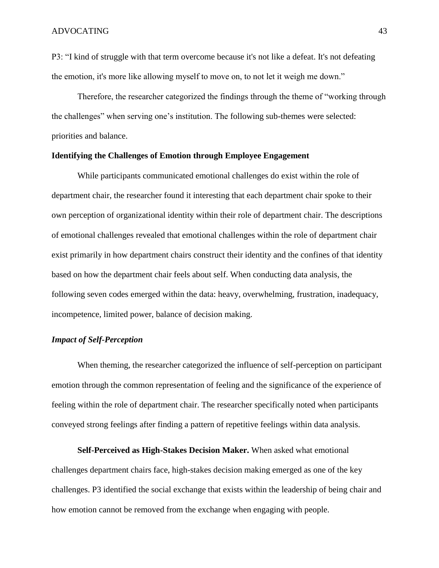P3: "I kind of struggle with that term overcome because it's not like a defeat. It's not defeating the emotion, it's more like allowing myself to move on, to not let it weigh me down."

Therefore, the researcher categorized the findings through the theme of "working through the challenges" when serving one's institution. The following sub-themes were selected: priorities and balance.

#### **Identifying the Challenges of Emotion through Employee Engagement**

While participants communicated emotional challenges do exist within the role of department chair, the researcher found it interesting that each department chair spoke to their own perception of organizational identity within their role of department chair. The descriptions of emotional challenges revealed that emotional challenges within the role of department chair exist primarily in how department chairs construct their identity and the confines of that identity based on how the department chair feels about self. When conducting data analysis, the following seven codes emerged within the data: heavy, overwhelming, frustration, inadequacy, incompetence, limited power, balance of decision making.

## *Impact of Self-Perception*

When theming, the researcher categorized the influence of self-perception on participant emotion through the common representation of feeling and the significance of the experience of feeling within the role of department chair. The researcher specifically noted when participants conveyed strong feelings after finding a pattern of repetitive feelings within data analysis.

**Self-Perceived as High-Stakes Decision Maker.** When asked what emotional challenges department chairs face, high-stakes decision making emerged as one of the key challenges. P3 identified the social exchange that exists within the leadership of being chair and how emotion cannot be removed from the exchange when engaging with people.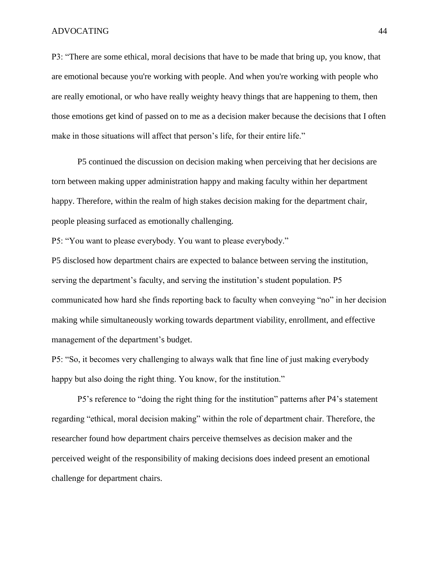P3: "There are some ethical, moral decisions that have to be made that bring up, you know, that are emotional because you're working with people. And when you're working with people who are really emotional, or who have really weighty heavy things that are happening to them, then those emotions get kind of passed on to me as a decision maker because the decisions that I often make in those situations will affect that person's life, for their entire life."

P5 continued the discussion on decision making when perceiving that her decisions are torn between making upper administration happy and making faculty within her department happy. Therefore, within the realm of high stakes decision making for the department chair, people pleasing surfaced as emotionally challenging.

P5: "You want to please everybody. You want to please everybody."

P5 disclosed how department chairs are expected to balance between serving the institution, serving the department's faculty, and serving the institution's student population. P5 communicated how hard she finds reporting back to faculty when conveying "no" in her decision making while simultaneously working towards department viability, enrollment, and effective management of the department's budget.

P5: "So, it becomes very challenging to always walk that fine line of just making everybody happy but also doing the right thing. You know, for the institution."

P5's reference to "doing the right thing for the institution" patterns after P4's statement regarding "ethical, moral decision making" within the role of department chair. Therefore, the researcher found how department chairs perceive themselves as decision maker and the perceived weight of the responsibility of making decisions does indeed present an emotional challenge for department chairs.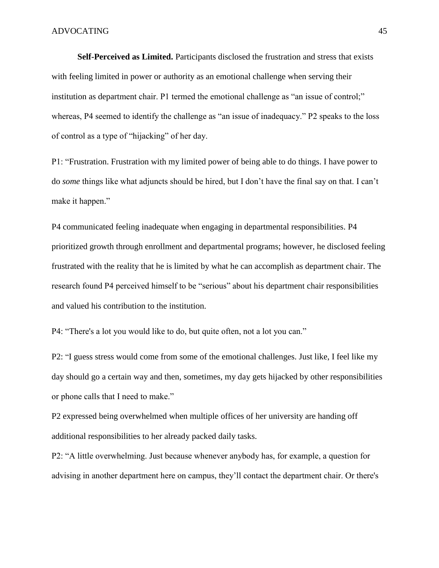**Self-Perceived as Limited.** Participants disclosed the frustration and stress that exists with feeling limited in power or authority as an emotional challenge when serving their institution as department chair. P1 termed the emotional challenge as "an issue of control;" whereas, P4 seemed to identify the challenge as "an issue of inadequacy." P2 speaks to the loss of control as a type of "hijacking" of her day.

P1: "Frustration. Frustration with my limited power of being able to do things. I have power to do *some* things like what adjuncts should be hired, but I don't have the final say on that. I can't make it happen."

P4 communicated feeling inadequate when engaging in departmental responsibilities. P4 prioritized growth through enrollment and departmental programs; however, he disclosed feeling frustrated with the reality that he is limited by what he can accomplish as department chair. The research found P4 perceived himself to be "serious" about his department chair responsibilities and valued his contribution to the institution.

P4: "There's a lot you would like to do, but quite often, not a lot you can."

P2: "I guess stress would come from some of the emotional challenges. Just like, I feel like my day should go a certain way and then, sometimes, my day gets hijacked by other responsibilities or phone calls that I need to make."

P2 expressed being overwhelmed when multiple offices of her university are handing off additional responsibilities to her already packed daily tasks.

P2: "A little overwhelming. Just because whenever anybody has, for example, a question for advising in another department here on campus, they'll contact the department chair. Or there's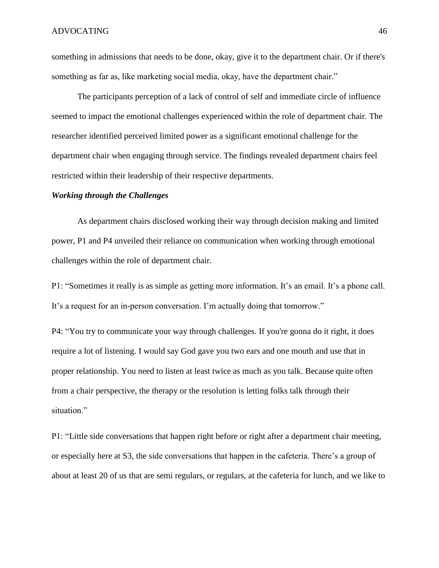something in admissions that needs to be done, okay, give it to the department chair. Or if there's something as far as, like marketing social media, okay, have the department chair."

The participants perception of a lack of control of self and immediate circle of influence seemed to impact the emotional challenges experienced within the role of department chair. The researcher identified perceived limited power as a significant emotional challenge for the department chair when engaging through service. The findings revealed department chairs feel restricted within their leadership of their respective departments.

#### *Working through the Challenges*

As department chairs disclosed working their way through decision making and limited power, P1 and P4 unveiled their reliance on communication when working through emotional challenges within the role of department chair.

P1: "Sometimes it really is as simple as getting more information. It's an email. It's a phone call. It's a request for an in-person conversation. I'm actually doing that tomorrow."

P4: "You try to communicate your way through challenges. If you're gonna do it right, it does require a lot of listening. I would say God gave you two ears and one mouth and use that in proper relationship. You need to listen at least twice as much as you talk. Because quite often from a chair perspective, the therapy or the resolution is letting folks talk through their situation."

P1: "Little side conversations that happen right before or right after a department chair meeting, or especially here at S3, the side conversations that happen in the cafeteria. There's a group of about at least 20 of us that are semi regulars, or regulars, at the cafeteria for lunch, and we like to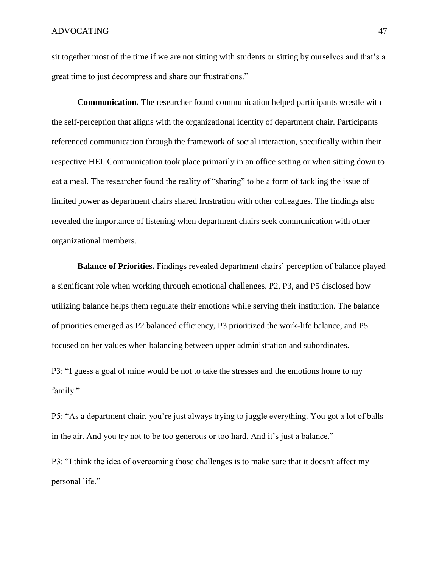sit together most of the time if we are not sitting with students or sitting by ourselves and that's a great time to just decompress and share our frustrations."

**Communication***.* The researcher found communication helped participants wrestle with the self-perception that aligns with the organizational identity of department chair. Participants referenced communication through the framework of social interaction, specifically within their respective HEI. Communication took place primarily in an office setting or when sitting down to eat a meal. The researcher found the reality of "sharing" to be a form of tackling the issue of limited power as department chairs shared frustration with other colleagues. The findings also revealed the importance of listening when department chairs seek communication with other organizational members.

**Balance of Priorities.** Findings revealed department chairs' perception of balance played a significant role when working through emotional challenges. P2, P3, and P5 disclosed how utilizing balance helps them regulate their emotions while serving their institution. The balance of priorities emerged as P2 balanced efficiency, P3 prioritized the work-life balance, and P5 focused on her values when balancing between upper administration and subordinates.

P3: "I guess a goal of mine would be not to take the stresses and the emotions home to my family."

P5: "As a department chair, you're just always trying to juggle everything. You got a lot of balls in the air. And you try not to be too generous or too hard. And it's just a balance."

P3: "I think the idea of overcoming those challenges is to make sure that it doesn't affect my personal life."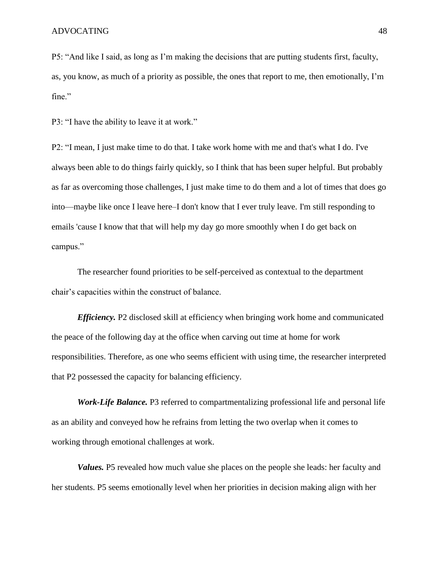P5: "And like I said, as long as I'm making the decisions that are putting students first, faculty, as, you know, as much of a priority as possible, the ones that report to me, then emotionally, I'm fine."

P3: "I have the ability to leave it at work."

P2: "I mean, I just make time to do that. I take work home with me and that's what I do. I've always been able to do things fairly quickly, so I think that has been super helpful. But probably as far as overcoming those challenges, I just make time to do them and a lot of times that does go into—maybe like once I leave here–I don't know that I ever truly leave. I'm still responding to emails 'cause I know that that will help my day go more smoothly when I do get back on campus."

The researcher found priorities to be self-perceived as contextual to the department chair's capacities within the construct of balance.

*Efficiency.* P2 disclosed skill at efficiency when bringing work home and communicated the peace of the following day at the office when carving out time at home for work responsibilities. Therefore, as one who seems efficient with using time, the researcher interpreted that P2 possessed the capacity for balancing efficiency.

*Work-Life Balance.* P3 referred to compartmentalizing professional life and personal life as an ability and conveyed how he refrains from letting the two overlap when it comes to working through emotional challenges at work.

*Values.* P5 revealed how much value she places on the people she leads: her faculty and her students. P5 seems emotionally level when her priorities in decision making align with her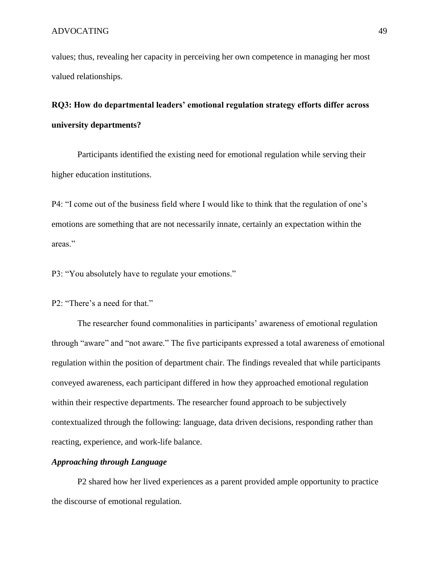values; thus, revealing her capacity in perceiving her own competence in managing her most valued relationships.

# **RQ3: How do departmental leaders' emotional regulation strategy efforts differ across university departments?**

Participants identified the existing need for emotional regulation while serving their higher education institutions.

P4: "I come out of the business field where I would like to think that the regulation of one's emotions are something that are not necessarily innate, certainly an expectation within the areas."

P3: "You absolutely have to regulate your emotions."

## P2: "There's a need for that."

The researcher found commonalities in participants' awareness of emotional regulation through "aware" and "not aware." The five participants expressed a total awareness of emotional regulation within the position of department chair. The findings revealed that while participants conveyed awareness, each participant differed in how they approached emotional regulation within their respective departments. The researcher found approach to be subjectively contextualized through the following: language, data driven decisions, responding rather than reacting, experience, and work-life balance.

## *Approaching through Language*

P2 shared how her lived experiences as a parent provided ample opportunity to practice the discourse of emotional regulation.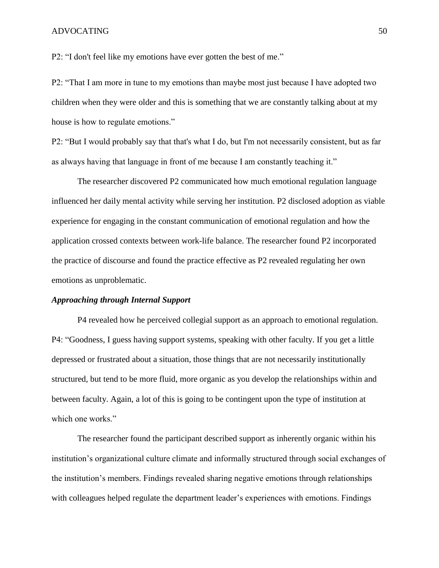P2: "I don't feel like my emotions have ever gotten the best of me."

P2: "That I am more in tune to my emotions than maybe most just because I have adopted two children when they were older and this is something that we are constantly talking about at my house is how to regulate emotions."

P2: "But I would probably say that that's what I do, but I'm not necessarily consistent, but as far as always having that language in front of me because I am constantly teaching it."

The researcher discovered P2 communicated how much emotional regulation language influenced her daily mental activity while serving her institution. P2 disclosed adoption as viable experience for engaging in the constant communication of emotional regulation and how the application crossed contexts between work-life balance. The researcher found P2 incorporated the practice of discourse and found the practice effective as P2 revealed regulating her own emotions as unproblematic.

#### *Approaching through Internal Support*

P4 revealed how he perceived collegial support as an approach to emotional regulation. P4: "Goodness, I guess having support systems, speaking with other faculty. If you get a little depressed or frustrated about a situation, those things that are not necessarily institutionally structured, but tend to be more fluid, more organic as you develop the relationships within and between faculty. Again, a lot of this is going to be contingent upon the type of institution at which one works."

The researcher found the participant described support as inherently organic within his institution's organizational culture climate and informally structured through social exchanges of the institution's members. Findings revealed sharing negative emotions through relationships with colleagues helped regulate the department leader's experiences with emotions. Findings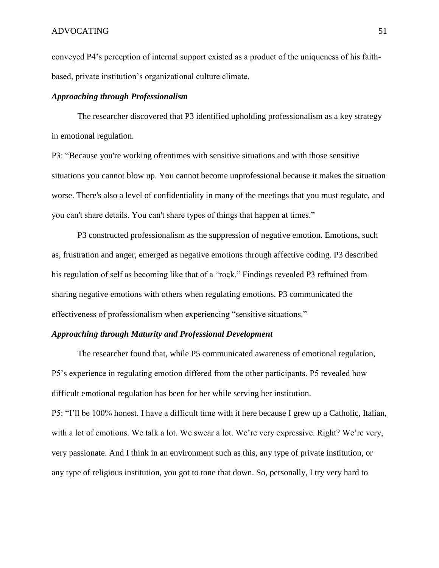conveyed P4's perception of internal support existed as a product of the uniqueness of his faithbased, private institution's organizational culture climate.

### *Approaching through Professionalism*

The researcher discovered that P3 identified upholding professionalism as a key strategy in emotional regulation.

P3: "Because you're working oftentimes with sensitive situations and with those sensitive situations you cannot blow up. You cannot become unprofessional because it makes the situation worse. There's also a level of confidentiality in many of the meetings that you must regulate, and you can't share details. You can't share types of things that happen at times."

P3 constructed professionalism as the suppression of negative emotion. Emotions, such as, frustration and anger, emerged as negative emotions through affective coding. P3 described his regulation of self as becoming like that of a "rock." Findings revealed P3 refrained from sharing negative emotions with others when regulating emotions. P3 communicated the effectiveness of professionalism when experiencing "sensitive situations."

### *Approaching through Maturity and Professional Development*

The researcher found that, while P5 communicated awareness of emotional regulation, P5's experience in regulating emotion differed from the other participants. P5 revealed how difficult emotional regulation has been for her while serving her institution. P5: "I'll be 100% honest. I have a difficult time with it here because I grew up a Catholic, Italian, with a lot of emotions. We talk a lot. We swear a lot. We're very expressive. Right? We're very, very passionate. And I think in an environment such as this, any type of private institution, or any type of religious institution, you got to tone that down. So, personally, I try very hard to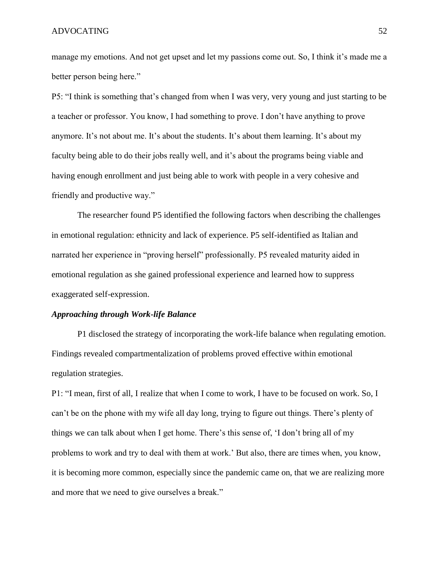manage my emotions. And not get upset and let my passions come out. So, I think it's made me a better person being here."

P5: "I think is something that's changed from when I was very, very young and just starting to be a teacher or professor. You know, I had something to prove. I don't have anything to prove anymore. It's not about me. It's about the students. It's about them learning. It's about my faculty being able to do their jobs really well, and it's about the programs being viable and having enough enrollment and just being able to work with people in a very cohesive and friendly and productive way."

The researcher found P5 identified the following factors when describing the challenges in emotional regulation: ethnicity and lack of experience. P5 self-identified as Italian and narrated her experience in "proving herself" professionally. P5 revealed maturity aided in emotional regulation as she gained professional experience and learned how to suppress exaggerated self-expression.

#### *Approaching through Work-life Balance*

P1 disclosed the strategy of incorporating the work-life balance when regulating emotion. Findings revealed compartmentalization of problems proved effective within emotional regulation strategies.

P1: "I mean, first of all, I realize that when I come to work, I have to be focused on work. So, I can't be on the phone with my wife all day long, trying to figure out things. There's plenty of things we can talk about when I get home. There's this sense of, 'I don't bring all of my problems to work and try to deal with them at work.' But also, there are times when, you know, it is becoming more common, especially since the pandemic came on, that we are realizing more and more that we need to give ourselves a break."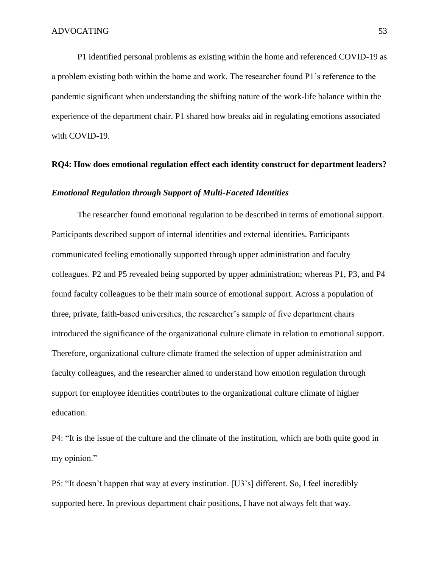P1 identified personal problems as existing within the home and referenced COVID-19 as a problem existing both within the home and work. The researcher found P1's reference to the pandemic significant when understanding the shifting nature of the work-life balance within the experience of the department chair. P1 shared how breaks aid in regulating emotions associated with COVID-19.

#### **RQ4: How does emotional regulation effect each identity construct for department leaders?**

#### *Emotional Regulation through Support of Multi-Faceted Identities*

The researcher found emotional regulation to be described in terms of emotional support. Participants described support of internal identities and external identities. Participants communicated feeling emotionally supported through upper administration and faculty colleagues. P2 and P5 revealed being supported by upper administration; whereas P1, P3, and P4 found faculty colleagues to be their main source of emotional support. Across a population of three, private, faith-based universities, the researcher's sample of five department chairs introduced the significance of the organizational culture climate in relation to emotional support. Therefore, organizational culture climate framed the selection of upper administration and faculty colleagues, and the researcher aimed to understand how emotion regulation through support for employee identities contributes to the organizational culture climate of higher education.

P4: "It is the issue of the culture and the climate of the institution, which are both quite good in my opinion."

P5: "It doesn't happen that way at every institution. [U3's] different. So, I feel incredibly supported here. In previous department chair positions, I have not always felt that way.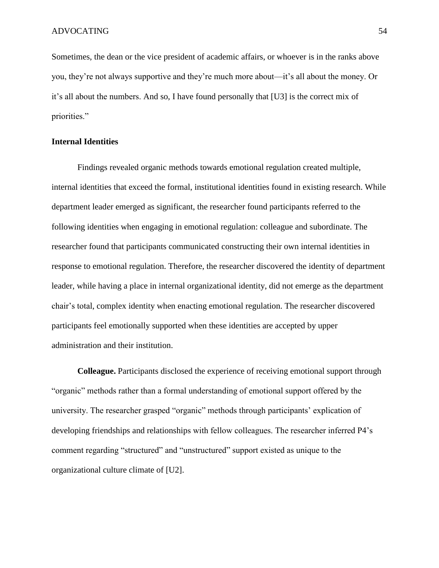Sometimes, the dean or the vice president of academic affairs, or whoever is in the ranks above you, they're not always supportive and they're much more about—it's all about the money. Or it's all about the numbers. And so, I have found personally that [U3] is the correct mix of priorities."

# **Internal Identities**

Findings revealed organic methods towards emotional regulation created multiple, internal identities that exceed the formal, institutional identities found in existing research. While department leader emerged as significant, the researcher found participants referred to the following identities when engaging in emotional regulation: colleague and subordinate. The researcher found that participants communicated constructing their own internal identities in response to emotional regulation. Therefore, the researcher discovered the identity of department leader, while having a place in internal organizational identity, did not emerge as the department chair's total, complex identity when enacting emotional regulation. The researcher discovered participants feel emotionally supported when these identities are accepted by upper administration and their institution.

**Colleague.** Participants disclosed the experience of receiving emotional support through "organic" methods rather than a formal understanding of emotional support offered by the university. The researcher grasped "organic" methods through participants' explication of developing friendships and relationships with fellow colleagues. The researcher inferred P4's comment regarding "structured" and "unstructured" support existed as unique to the organizational culture climate of [U2].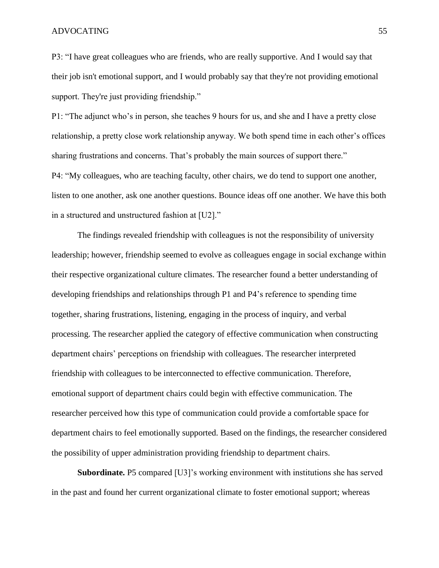P3: "I have great colleagues who are friends, who are really supportive. And I would say that their job isn't emotional support, and I would probably say that they're not providing emotional support. They're just providing friendship."

P1: "The adjunct who's in person, she teaches 9 hours for us, and she and I have a pretty close relationship, a pretty close work relationship anyway. We both spend time in each other's offices sharing frustrations and concerns. That's probably the main sources of support there." P4: "My colleagues, who are teaching faculty, other chairs, we do tend to support one another, listen to one another, ask one another questions. Bounce ideas off one another. We have this both in a structured and unstructured fashion at [U2]."

The findings revealed friendship with colleagues is not the responsibility of university leadership; however, friendship seemed to evolve as colleagues engage in social exchange within their respective organizational culture climates. The researcher found a better understanding of developing friendships and relationships through P1 and P4's reference to spending time together, sharing frustrations, listening, engaging in the process of inquiry, and verbal processing. The researcher applied the category of effective communication when constructing department chairs' perceptions on friendship with colleagues. The researcher interpreted friendship with colleagues to be interconnected to effective communication. Therefore, emotional support of department chairs could begin with effective communication. The researcher perceived how this type of communication could provide a comfortable space for department chairs to feel emotionally supported. Based on the findings, the researcher considered the possibility of upper administration providing friendship to department chairs.

**Subordinate.** P5 compared [U3]'s working environment with institutions she has served in the past and found her current organizational climate to foster emotional support; whereas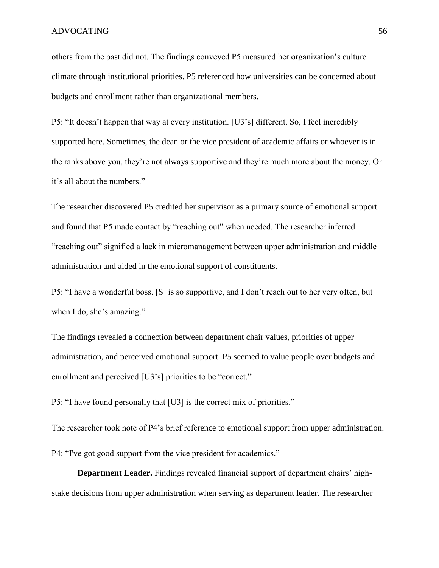others from the past did not. The findings conveyed P5 measured her organization's culture climate through institutional priorities. P5 referenced how universities can be concerned about budgets and enrollment rather than organizational members.

P5: "It doesn't happen that way at every institution. [U3's] different. So, I feel incredibly supported here. Sometimes, the dean or the vice president of academic affairs or whoever is in the ranks above you, they're not always supportive and they're much more about the money. Or it's all about the numbers."

The researcher discovered P5 credited her supervisor as a primary source of emotional support and found that P5 made contact by "reaching out" when needed. The researcher inferred "reaching out" signified a lack in micromanagement between upper administration and middle administration and aided in the emotional support of constituents.

P5: "I have a wonderful boss. [S] is so supportive, and I don't reach out to her very often, but when I do, she's amazing."

The findings revealed a connection between department chair values, priorities of upper administration, and perceived emotional support. P5 seemed to value people over budgets and enrollment and perceived [U3's] priorities to be "correct."

P5: "I have found personally that [U3] is the correct mix of priorities."

The researcher took note of P4's brief reference to emotional support from upper administration.

P4: "I've got good support from the vice president for academics."

**Department Leader.** Findings revealed financial support of department chairs' highstake decisions from upper administration when serving as department leader. The researcher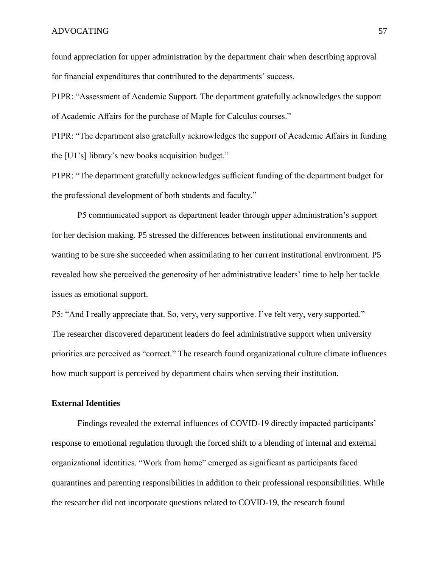found appreciation for upper administration by the department chair when describing approval for financial expenditures that contributed to the departments' success.

P1PR: "Assessment of Academic Support. The department gratefully acknowledges the support of Academic Affairs for the purchase of Maple for Calculus courses."

P1PR: "The department also gratefully acknowledges the support of Academic Affairs in funding the [U1's] library's new books acquisition budget."

P1PR: "The department gratefully acknowledges sufficient funding of the department budget for the professional development of both students and faculty."

P5 communicated support as department leader through upper administration's support for her decision making. P5 stressed the differences between institutional environments and wanting to be sure she succeeded when assimilating to her current institutional environment. P5 revealed how she perceived the generosity of her administrative leaders' time to help her tackle issues as emotional support.

P5: "And I really appreciate that. So, very, very supportive. I've felt very, very supported." The researcher discovered department leaders do feel administrative support when university priorities are perceived as "correct." The research found organizational culture climate influences how much support is perceived by department chairs when serving their institution.

## **External Identities**

Findings revealed the external influences of COVID-19 directly impacted participants' response to emotional regulation through the forced shift to a blending of internal and external organizational identities. "Work from home" emerged as significant as participants faced quarantines and parenting responsibilities in addition to their professional responsibilities. While the researcher did not incorporate questions related to COVID-19, the research found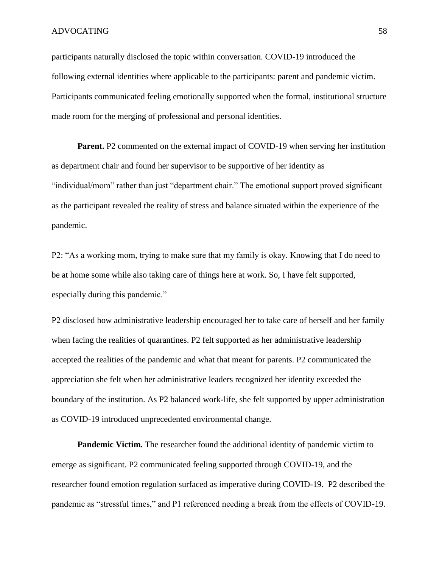participants naturally disclosed the topic within conversation. COVID-19 introduced the following external identities where applicable to the participants: parent and pandemic victim. Participants communicated feeling emotionally supported when the formal, institutional structure made room for the merging of professional and personal identities.

**Parent.** P2 commented on the external impact of COVID-19 when serving her institution as department chair and found her supervisor to be supportive of her identity as "individual/mom" rather than just "department chair." The emotional support proved significant as the participant revealed the reality of stress and balance situated within the experience of the pandemic.

P2: "As a working mom, trying to make sure that my family is okay. Knowing that I do need to be at home some while also taking care of things here at work. So, I have felt supported, especially during this pandemic."

P2 disclosed how administrative leadership encouraged her to take care of herself and her family when facing the realities of quarantines. P2 felt supported as her administrative leadership accepted the realities of the pandemic and what that meant for parents. P2 communicated the appreciation she felt when her administrative leaders recognized her identity exceeded the boundary of the institution. As P2 balanced work-life, she felt supported by upper administration as COVID-19 introduced unprecedented environmental change.

**Pandemic Victim***.* The researcher found the additional identity of pandemic victim to emerge as significant. P2 communicated feeling supported through COVID-19, and the researcher found emotion regulation surfaced as imperative during COVID-19. P2 described the pandemic as "stressful times," and P1 referenced needing a break from the effects of COVID-19.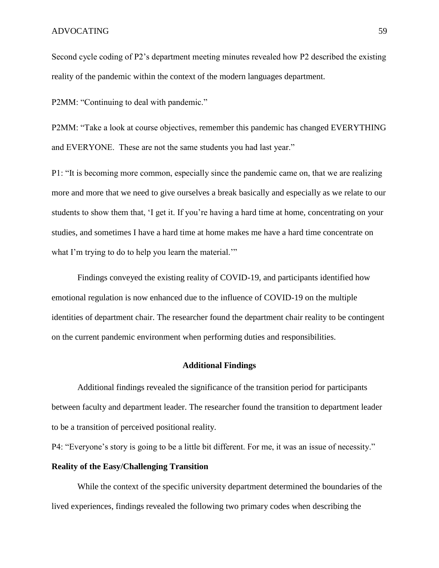Second cycle coding of P2's department meeting minutes revealed how P2 described the existing reality of the pandemic within the context of the modern languages department.

P2MM: "Continuing to deal with pandemic."

P2MM: "Take a look at course objectives, remember this pandemic has changed EVERYTHING and EVERYONE. These are not the same students you had last year."

P1: "It is becoming more common, especially since the pandemic came on, that we are realizing more and more that we need to give ourselves a break basically and especially as we relate to our students to show them that, 'I get it. If you're having a hard time at home, concentrating on your studies, and sometimes I have a hard time at home makes me have a hard time concentrate on what I'm trying to do to help you learn the material."

Findings conveyed the existing reality of COVID-19, and participants identified how emotional regulation is now enhanced due to the influence of COVID-19 on the multiple identities of department chair. The researcher found the department chair reality to be contingent on the current pandemic environment when performing duties and responsibilities.

#### **Additional Findings**

Additional findings revealed the significance of the transition period for participants between faculty and department leader. The researcher found the transition to department leader to be a transition of perceived positional reality.

P4: "Everyone's story is going to be a little bit different. For me, it was an issue of necessity."

# **Reality of the Easy/Challenging Transition**

While the context of the specific university department determined the boundaries of the lived experiences, findings revealed the following two primary codes when describing the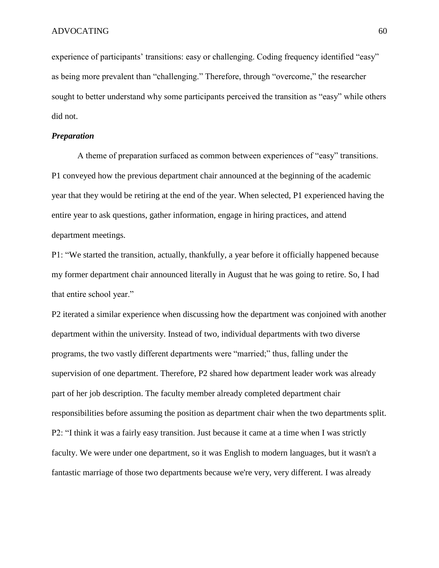experience of participants' transitions: easy or challenging. Coding frequency identified "easy" as being more prevalent than "challenging." Therefore, through "overcome," the researcher sought to better understand why some participants perceived the transition as "easy" while others did not.

# *Preparation*

A theme of preparation surfaced as common between experiences of "easy" transitions. P1 conveyed how the previous department chair announced at the beginning of the academic year that they would be retiring at the end of the year. When selected, P1 experienced having the entire year to ask questions, gather information, engage in hiring practices, and attend department meetings.

P1: "We started the transition, actually, thankfully, a year before it officially happened because my former department chair announced literally in August that he was going to retire. So, I had that entire school year."

P2 iterated a similar experience when discussing how the department was conjoined with another department within the university. Instead of two, individual departments with two diverse programs, the two vastly different departments were "married;" thus, falling under the supervision of one department. Therefore, P2 shared how department leader work was already part of her job description. The faculty member already completed department chair responsibilities before assuming the position as department chair when the two departments split. P2: "I think it was a fairly easy transition. Just because it came at a time when I was strictly faculty. We were under one department, so it was English to modern languages, but it wasn't a fantastic marriage of those two departments because we're very, very different. I was already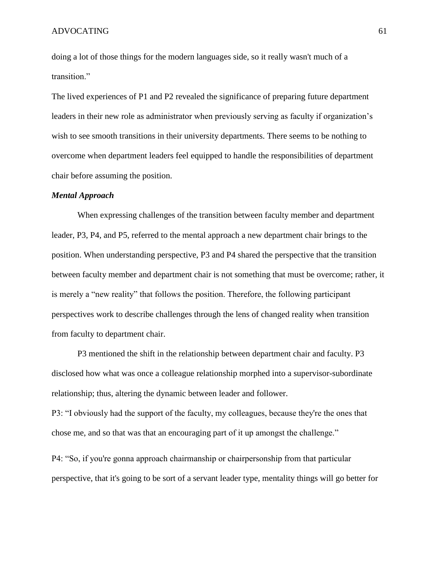doing a lot of those things for the modern languages side, so it really wasn't much of a transition."

The lived experiences of P1 and P2 revealed the significance of preparing future department leaders in their new role as administrator when previously serving as faculty if organization's wish to see smooth transitions in their university departments. There seems to be nothing to overcome when department leaders feel equipped to handle the responsibilities of department chair before assuming the position.

### *Mental Approach*

When expressing challenges of the transition between faculty member and department leader, P3, P4, and P5, referred to the mental approach a new department chair brings to the position. When understanding perspective, P3 and P4 shared the perspective that the transition between faculty member and department chair is not something that must be overcome; rather, it is merely a "new reality" that follows the position. Therefore, the following participant perspectives work to describe challenges through the lens of changed reality when transition from faculty to department chair.

P3 mentioned the shift in the relationship between department chair and faculty. P3 disclosed how what was once a colleague relationship morphed into a supervisor-subordinate relationship; thus, altering the dynamic between leader and follower.

P3: "I obviously had the support of the faculty, my colleagues, because they're the ones that chose me, and so that was that an encouraging part of it up amongst the challenge."

P4: "So, if you're gonna approach chairmanship or chairpersonship from that particular perspective, that it's going to be sort of a servant leader type, mentality things will go better for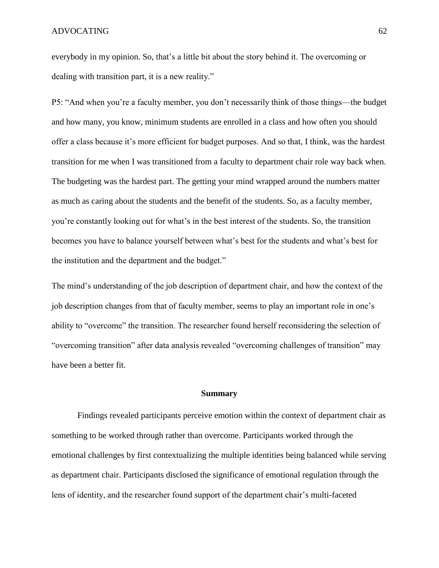everybody in my opinion. So, that's a little bit about the story behind it. The overcoming or dealing with transition part, it is a new reality."

P5: "And when you're a faculty member, you don't necessarily think of those things—the budget and how many, you know, minimum students are enrolled in a class and how often you should offer a class because it's more efficient for budget purposes. And so that, I think, was the hardest transition for me when I was transitioned from a faculty to department chair role way back when. The budgeting was the hardest part. The getting your mind wrapped around the numbers matter as much as caring about the students and the benefit of the students. So, as a faculty member, you're constantly looking out for what's in the best interest of the students. So, the transition becomes you have to balance yourself between what's best for the students and what's best for the institution and the department and the budget."

The mind's understanding of the job description of department chair, and how the context of the job description changes from that of faculty member, seems to play an important role in one's ability to "overcome" the transition. The researcher found herself reconsidering the selection of "overcoming transition" after data analysis revealed "overcoming challenges of transition" may have been a better fit.

#### **Summary**

Findings revealed participants perceive emotion within the context of department chair as something to be worked through rather than overcome. Participants worked through the emotional challenges by first contextualizing the multiple identities being balanced while serving as department chair. Participants disclosed the significance of emotional regulation through the lens of identity, and the researcher found support of the department chair's multi-faceted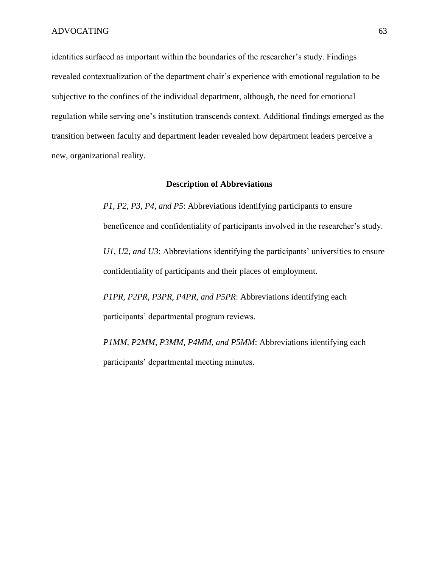identities surfaced as important within the boundaries of the researcher's study. Findings revealed contextualization of the department chair's experience with emotional regulation to be subjective to the confines of the individual department, although, the need for emotional regulation while serving one's institution transcends context. Additional findings emerged as the transition between faculty and department leader revealed how department leaders perceive a new, organizational reality.

#### **Description of Abbreviations**

*P1, P2, P3, P4, and P5*: Abbreviations identifying participants to ensure beneficence and confidentiality of participants involved in the researcher's study.

*U1, U2, and U3*: Abbreviations identifying the participants' universities to ensure confidentiality of participants and their places of employment.

*P1PR, P2PR, P3PR, P4PR, and P5PR*: Abbreviations identifying each participants' departmental program reviews.

*P1MM, P2MM, P3MM, P4MM, and P5MM*: Abbreviations identifying each participants' departmental meeting minutes.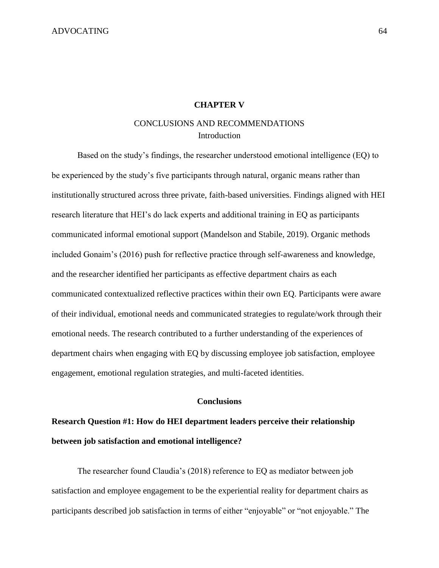### **CHAPTER V**

# CONCLUSIONS AND RECOMMENDATIONS **Introduction**

Based on the study's findings, the researcher understood emotional intelligence (EQ) to be experienced by the study's five participants through natural, organic means rather than institutionally structured across three private, faith-based universities. Findings aligned with HEI research literature that HEI's do lack experts and additional training in EQ as participants communicated informal emotional support (Mandelson and Stabile, 2019). Organic methods included Gonaim's (2016) push for reflective practice through self-awareness and knowledge, and the researcher identified her participants as effective department chairs as each communicated contextualized reflective practices within their own EQ. Participants were aware of their individual, emotional needs and communicated strategies to regulate/work through their emotional needs. The research contributed to a further understanding of the experiences of department chairs when engaging with EQ by discussing employee job satisfaction, employee engagement, emotional regulation strategies, and multi-faceted identities.

## **Conclusions**

# **Research Question #1: How do HEI department leaders perceive their relationship between job satisfaction and emotional intelligence?**

The researcher found Claudia's (2018) reference to EQ as mediator between job satisfaction and employee engagement to be the experiential reality for department chairs as participants described job satisfaction in terms of either "enjoyable" or "not enjoyable." The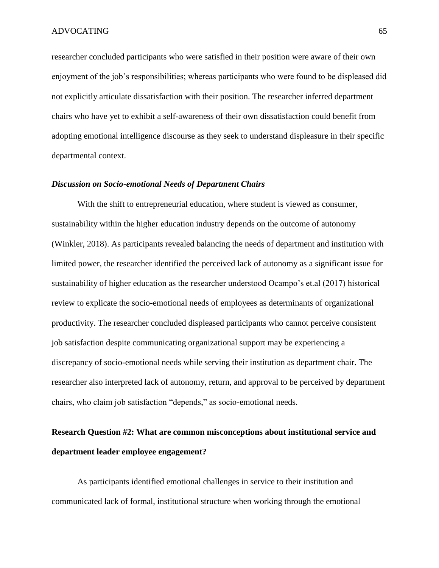researcher concluded participants who were satisfied in their position were aware of their own enjoyment of the job's responsibilities; whereas participants who were found to be displeased did not explicitly articulate dissatisfaction with their position. The researcher inferred department chairs who have yet to exhibit a self-awareness of their own dissatisfaction could benefit from adopting emotional intelligence discourse as they seek to understand displeasure in their specific departmental context.

#### *Discussion on Socio-emotional Needs of Department Chairs*

With the shift to entrepreneurial education, where student is viewed as consumer, sustainability within the higher education industry depends on the outcome of autonomy (Winkler, 2018). As participants revealed balancing the needs of department and institution with limited power, the researcher identified the perceived lack of autonomy as a significant issue for sustainability of higher education as the researcher understood Ocampo's et.al (2017) historical review to explicate the socio-emotional needs of employees as determinants of organizational productivity. The researcher concluded displeased participants who cannot perceive consistent job satisfaction despite communicating organizational support may be experiencing a discrepancy of socio-emotional needs while serving their institution as department chair. The researcher also interpreted lack of autonomy, return, and approval to be perceived by department chairs, who claim job satisfaction "depends," as socio-emotional needs.

# **Research Question #2: What are common misconceptions about institutional service and department leader employee engagement?**

As participants identified emotional challenges in service to their institution and communicated lack of formal, institutional structure when working through the emotional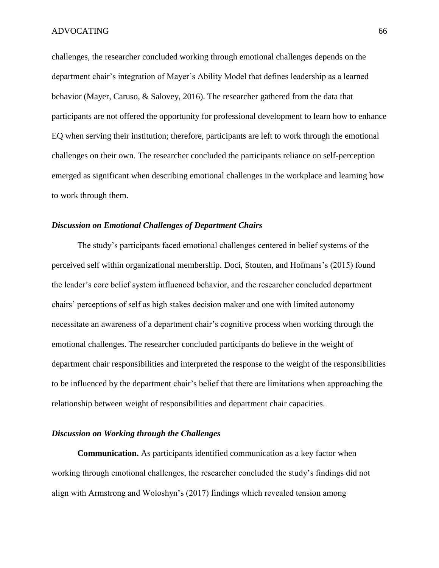challenges, the researcher concluded working through emotional challenges depends on the department chair's integration of Mayer's Ability Model that defines leadership as a learned behavior (Mayer, Caruso, & Salovey, 2016). The researcher gathered from the data that participants are not offered the opportunity for professional development to learn how to enhance EQ when serving their institution; therefore, participants are left to work through the emotional challenges on their own. The researcher concluded the participants reliance on self-perception emerged as significant when describing emotional challenges in the workplace and learning how to work through them.

# *Discussion on Emotional Challenges of Department Chairs*

The study's participants faced emotional challenges centered in belief systems of the perceived self within organizational membership. Doci, Stouten, and Hofmans's (2015) found the leader's core belief system influenced behavior, and the researcher concluded department chairs' perceptions of self as high stakes decision maker and one with limited autonomy necessitate an awareness of a department chair's cognitive process when working through the emotional challenges. The researcher concluded participants do believe in the weight of department chair responsibilities and interpreted the response to the weight of the responsibilities to be influenced by the department chair's belief that there are limitations when approaching the relationship between weight of responsibilities and department chair capacities.

# *Discussion on Working through the Challenges*

**Communication.** As participants identified communication as a key factor when working through emotional challenges, the researcher concluded the study's findings did not align with Armstrong and Woloshyn's (2017) findings which revealed tension among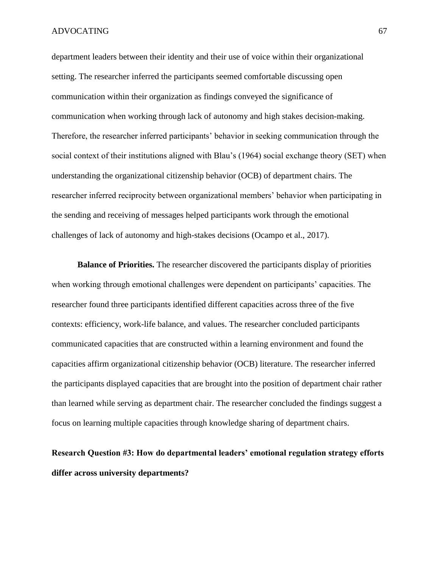department leaders between their identity and their use of voice within their organizational setting. The researcher inferred the participants seemed comfortable discussing open communication within their organization as findings conveyed the significance of communication when working through lack of autonomy and high stakes decision-making. Therefore, the researcher inferred participants' behavior in seeking communication through the social context of their institutions aligned with Blau's (1964) social exchange theory (SET) when understanding the organizational citizenship behavior (OCB) of department chairs. The researcher inferred reciprocity between organizational members' behavior when participating in the sending and receiving of messages helped participants work through the emotional challenges of lack of autonomy and high-stakes decisions (Ocampo et al., 2017).

**Balance of Priorities.** The researcher discovered the participants display of priorities when working through emotional challenges were dependent on participants' capacities. The researcher found three participants identified different capacities across three of the five contexts: efficiency, work-life balance, and values. The researcher concluded participants communicated capacities that are constructed within a learning environment and found the capacities affirm organizational citizenship behavior (OCB) literature. The researcher inferred the participants displayed capacities that are brought into the position of department chair rather than learned while serving as department chair. The researcher concluded the findings suggest a focus on learning multiple capacities through knowledge sharing of department chairs.

# **Research Question #3: How do departmental leaders' emotional regulation strategy efforts differ across university departments?**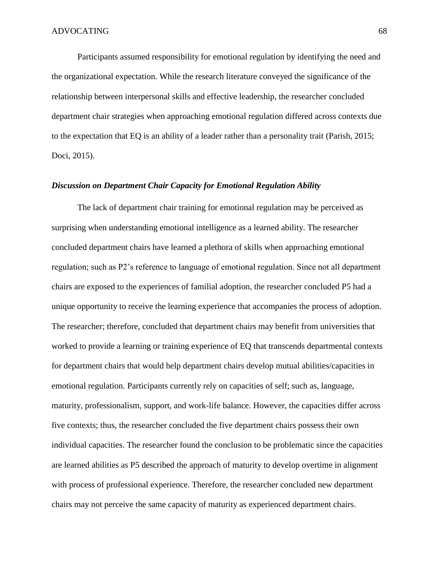Participants assumed responsibility for emotional regulation by identifying the need and the organizational expectation. While the research literature conveyed the significance of the relationship between interpersonal skills and effective leadership, the researcher concluded department chair strategies when approaching emotional regulation differed across contexts due to the expectation that EQ is an ability of a leader rather than a personality trait (Parish, 2015; Doci, 2015).

# *Discussion on Department Chair Capacity for Emotional Regulation Ability*

The lack of department chair training for emotional regulation may be perceived as surprising when understanding emotional intelligence as a learned ability. The researcher concluded department chairs have learned a plethora of skills when approaching emotional regulation; such as P2's reference to language of emotional regulation. Since not all department chairs are exposed to the experiences of familial adoption, the researcher concluded P5 had a unique opportunity to receive the learning experience that accompanies the process of adoption. The researcher; therefore, concluded that department chairs may benefit from universities that worked to provide a learning or training experience of EQ that transcends departmental contexts for department chairs that would help department chairs develop mutual abilities/capacities in emotional regulation. Participants currently rely on capacities of self; such as, language, maturity, professionalism, support, and work-life balance. However, the capacities differ across five contexts; thus, the researcher concluded the five department chairs possess their own individual capacities. The researcher found the conclusion to be problematic since the capacities are learned abilities as P5 described the approach of maturity to develop overtime in alignment with process of professional experience. Therefore, the researcher concluded new department chairs may not perceive the same capacity of maturity as experienced department chairs.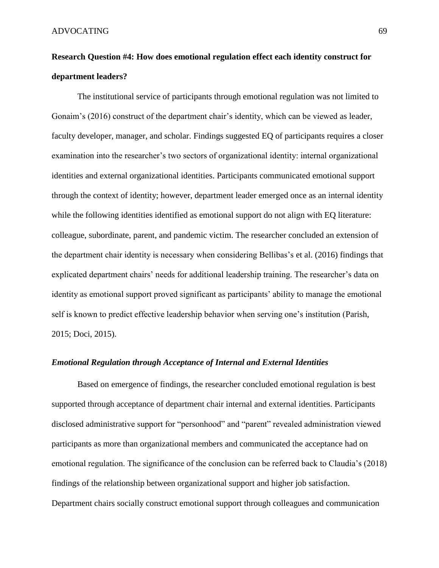# **Research Question #4: How does emotional regulation effect each identity construct for department leaders?**

The institutional service of participants through emotional regulation was not limited to Gonaim's (2016) construct of the department chair's identity, which can be viewed as leader, faculty developer, manager, and scholar. Findings suggested EQ of participants requires a closer examination into the researcher's two sectors of organizational identity: internal organizational identities and external organizational identities. Participants communicated emotional support through the context of identity; however, department leader emerged once as an internal identity while the following identities identified as emotional support do not align with EQ literature: colleague, subordinate, parent, and pandemic victim. The researcher concluded an extension of the department chair identity is necessary when considering Bellibas's et al. (2016) findings that explicated department chairs' needs for additional leadership training. The researcher's data on identity as emotional support proved significant as participants' ability to manage the emotional self is known to predict effective leadership behavior when serving one's institution (Parish, 2015; Doci, 2015).

# *Emotional Regulation through Acceptance of Internal and External Identities*

Based on emergence of findings, the researcher concluded emotional regulation is best supported through acceptance of department chair internal and external identities. Participants disclosed administrative support for "personhood" and "parent" revealed administration viewed participants as more than organizational members and communicated the acceptance had on emotional regulation. The significance of the conclusion can be referred back to Claudia's (2018) findings of the relationship between organizational support and higher job satisfaction. Department chairs socially construct emotional support through colleagues and communication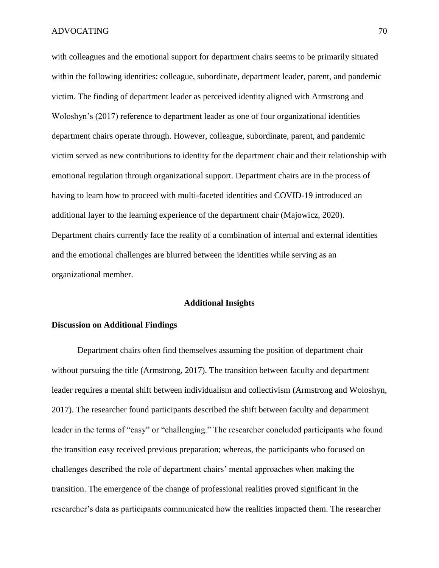with colleagues and the emotional support for department chairs seems to be primarily situated within the following identities: colleague, subordinate, department leader, parent, and pandemic victim. The finding of department leader as perceived identity aligned with Armstrong and Woloshyn's (2017) reference to department leader as one of four organizational identities department chairs operate through. However, colleague, subordinate, parent, and pandemic victim served as new contributions to identity for the department chair and their relationship with emotional regulation through organizational support. Department chairs are in the process of having to learn how to proceed with multi-faceted identities and COVID-19 introduced an additional layer to the learning experience of the department chair (Majowicz, 2020). Department chairs currently face the reality of a combination of internal and external identities and the emotional challenges are blurred between the identities while serving as an organizational member.

# **Additional Insights**

# **Discussion on Additional Findings**

Department chairs often find themselves assuming the position of department chair without pursuing the title (Armstrong, 2017). The transition between faculty and department leader requires a mental shift between individualism and collectivism (Armstrong and Woloshyn, 2017). The researcher found participants described the shift between faculty and department leader in the terms of "easy" or "challenging." The researcher concluded participants who found the transition easy received previous preparation; whereas, the participants who focused on challenges described the role of department chairs' mental approaches when making the transition. The emergence of the change of professional realities proved significant in the researcher's data as participants communicated how the realities impacted them. The researcher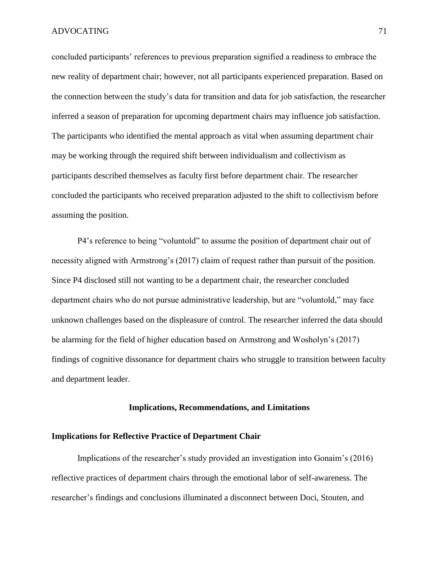concluded participants' references to previous preparation signified a readiness to embrace the new reality of department chair; however, not all participants experienced preparation. Based on the connection between the study's data for transition and data for job satisfaction, the researcher inferred a season of preparation for upcoming department chairs may influence job satisfaction. The participants who identified the mental approach as vital when assuming department chair may be working through the required shift between individualism and collectivism as participants described themselves as faculty first before department chair. The researcher concluded the participants who received preparation adjusted to the shift to collectivism before assuming the position.

P4's reference to being "voluntold" to assume the position of department chair out of necessity aligned with Armstrong's (2017) claim of request rather than pursuit of the position. Since P4 disclosed still not wanting to be a department chair, the researcher concluded department chairs who do not pursue administrative leadership, but are "voluntold," may face unknown challenges based on the displeasure of control. The researcher inferred the data should be alarming for the field of higher education based on Armstrong and Wosholyn's (2017) findings of cognitive dissonance for department chairs who struggle to transition between faculty and department leader.

# **Implications, Recommendations, and Limitations**

# **Implications for Reflective Practice of Department Chair**

Implications of the researcher's study provided an investigation into Gonaim's (2016) reflective practices of department chairs through the emotional labor of self-awareness. The researcher's findings and conclusions illuminated a disconnect between Doci, Stouten, and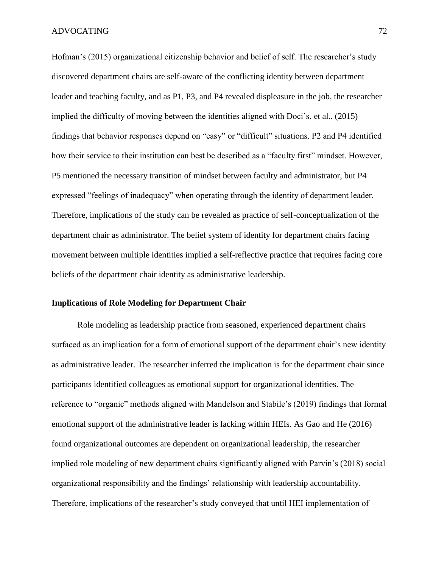Hofman's (2015) organizational citizenship behavior and belief of self. The researcher's study discovered department chairs are self-aware of the conflicting identity between department leader and teaching faculty, and as P1, P3, and P4 revealed displeasure in the job, the researcher implied the difficulty of moving between the identities aligned with Doci's, et al.. (2015) findings that behavior responses depend on "easy" or "difficult" situations. P2 and P4 identified how their service to their institution can best be described as a "faculty first" mindset. However, P5 mentioned the necessary transition of mindset between faculty and administrator, but P4 expressed "feelings of inadequacy" when operating through the identity of department leader. Therefore, implications of the study can be revealed as practice of self-conceptualization of the department chair as administrator. The belief system of identity for department chairs facing movement between multiple identities implied a self-reflective practice that requires facing core beliefs of the department chair identity as administrative leadership.

# **Implications of Role Modeling for Department Chair**

Role modeling as leadership practice from seasoned, experienced department chairs surfaced as an implication for a form of emotional support of the department chair's new identity as administrative leader. The researcher inferred the implication is for the department chair since participants identified colleagues as emotional support for organizational identities. The reference to "organic" methods aligned with Mandelson and Stabile's (2019) findings that formal emotional support of the administrative leader is lacking within HEIs. As Gao and He (2016) found organizational outcomes are dependent on organizational leadership, the researcher implied role modeling of new department chairs significantly aligned with Parvin's (2018) social organizational responsibility and the findings' relationship with leadership accountability. Therefore, implications of the researcher's study conveyed that until HEI implementation of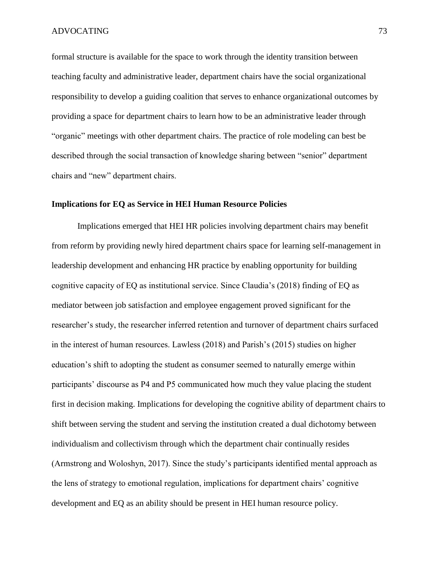formal structure is available for the space to work through the identity transition between teaching faculty and administrative leader, department chairs have the social organizational responsibility to develop a guiding coalition that serves to enhance organizational outcomes by providing a space for department chairs to learn how to be an administrative leader through "organic" meetings with other department chairs. The practice of role modeling can best be described through the social transaction of knowledge sharing between "senior" department chairs and "new" department chairs.

### **Implications for EQ as Service in HEI Human Resource Policies**

Implications emerged that HEI HR policies involving department chairs may benefit from reform by providing newly hired department chairs space for learning self-management in leadership development and enhancing HR practice by enabling opportunity for building cognitive capacity of EQ as institutional service. Since Claudia's (2018) finding of EQ as mediator between job satisfaction and employee engagement proved significant for the researcher's study, the researcher inferred retention and turnover of department chairs surfaced in the interest of human resources. Lawless (2018) and Parish's (2015) studies on higher education's shift to adopting the student as consumer seemed to naturally emerge within participants' discourse as P4 and P5 communicated how much they value placing the student first in decision making. Implications for developing the cognitive ability of department chairs to shift between serving the student and serving the institution created a dual dichotomy between individualism and collectivism through which the department chair continually resides (Armstrong and Woloshyn, 2017). Since the study's participants identified mental approach as the lens of strategy to emotional regulation, implications for department chairs' cognitive development and EQ as an ability should be present in HEI human resource policy.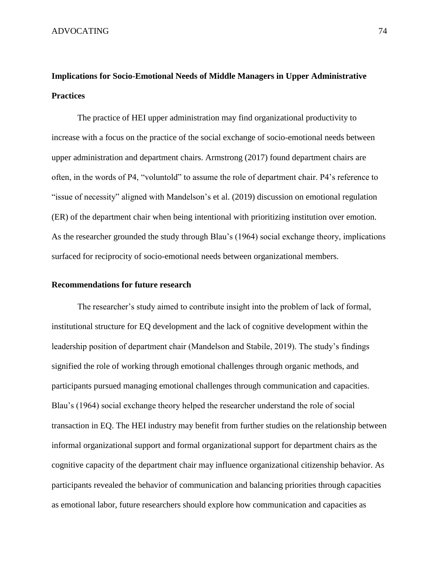# **Implications for Socio-Emotional Needs of Middle Managers in Upper Administrative Practices**

The practice of HEI upper administration may find organizational productivity to increase with a focus on the practice of the social exchange of socio-emotional needs between upper administration and department chairs. Armstrong (2017) found department chairs are often, in the words of P4, "voluntold" to assume the role of department chair. P4's reference to "issue of necessity" aligned with Mandelson's et al. (2019) discussion on emotional regulation (ER) of the department chair when being intentional with prioritizing institution over emotion. As the researcher grounded the study through Blau's (1964) social exchange theory, implications surfaced for reciprocity of socio-emotional needs between organizational members.

# **Recommendations for future research**

The researcher's study aimed to contribute insight into the problem of lack of formal, institutional structure for EQ development and the lack of cognitive development within the leadership position of department chair (Mandelson and Stabile, 2019). The study's findings signified the role of working through emotional challenges through organic methods, and participants pursued managing emotional challenges through communication and capacities. Blau's (1964) social exchange theory helped the researcher understand the role of social transaction in EQ. The HEI industry may benefit from further studies on the relationship between informal organizational support and formal organizational support for department chairs as the cognitive capacity of the department chair may influence organizational citizenship behavior. As participants revealed the behavior of communication and balancing priorities through capacities as emotional labor, future researchers should explore how communication and capacities as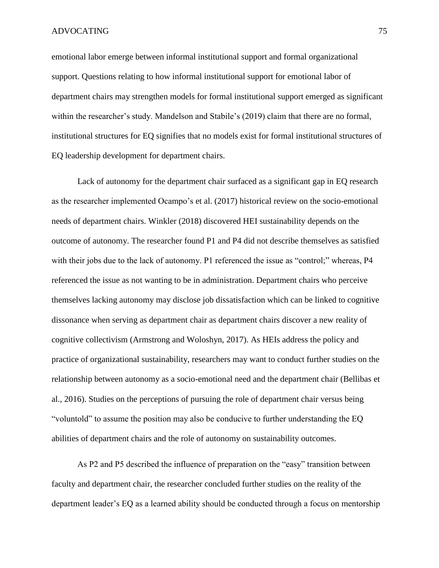emotional labor emerge between informal institutional support and formal organizational support. Questions relating to how informal institutional support for emotional labor of department chairs may strengthen models for formal institutional support emerged as significant within the researcher's study. Mandelson and Stabile's (2019) claim that there are no formal, institutional structures for EQ signifies that no models exist for formal institutional structures of EQ leadership development for department chairs.

Lack of autonomy for the department chair surfaced as a significant gap in EQ research as the researcher implemented Ocampo's et al. (2017) historical review on the socio-emotional needs of department chairs. Winkler (2018) discovered HEI sustainability depends on the outcome of autonomy. The researcher found P1 and P4 did not describe themselves as satisfied with their jobs due to the lack of autonomy. P1 referenced the issue as "control;" whereas, P4 referenced the issue as not wanting to be in administration. Department chairs who perceive themselves lacking autonomy may disclose job dissatisfaction which can be linked to cognitive dissonance when serving as department chair as department chairs discover a new reality of cognitive collectivism (Armstrong and Woloshyn, 2017). As HEIs address the policy and practice of organizational sustainability, researchers may want to conduct further studies on the relationship between autonomy as a socio-emotional need and the department chair (Bellibas et al., 2016). Studies on the perceptions of pursuing the role of department chair versus being "voluntold" to assume the position may also be conducive to further understanding the EQ abilities of department chairs and the role of autonomy on sustainability outcomes.

As P2 and P5 described the influence of preparation on the "easy" transition between faculty and department chair, the researcher concluded further studies on the reality of the department leader's EQ as a learned ability should be conducted through a focus on mentorship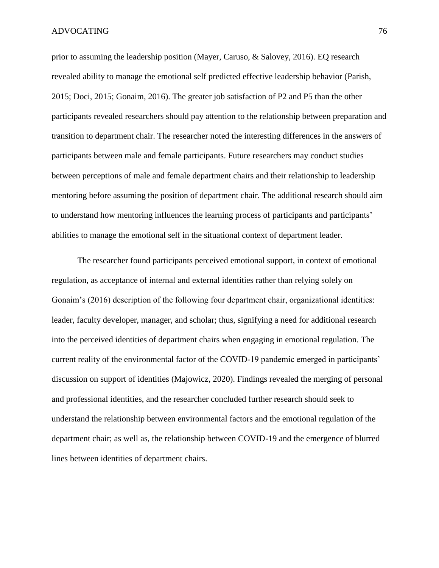prior to assuming the leadership position (Mayer, Caruso, & Salovey, 2016). EQ research revealed ability to manage the emotional self predicted effective leadership behavior (Parish, 2015; Doci, 2015; Gonaim, 2016). The greater job satisfaction of P2 and P5 than the other participants revealed researchers should pay attention to the relationship between preparation and transition to department chair. The researcher noted the interesting differences in the answers of participants between male and female participants. Future researchers may conduct studies between perceptions of male and female department chairs and their relationship to leadership mentoring before assuming the position of department chair. The additional research should aim to understand how mentoring influences the learning process of participants and participants' abilities to manage the emotional self in the situational context of department leader.

The researcher found participants perceived emotional support, in context of emotional regulation, as acceptance of internal and external identities rather than relying solely on Gonaim's (2016) description of the following four department chair, organizational identities: leader, faculty developer, manager, and scholar; thus, signifying a need for additional research into the perceived identities of department chairs when engaging in emotional regulation. The current reality of the environmental factor of the COVID-19 pandemic emerged in participants' discussion on support of identities (Majowicz, 2020). Findings revealed the merging of personal and professional identities, and the researcher concluded further research should seek to understand the relationship between environmental factors and the emotional regulation of the department chair; as well as, the relationship between COVID-19 and the emergence of blurred lines between identities of department chairs.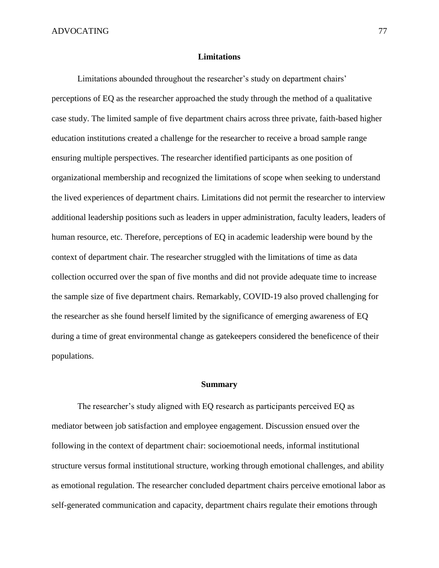## **Limitations**

Limitations abounded throughout the researcher's study on department chairs' perceptions of EQ as the researcher approached the study through the method of a qualitative case study. The limited sample of five department chairs across three private, faith-based higher education institutions created a challenge for the researcher to receive a broad sample range ensuring multiple perspectives. The researcher identified participants as one position of organizational membership and recognized the limitations of scope when seeking to understand the lived experiences of department chairs. Limitations did not permit the researcher to interview additional leadership positions such as leaders in upper administration, faculty leaders, leaders of human resource, etc. Therefore, perceptions of EQ in academic leadership were bound by the context of department chair. The researcher struggled with the limitations of time as data collection occurred over the span of five months and did not provide adequate time to increase the sample size of five department chairs. Remarkably, COVID-19 also proved challenging for the researcher as she found herself limited by the significance of emerging awareness of EQ during a time of great environmental change as gatekeepers considered the beneficence of their populations.

# **Summary**

The researcher's study aligned with EQ research as participants perceived EQ as mediator between job satisfaction and employee engagement. Discussion ensued over the following in the context of department chair: socioemotional needs, informal institutional structure versus formal institutional structure, working through emotional challenges, and ability as emotional regulation. The researcher concluded department chairs perceive emotional labor as self-generated communication and capacity, department chairs regulate their emotions through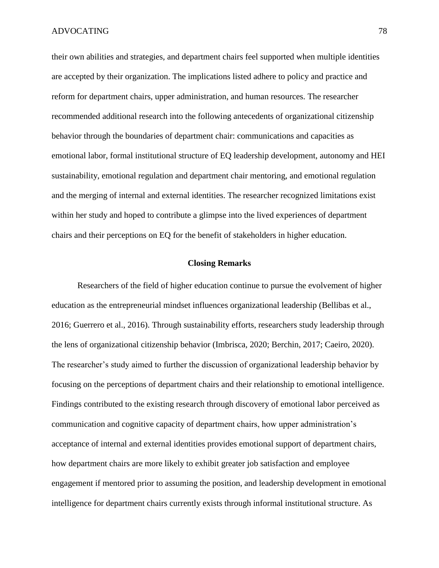their own abilities and strategies, and department chairs feel supported when multiple identities are accepted by their organization. The implications listed adhere to policy and practice and reform for department chairs, upper administration, and human resources. The researcher recommended additional research into the following antecedents of organizational citizenship behavior through the boundaries of department chair: communications and capacities as emotional labor, formal institutional structure of EQ leadership development, autonomy and HEI sustainability, emotional regulation and department chair mentoring, and emotional regulation and the merging of internal and external identities. The researcher recognized limitations exist within her study and hoped to contribute a glimpse into the lived experiences of department chairs and their perceptions on EQ for the benefit of stakeholders in higher education.

# **Closing Remarks**

Researchers of the field of higher education continue to pursue the evolvement of higher education as the entrepreneurial mindset influences organizational leadership (Bellibas et al., 2016; Guerrero et al., 2016). Through sustainability efforts, researchers study leadership through the lens of organizational citizenship behavior (Imbrisca, 2020; Berchin, 2017; Caeiro, 2020). The researcher's study aimed to further the discussion of organizational leadership behavior by focusing on the perceptions of department chairs and their relationship to emotional intelligence. Findings contributed to the existing research through discovery of emotional labor perceived as communication and cognitive capacity of department chairs, how upper administration's acceptance of internal and external identities provides emotional support of department chairs, how department chairs are more likely to exhibit greater job satisfaction and employee engagement if mentored prior to assuming the position, and leadership development in emotional intelligence for department chairs currently exists through informal institutional structure. As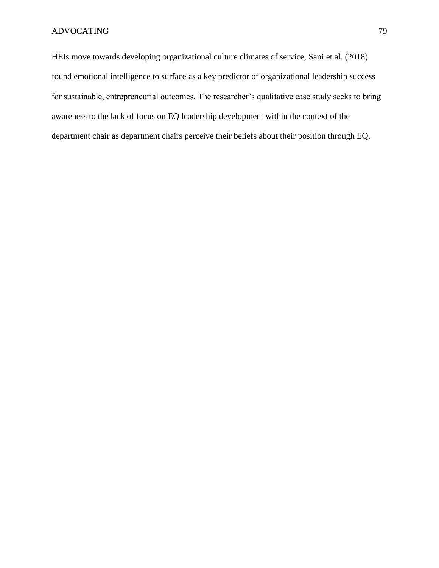HEIs move towards developing organizational culture climates of service, Sani et al. (2018) found emotional intelligence to surface as a key predictor of organizational leadership success for sustainable, entrepreneurial outcomes. The researcher's qualitative case study seeks to bring awareness to the lack of focus on EQ leadership development within the context of the department chair as department chairs perceive their beliefs about their position through EQ.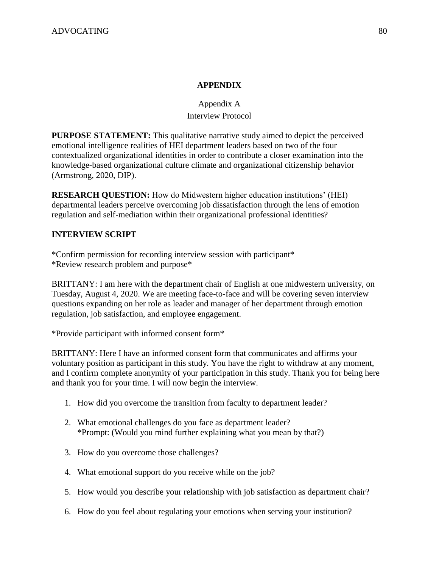# **APPENDIX**

# Appendix A Interview Protocol

**PURPOSE STATEMENT:** This qualitative narrative study aimed to depict the perceived emotional intelligence realities of HEI department leaders based on two of the four contextualized organizational identities in order to contribute a closer examination into the knowledge-based organizational culture climate and organizational citizenship behavior (Armstrong, 2020, DIP).

**RESEARCH QUESTION:** How do Midwestern higher education institutions' (HEI) departmental leaders perceive overcoming job dissatisfaction through the lens of emotion regulation and self-mediation within their organizational professional identities?

# **INTERVIEW SCRIPT**

\*Confirm permission for recording interview session with participant\* \*Review research problem and purpose\*

BRITTANY: I am here with the department chair of English at one midwestern university, on Tuesday, August 4, 2020. We are meeting face-to-face and will be covering seven interview questions expanding on her role as leader and manager of her department through emotion regulation, job satisfaction, and employee engagement.

\*Provide participant with informed consent form\*

BRITTANY: Here I have an informed consent form that communicates and affirms your voluntary position as participant in this study. You have the right to withdraw at any moment, and I confirm complete anonymity of your participation in this study. Thank you for being here and thank you for your time. I will now begin the interview.

- 1. How did you overcome the transition from faculty to department leader?
- 2. What emotional challenges do you face as department leader? \*Prompt: (Would you mind further explaining what you mean by that?)
- 3. How do you overcome those challenges?
- 4. What emotional support do you receive while on the job?
- 5. How would you describe your relationship with job satisfaction as department chair?
- 6. How do you feel about regulating your emotions when serving your institution?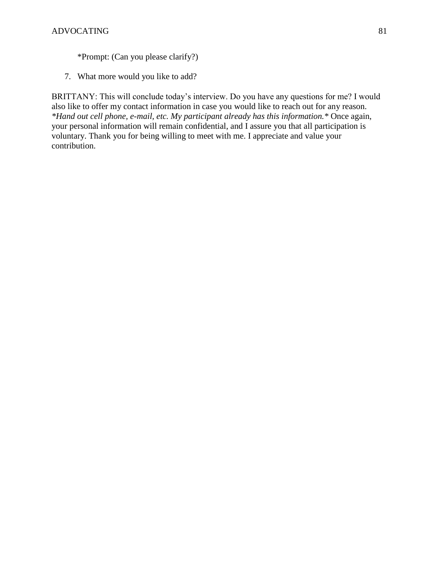\*Prompt: (Can you please clarify?)

7. What more would you like to add?

BRITTANY: This will conclude today's interview. Do you have any questions for me? I would also like to offer my contact information in case you would like to reach out for any reason. *\*Hand out cell phone, e-mail, etc. My participant already has this information.\** Once again, your personal information will remain confidential, and I assure you that all participation is voluntary. Thank you for being willing to meet with me. I appreciate and value your contribution.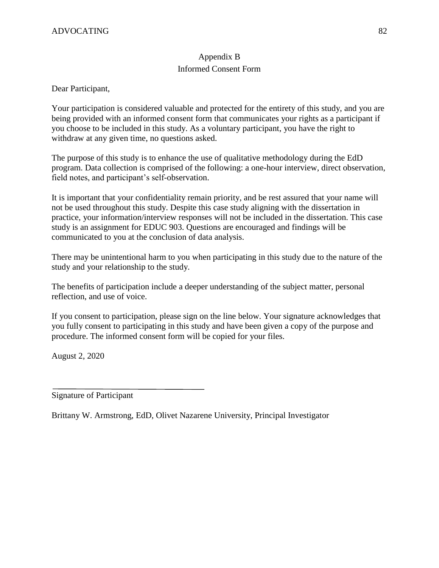# Appendix B Informed Consent Form

Dear Participant,

Your participation is considered valuable and protected for the entirety of this study, and you are being provided with an informed consent form that communicates your rights as a participant if you choose to be included in this study. As a voluntary participant, you have the right to withdraw at any given time, no questions asked.

The purpose of this study is to enhance the use of qualitative methodology during the EdD program. Data collection is comprised of the following: a one-hour interview, direct observation, field notes, and participant's self-observation.

It is important that your confidentiality remain priority, and be rest assured that your name will not be used throughout this study. Despite this case study aligning with the dissertation in practice, your information/interview responses will not be included in the dissertation. This case study is an assignment for EDUC 903. Questions are encouraged and findings will be communicated to you at the conclusion of data analysis.

There may be unintentional harm to you when participating in this study due to the nature of the study and your relationship to the study.

The benefits of participation include a deeper understanding of the subject matter, personal reflection, and use of voice.

If you consent to participation, please sign on the line below. Your signature acknowledges that you fully consent to participating in this study and have been given a copy of the purpose and procedure. The informed consent form will be copied for your files.

August 2, 2020

Signature of Participant

Brittany W. Armstrong, EdD, Olivet Nazarene University, Principal Investigator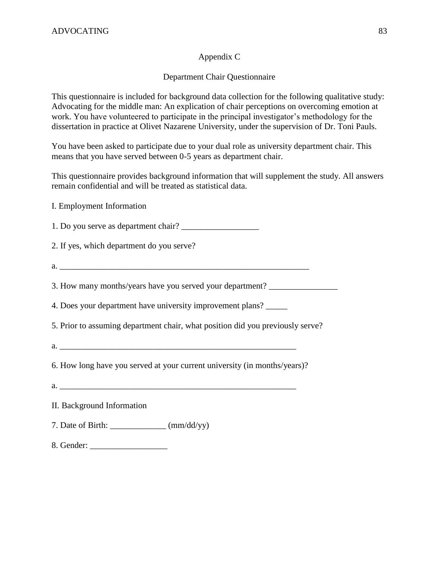# Appendix C

# Department Chair Questionnaire

This questionnaire is included for background data collection for the following qualitative study: Advocating for the middle man: An explication of chair perceptions on overcoming emotion at work. You have volunteered to participate in the principal investigator's methodology for the dissertation in practice at Olivet Nazarene University, under the supervision of Dr. Toni Pauls.

You have been asked to participate due to your dual role as university department chair. This means that you have served between 0-5 years as department chair.

This questionnaire provides background information that will supplement the study. All answers remain confidential and will be treated as statistical data.

I. Employment Information

1. Do you serve as department chair?

2. If yes, which department do you serve?

 $a.$ 

3. How many months/years have you served your department? \_\_\_\_\_\_\_\_\_\_\_\_\_\_\_\_\_\_\_\_\_\_

4. Does your department have university improvement plans? \_\_\_\_\_

5. Prior to assuming department chair, what position did you previously serve?

 $a.$ 

6. How long have you served at your current university (in months/years)?

- $a.$
- II. Background Information
- 7. Date of Birth:  $\frac{\text{m}}{\text{m}}$  (mm/dd/yy)
- 8. Gender: \_\_\_\_\_\_\_\_\_\_\_\_\_\_\_\_\_\_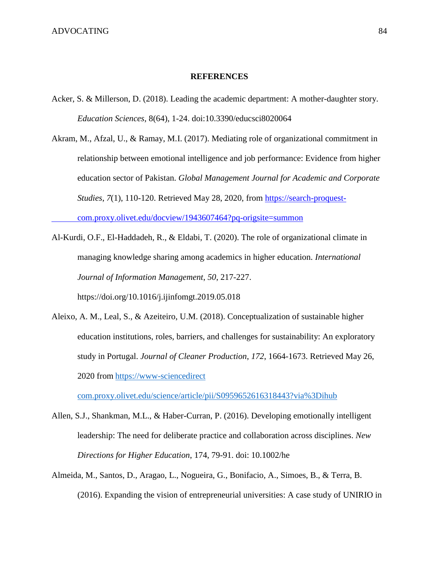### **REFERENCES**

- Acker, S. & Millerson, D. (2018). Leading the academic department: A mother-daughter story. *Education Sciences*, 8(64), 1-24. doi:10.3390/educsci8020064
- Akram, M., Afzal, U., & Ramay, M.I. (2017). Mediating role of organizational commitment in relationship between emotional intelligence and job performance: Evidence from higher education sector of Pakistan. *Global Management Journal for Academic and Corporate Studies*, *7*(1), 110-120. Retrieved May 28, 2020, from https://search-proquestcom.proxy.olivet.edu/docview/1943607464?pq-origsite=summon
- Al-Kurdi, O.F., El-Haddadeh, R., & Eldabi, T. (2020). The role of organizational climate in managing knowledge sharing among academics in higher education. *International Journal of Information Management*, *50*, 217-227. https://doi.org/10.1016/j.ijinfomgt.2019.05.018
- Aleixo, A. M., Leal, S., & Azeiteiro, U.M. (2018). Conceptualization of sustainable higher education institutions, roles, barriers, and challenges for sustainability: An exploratory study in Portugal. *Journal of Cleaner Production*, *172*, 1664-1673. Retrieved May 26, 2020 from https://www-sciencedirect

com.proxy.olivet.edu/science/article/pii/S0959652616318443?via%3Dihub

- Allen, S.J., Shankman, M.L., & Haber-Curran, P. (2016). Developing emotionally intelligent leadership: The need for deliberate practice and collaboration across disciplines. *New Directions for Higher Education*, 174, 79-91. doi: 10.1002/he
- Almeida, M., Santos, D., Aragao, L., Nogueira, G., Bonifacio, A., Simoes, B., & Terra, B. (2016). Expanding the vision of entrepreneurial universities: A case study of UNIRIO in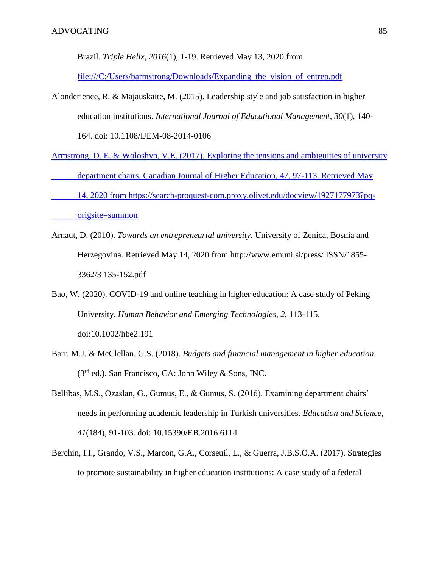Brazil. *Triple Helix*, *2016*(1), 1-19. Retrieved May 13, 2020 from

[file:///C:/Users/barmstrong/Downloads/Expanding\\_the\\_vision\\_of\\_entrep.pdf](../../barmstrong/Downloads/Expanding_the_vision_of_entrep.pdf)

- Alonderience, R. & Majauskaite, M. (2015). Leadership style and job satisfaction in higher education institutions. *International Journal of Educational Management*, *30*(1), 140- 164. doi: 10.1108/IJEM-08-2014-0106
- Armstrong, D. E. & Woloshyn, V.E. (2017). Exploring the tensions and ambiguities of university department chairs. Canadian Journal of Higher Education, 47, 97-113. Retrieved May 14, 2020 from [https://search-proquest-com.proxy.olivet.edu/docview/1927177973?pq](https://search-proquest-com.proxy.olivet.edu/docview/1927177973?pq-%09origsite=summon)[origsite=summon](https://search-proquest-com.proxy.olivet.edu/docview/1927177973?pq-%09origsite=summon)
- Arnaut, D. (2010). *Towards an entrepreneurial university*. University of Zenica, Bosnia and Herzegovina. Retrieved May 14, 2020 from http://www.emuni.si/press/ ISSN/1855- 3362/3 135-152.pdf
- Bao, W. (2020). COVID-19 and online teaching in higher education: A case study of Peking University. *Human Behavior and Emerging Technologies*, *2*, 113-115. doi:10.1002/hbe2.191
- Barr, M.J. & McClellan, G.S. (2018). *Budgets and financial management in higher education*.  $(3<sup>rd</sup>$  ed.). San Francisco, CA: John Wiley & Sons, INC.
- Bellibas, M.S., Ozaslan, G., Gumus, E., & Gumus, S. (2016). Examining department chairs' needs in performing academic leadership in Turkish universities. *Education and Science*, *41*(184), 91-103. doi: 10.15390/EB.2016.6114
- Berchin, I.I., Grando, V.S., Marcon, G.A., Corseuil, L., & Guerra, J.B.S.O.A. (2017). Strategies to promote sustainability in higher education institutions: A case study of a federal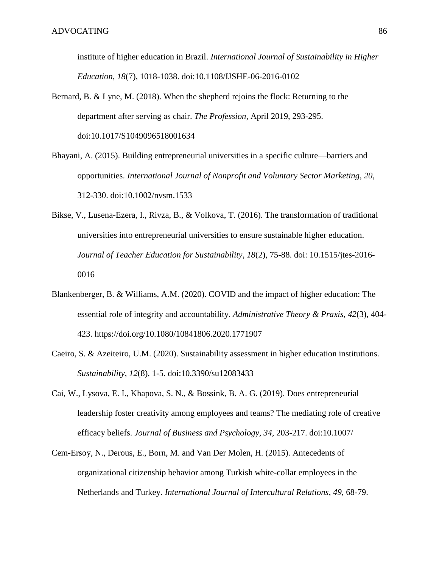institute of higher education in Brazil. *International Journal of Sustainability in Higher Education*, *18*(7), 1018-1038. doi:10.1108/IJSHE-06-2016-0102

- Bernard, B. & Lyne, M. (2018). When the shepherd rejoins the flock: Returning to the department after serving as chair. *The Profession*, April 2019, 293-295. doi:10.1017/S1049096518001634
- Bhayani, A. (2015). Building entrepreneurial universities in a specific culture—barriers and opportunities. *International Journal of Nonprofit and Voluntary Sector Marketing*, *20*, 312-330. doi:10.1002/nvsm.1533
- Bikse, V., Lusena-Ezera, I., Rivza, B., & Volkova, T. (2016). The transformation of traditional universities into entrepreneurial universities to ensure sustainable higher education. *Journal of Teacher Education for Sustainability*, *18*(2), 75-88. doi: 10.1515/jtes-2016- 0016
- Blankenberger, B. & Williams, A.M. (2020). COVID and the impact of higher education: The essential role of integrity and accountability. *Administrative Theory & Praxis*, *42*(3), 404- 423. https://doi.org/10.1080/10841806.2020.1771907
- Caeiro, S. & Azeiteiro, U.M. (2020). Sustainability assessment in higher education institutions. *Sustainability*, *12*(8), 1-5. doi:10.3390/su12083433
- Cai, W., Lysova, E. I., Khapova, S. N., & Bossink, B. A. G. (2019). Does entrepreneurial leadership foster creativity among employees and teams? The mediating role of creative efficacy beliefs. *Journal of Business and Psychology*, *34*, 203-217. doi:10.1007/
- Cem-Ersoy, N., Derous, E., Born, M. and Van Der Molen, H. (2015). Antecedents of organizational citizenship behavior among Turkish white-collar employees in the Netherlands and Turkey. *International Journal of Intercultural Relations*, *49*, 68-79.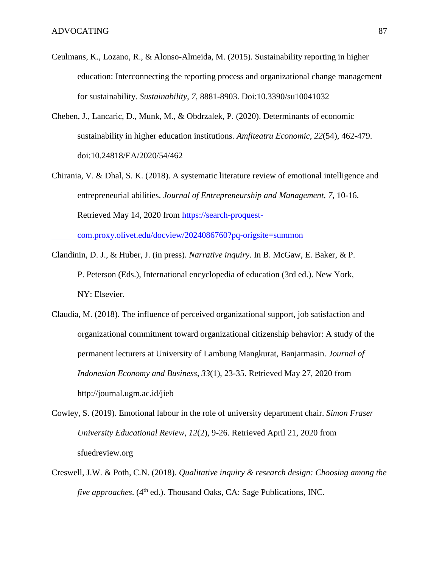- Ceulmans, K., Lozano, R., & Alonso-Almeida, M. (2015). Sustainability reporting in higher education: Interconnecting the reporting process and organizational change management for sustainability. *Sustainability*, *7*, 8881-8903. Doi:10.3390/su10041032
- Cheben, J., Lancaric, D., Munk, M., & Obdrzalek, P. (2020). Determinants of economic sustainability in higher education institutions. *Amfiteatru Economic*, *22*(54), 462-479. doi:10.24818/EA/2020/54/462
- Chirania, V. & Dhal, S. K. (2018). A systematic literature review of emotional intelligence and entrepreneurial abilities. *Journal of Entrepreneurship and Management*, *7*, 10-16. Retrieved May 14, 2020 from https://search-proquest-

com.proxy.olivet.edu/docview/2024086760?pq-origsite=summon

- Clandinin, D. J., & Huber, J. (in press). *Narrative inquiry*. In B. McGaw, E. Baker, & P. P. Peterson (Eds.), International encyclopedia of education (3rd ed.). New York, NY: Elsevier.
- Claudia, M. (2018). The influence of perceived organizational support, job satisfaction and organizational commitment toward organizational citizenship behavior: A study of the permanent lecturers at University of Lambung Mangkurat, Banjarmasin. *Journal of Indonesian Economy and Business*, *33*(1), 23-35. Retrieved May 27, 2020 from http://journal.ugm.ac.id/jieb
- Cowley, S. (2019). Emotional labour in the role of university department chair. *Simon Fraser University Educational Review*, *12*(2), 9-26. Retrieved April 21, 2020 from sfuedreview.org
- Creswell, J.W. & Poth, C.N. (2018). *Qualitative inquiry & research design: Choosing among the five approaches.* (4<sup>th</sup> ed.). Thousand Oaks, CA: Sage Publications, INC.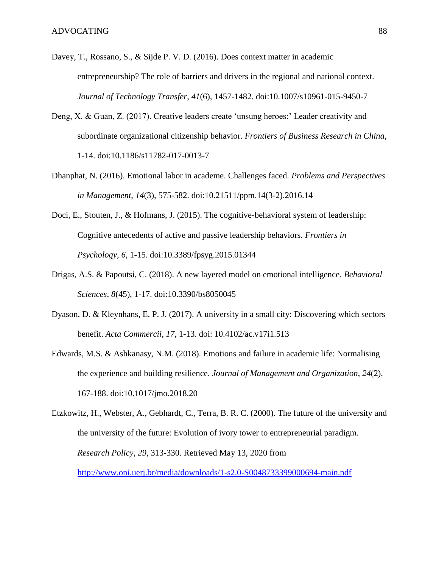- Davey, T., Rossano, S., & Sijde P. V. D. (2016). Does context matter in academic entrepreneurship? The role of barriers and drivers in the regional and national context. *Journal of Technology Transfer*, *41*(6), 1457-1482. doi:10.1007/s10961-015-9450-7
- Deng, X. & Guan, Z. (2017). Creative leaders create 'unsung heroes:' Leader creativity and subordinate organizational citizenship behavior. *Frontiers of Business Research in China*, 1-14. doi:10.1186/s11782-017-0013-7
- Dhanphat, N. (2016). Emotional labor in academe. Challenges faced. *Problems and Perspectives in Management*, *14*(3), 575-582. doi:10.21511/ppm.14(3-2).2016.14
- Doci, E., Stouten, J., & Hofmans, J. (2015). The cognitive-behavioral system of leadership: Cognitive antecedents of active and passive leadership behaviors. *Frontiers in Psychology*, *6*, 1-15. doi:10.3389/fpsyg.2015.01344
- Drigas, A.S. & Papoutsi, C. (2018). A new layered model on emotional intelligence. *Behavioral Sciences*, *8*(45), 1-17. doi:10.3390/bs8050045
- Dyason, D. & Kleynhans, E. P. J. (2017). A university in a small city: Discovering which sectors benefit. *Acta Commercii*, *17*, 1-13. doi: 10.4102/ac.v17i1.513
- Edwards, M.S. & Ashkanasy, N.M. (2018). Emotions and failure in academic life: Normalising the experience and building resilience. *Journal of Management and Organization*, *24*(2), 167-188. doi:10.1017/jmo.2018.20

Etzkowitz, H., Webster, A., Gebhardt, C., Terra, B. R. C. (2000). The future of the university and the university of the future: Evolution of ivory tower to entrepreneurial paradigm. *Research Policy*, *29*, 313-330. Retrieved May 13, 2020 from <http://www.oni.uerj.br/media/downloads/1-s2.0-S0048733399000694-main.pdf>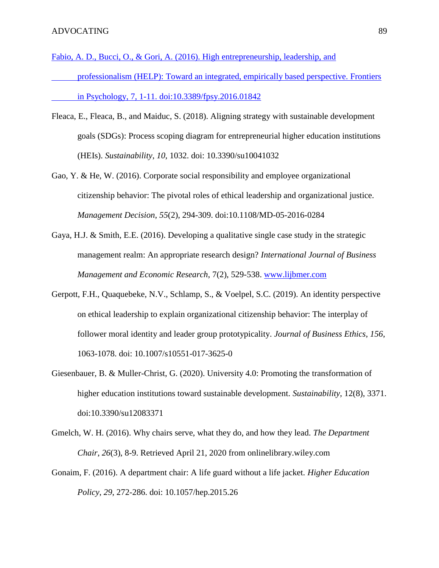- Fabio, A. D., Bucci, O., & Gori, A. (2016). High entrepreneurship, leadership, and professionalism (HELP): Toward an integrated, empirically based perspective. Frontiers in Psychology, 7, 1-11. doi:10.3389/fpsy.2016.01842
- Fleaca, E., Fleaca, B., and Maiduc, S. (2018). Aligning strategy with sustainable development goals (SDGs): Process scoping diagram for entrepreneurial higher education institutions (HEIs). *Sustainability*, *10*, 1032. doi: 10.3390/su10041032
- Gao, Y. & He, W. (2016). Corporate social responsibility and employee organizational citizenship behavior: The pivotal roles of ethical leadership and organizational justice. *Management Decision*, *55*(2), 294-309. doi:10.1108/MD-05-2016-0284
- Gaya, H.J. & Smith, E.E. (2016). Developing a qualitative single case study in the strategic management realm: An appropriate research design? *International Journal of Business Management and Economic Research*, 7(2), 529-538. [www.lijbmer.com](http://www.lijbmer.com/)
- Gerpott, F.H., Quaquebeke, N.V., Schlamp, S., & Voelpel, S.C. (2019). An identity perspective on ethical leadership to explain organizational citizenship behavior: The interplay of follower moral identity and leader group prototypicality. *Journal of Business Ethics*, *156*, 1063-1078. doi: 10.1007/s10551-017-3625-0
- Giesenbauer, B. & Muller-Christ, G. (2020). University 4.0: Promoting the transformation of higher education institutions toward sustainable development. *Sustainability*, 12(8), 3371. doi:10.3390/su12083371
- Gmelch, W. H. (2016). Why chairs serve, what they do, and how they lead. *The Department Chair*, *26*(3), 8-9. Retrieved April 21, 2020 from onlinelibrary.wiley.com
- Gonaim, F. (2016). A department chair: A life guard without a life jacket. *Higher Education Policy*, *29*, 272-286. doi: 10.1057/hep.2015.26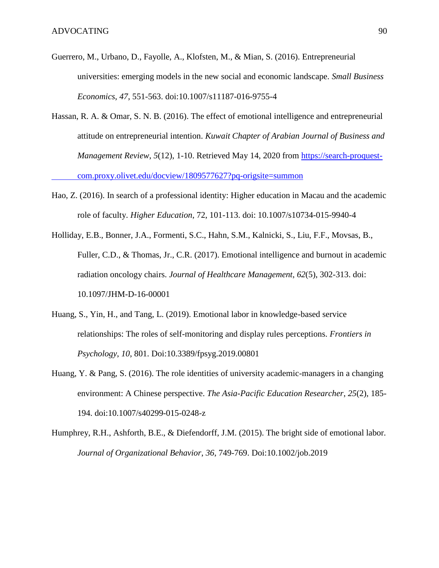- Guerrero, M., Urbano, D., Fayolle, A., Klofsten, M., & Mian, S. (2016). Entrepreneurial universities: emerging models in the new social and economic landscape. *Small Business Economics*, *47*, 551-563. doi:10.1007/s11187-016-9755-4
- Hassan, R. A. & Omar, S. N. B. (2016). The effect of emotional intelligence and entrepreneurial attitude on entrepreneurial intention. *Kuwait Chapter of Arabian Journal of Business and Management Review*, *5*(12), 1-10. Retrieved May 14, 2020 from https://search-proquestcom.proxy.olivet.edu/docview/1809577627?pq-origsite=summon
- Hao, Z. (2016). In search of a professional identity: Higher education in Macau and the academic role of faculty. *Higher Education*, 72, 101-113. doi: 10.1007/s10734-015-9940-4
- Holliday, E.B., Bonner, J.A., Formenti, S.C., Hahn, S.M., Kalnicki, S., Liu, F.F., Movsas, B., Fuller, C.D., & Thomas, Jr., C.R. (2017). Emotional intelligence and burnout in academic radiation oncology chairs. *Journal of Healthcare Management*, *62*(5), 302-313. doi: 10.1097/JHM-D-16-00001
- Huang, S., Yin, H., and Tang, L. (2019). Emotional labor in knowledge-based service relationships: The roles of self-monitoring and display rules perceptions. *Frontiers in Psychology*, *10*, 801. Doi:10.3389/fpsyg.2019.00801
- Huang, Y. & Pang, S. (2016). The role identities of university academic-managers in a changing environment: A Chinese perspective. *The Asia-Pacific Education Researcher*, *25*(2), 185- 194. doi:10.1007/s40299-015-0248-z
- Humphrey, R.H., Ashforth, B.E., & Diefendorff, J.M. (2015). The bright side of emotional labor. *Journal of Organizational Behavior*, *36*, 749-769. Doi:10.1002/job.2019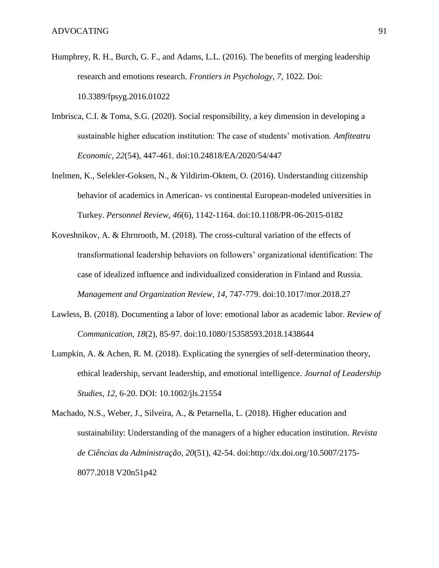- Humphrey, R. H., Burch, G. F., and Adams, L.L. (2016). The benefits of merging leadership research and emotions research. *Frontiers in Psychology*, *7*, 1022. Doi: 10.3389/fpsyg.2016.01022
- Imbrisca, C.I. & Toma, S.G. (2020). Social responsibility, a key dimension in developing a sustainable higher education institution: The case of students' motivation. *Amfiteatru Economic*, *22*(54), 447-461. doi:10.24818/EA/2020/54/447
- Inelmen, K., Selekler-Goksen, N., & Yildirim-Oktem, O. (2016). Understanding citizenship behavior of academics in American- vs continental European-modeled universities in Turkey. *Personnel Review*, *46*(6), 1142-1164. doi:10.1108/PR-06-2015-0182
- Koveshnikov, A. & Ehrnrooth, M. (2018). The cross-cultural variation of the effects of transformational leadership behaviors on followers' organizational identification: The case of idealized influence and individualized consideration in Finland and Russia. *Management and Organization Review*, *14*, 747-779. doi:10.1017/mor.2018.27
- Lawless, B. (2018). Documenting a labor of love: emotional labor as academic labor. *Review of Communication*, *18*(2), 85-97. doi:10.1080/15358593.2018.1438644
- Lumpkin, A. & Achen, R. M. (2018). Explicating the synergies of self-determination theory, ethical leadership, servant leadership, and emotional intelligence. *Journal of Leadership Studies*, *12*, 6-20. DOI: 10.1002/jls.21554
- Machado, N.S., Weber, J., Silveira, A., & Petarnella, L. (2018). Higher education and sustainability: Understanding of the managers of a higher education institution. *[Revista](https://search-proquest-com.proxy.olivet.edu/publiccontent/pubidlinkhandler/sng/pubtitle/Revista+de+Ci$eancias+da+Administra$e7$e3o/$N/1576337/PagePdf/2162497193/fulltextPDF/1069CCC0D9594673PQ/1?accountid=12974)  [de Ciências da Administração](https://search-proquest-com.proxy.olivet.edu/publiccontent/pubidlinkhandler/sng/pubtitle/Revista+de+Ci$eancias+da+Administra$e7$e3o/$N/1576337/PagePdf/2162497193/fulltextPDF/1069CCC0D9594673PQ/1?accountid=12974)*, *20*(51), 42-54. doi:http://dx.doi.org/10.5007/2175- 8077.2018 V20n51p42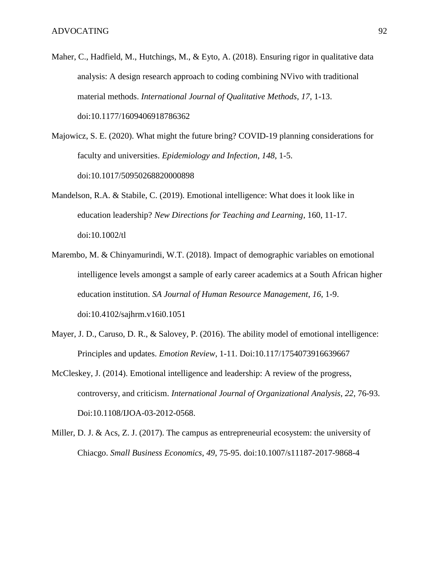- Maher, C., Hadfield, M., Hutchings, M., & Eyto, A. (2018). Ensuring rigor in qualitative data analysis: A design research approach to coding combining NVivo with traditional material methods. *International Journal of Qualitative Methods*, *17*, 1-13. doi:10.1177/1609406918786362
- Majowicz, S. E. (2020). What might the future bring? COVID-19 planning considerations for faculty and universities. *Epidemiology and Infection*, *148*, 1-5. doi:10.1017/50950268820000898
- Mandelson, R.A. & Stabile, C. (2019). Emotional intelligence: What does it look like in education leadership? *New Directions for Teaching and Learning*, 160, 11-17. doi:10.1002/tl
- Marembo, M. & Chinyamurindi, W.T. (2018). Impact of demographic variables on emotional intelligence levels amongst a sample of early career academics at a South African higher education institution. *SA Journal of Human Resource Management*, *16*, 1-9. doi:10.4102/sajhrm.v16i0.1051
- Mayer, J. D., Caruso, D. R., & Salovey, P. (2016). The ability model of emotional intelligence: Principles and updates. *Emotion Review*, 1-11. Doi:10.117/1754073916639667
- McCleskey, J. (2014). Emotional intelligence and leadership: A review of the progress, controversy, and criticism. *International Journal of Organizational Analysis*, *22*, 76-93. Doi:10.1108/IJOA-03-2012-0568.
- Miller, D. J. & Acs, Z. J. (2017). The campus as entrepreneurial ecosystem: the university of Chiacgo. *Small Business Economics*, *49*, 75-95. doi:10.1007/s11187-2017-9868-4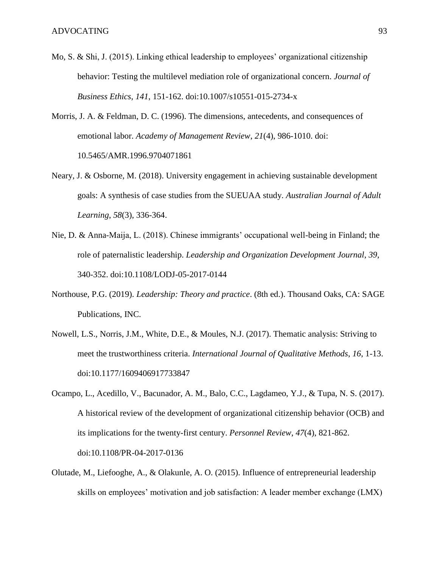- Mo, S. & Shi, J. (2015). Linking ethical leadership to employees' organizational citizenship behavior: Testing the multilevel mediation role of organizational concern. *Journal of Business Ethics*, *141*, 151-162. doi:10.1007/s10551-015-2734-x
- Morris, J. A. & Feldman, D. C. (1996). The dimensions, antecedents, and consequences of emotional labor. *Academy of Management Review*, *21*(4), 986-1010. doi: 10.5465/AMR.1996.9704071861
- Neary, J. & Osborne, M. (2018). University engagement in achieving sustainable development goals: A synthesis of case studies from the SUEUAA study. *Australian Journal of Adult Learning*, *58*(3), 336-364.
- Nie, D. & Anna-Maija, L. (2018). Chinese immigrants' occupational well-being in Finland; the role of paternalistic leadership. *Leadership and Organization Development Journal*, *39*, 340-352. doi:10.1108/LODJ-05-2017-0144
- Northouse, P.G. (2019). *Leadership: Theory and practice*. (8th ed.). Thousand Oaks, CA: SAGE Publications, INC.
- Nowell, L.S., Norris, J.M., White, D.E., & Moules, N.J. (2017). Thematic analysis: Striving to meet the trustworthiness criteria. *International Journal of Qualitative Methods*, *16*, 1-13. doi:10.1177/1609406917733847
- Ocampo, L., Acedillo, V., Bacunador, A. M., Balo, C.C., Lagdameo, Y.J., & Tupa, N. S. (2017). A historical review of the development of organizational citizenship behavior (OCB) and its implications for the twenty-first century. *Personnel Review*, *47*(4), 821-862. doi:10.1108/PR-04-2017-0136
- Olutade, M., Liefooghe, A., & Olakunle, A. O. (2015). Influence of entrepreneurial leadership skills on employees' motivation and job satisfaction: A leader member exchange (LMX)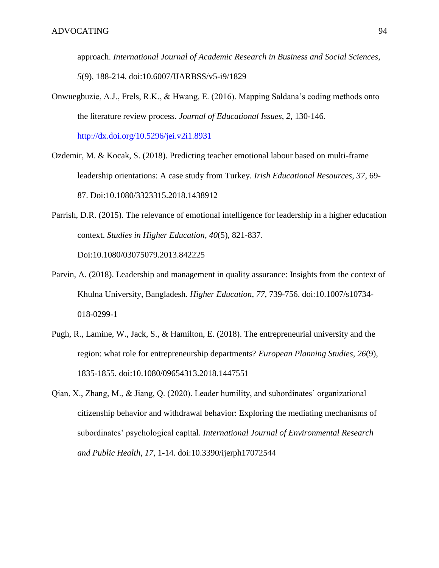approach. *International Journal of Academic Research in Business and Social Sciences*, *5*(9), 188-214. doi:10.6007/IJARBSS/v5-i9/1829

Onwuegbuzie, A.J., Frels, R.K., & Hwang, E. (2016). Mapping Saldana's coding methods onto the literature review process. *Journal of Educational Issues*, *2*, 130-146. <http://dx.doi.org/10.5296/jei.v2i1.8931>

Ozdemir, M. & Kocak, S. (2018). Predicting teacher emotional labour based on multi-frame leadership orientations: A case study from Turkey. *Irish Educational Resources*, *37*, 69-

87. Doi:10.1080/3323315.2018.1438912

- Parrish, D.R. (2015). The relevance of emotional intelligence for leadership in a higher education context. *Studies in Higher Education*, *40*(5), 821-837. Doi:10.1080/03075079.2013.842225
- Parvin, A. (2018). Leadership and management in quality assurance: Insights from the context of Khulna University, Bangladesh. *Higher Education*, *77*, 739-756. doi:10.1007/s10734- 018-0299-1
- Pugh, R., Lamine, W., Jack, S., & Hamilton, E. (2018). The entrepreneurial university and the region: what role for entrepreneurship departments? *European Planning Studies*, *26*(9), 1835-1855. doi:10.1080/09654313.2018.1447551
- Qian, X., Zhang, M., & Jiang, Q. (2020). Leader humility, and subordinates' organizational citizenship behavior and withdrawal behavior: Exploring the mediating mechanisms of subordinates' psychological capital. *International Journal of Environmental Research and Public Health*, *17*, 1-14. doi:10.3390/ijerph17072544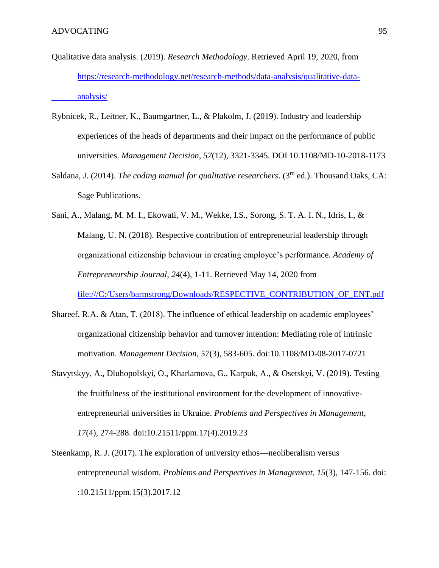- Qualitative data analysis. (2019). *Research Methodology*. Retrieved April 19, 2020, from [https://research-methodology.net/research-methods/data-analysis/qualitative-data](https://research-methodology.net/research-methods/data-analysis/qualitative-data-%09analysis/)[analysis/](https://research-methodology.net/research-methods/data-analysis/qualitative-data-%09analysis/)
- Rybnicek, R., Leitner, K., Baumgartner, L., & Plakolm, J. (2019). Industry and leadership experiences of the heads of departments and their impact on the performance of public universities. *Management Decision*, *57*(12), 3321-3345. DOI 10.1108/MD-10-2018-1173
- Saldana, J. (2014). *The coding manual for qualitative researchers*. (3<sup>rd</sup> ed.). Thousand Oaks, CA: Sage Publications.
- Sani, A., Malang, M. M. I., Ekowati, V. M., Wekke, I.S., Sorong, S. T. A. I. N., Idris, I., & Malang, U. N. (2018). Respective contribution of entrepreneurial leadership through organizational citizenship behaviour in creating employee's performance. *Academy of Entrepreneurship Journal*, *24*(4), 1-11. Retrieved May 14, 2020 from [file:///C:/Users/barmstrong/Downloads/RESPECTIVE\\_CONTRIBUTION\\_OF\\_ENT.pdf](../../barmstrong/Downloads/RESPECTIVE_CONTRIBUTION_OF_ENT.pdf)
- Shareef, R.A. & Atan, T. (2018). The influence of ethical leadership on academic employees' organizational citizenship behavior and turnover intention: Mediating role of intrinsic motivation. *Management Decision*, *57*(3), 583-605. doi:10.1108/MD-08-2017-0721
- Stavytskyy, A., Dluhopolskyi, O., Kharlamova, G., Karpuk, A., & Osetskyi, V. (2019). Testing the fruitfulness of the institutional environment for the development of innovativeentrepreneurial universities in Ukraine. *Problems and Perspectives in Management*, *17*(4), 274-288. doi:10.21511/ppm.17(4).2019.23
- Steenkamp, R. J. (2017). The exploration of university ethos—neoliberalism versus entrepreneurial wisdom. *Problems and Perspectives in Management*, *15*(3), 147-156. doi: :10.21511/ppm.15(3).2017.12